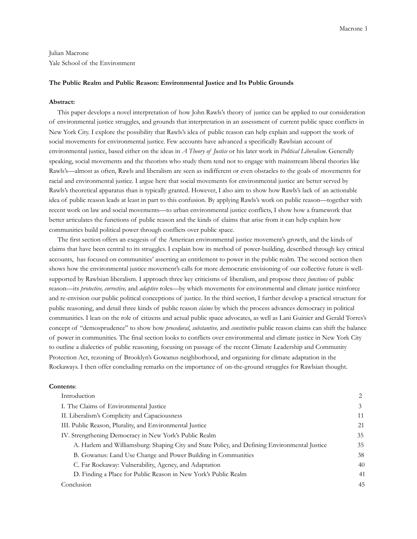Julian Macrone Yale School of the Environment

#### **The Public Realm and Public Reason: Environmental Justice and Its Public Grounds**

#### **Abstract:**

 This paper develops a novel interpretation of how John Rawls's theory of justice can be applied to our consideration of environmental justice struggles, and grounds that interpretation in an assessment of current public space conflicts in New York City. I explore the possibility that Rawls's idea of public reason can help explain and support the work of social movements for environmental justice. Few accounts have advanced a specifically Rawlsian account of environmental justice, based either on the ideas in *A Theory of Justice* or his later work in *Political Liberalism*. Generally speaking, social movements and the theorists who study them tend not to engage with mainstream liberal theories like Rawls's—almost as often, Rawls and liberalism are seen as indifferent or even obstacles to the goals of movements for racial and environmental justice. I argue here that social movements for environmental justice are better served by Rawls's theoretical apparatus than is typically granted. However, I also aim to show how Rawls's lack of an actionable idea of public reason leads at least in part to this confusion. By applying Rawls's work on public reason—together with recent work on law and social movements—to urban environmental justice conflicts, I show how a framework that better articulates the functions of public reason and the kinds of claims that arise from it can help explain how communities build political power through conflicts over public space.

 The first section offers an exegesis of the American environmental justice movement's growth, and the kinds of claims that have been central to its struggles. I explain how its method of power-building, described through key critical accounts, has focused on communities' asserting an entitlement to power in the public realm. The second section then shows how the environmental justice movement's calls for more democratic envisioning of our collective future is wellsupported by Rawlsian liberalism. I approach three key criticisms of liberalism, and propose three *functions* of public reason—its *protective, corrective,* and *adaptive* roles—by which movements for environmental and climate justice reinforce and re-envision our public political conceptions of justice. In the third section, I further develop a practical structure for public reasoning, and detail three kinds of public reason *claims* by which the process advances democracy in political communities. I lean on the role of citizens and actual public space advocates, as well as Lani Guinier and Gerald Torres's concept of "demosprudence" to show how *procedural*, *substantive,* and *constitutive* public reason claims can shift the balance of power in communities. The final section looks to conflicts over environmental and climate justice in New York City to outline a dialectics of public reasoning, focusing on passage of the recent Climate Leadership and Community Protection Act, rezoning of Brooklyn's Gowanus neighborhood, and organizing for climate adaptation in the Rockaways. I then offer concluding remarks on the importance of on-the-ground struggles for Rawlsian thought.

#### **Contents**:

| Introduction                                                                                  | 2  |
|-----------------------------------------------------------------------------------------------|----|
| I. The Claims of Environmental Justice                                                        | 3  |
| II. Liberalism's Complicity and Capaciousness                                                 | 11 |
| III. Public Reason, Plurality, and Environmental Justice                                      | 21 |
| IV. Strengthening Democracy in New York's Public Realm                                        | 35 |
| A. Harlem and Williamsburg: Shaping City and State Policy, and Defining Environmental Justice | 35 |
| B. Gowanus: Land Use Change and Power Building in Communities                                 | 38 |
| C. Far Rockaway: Vulnerability, Agency, and Adaptation                                        | 40 |
| D. Finding a Place for Public Reason in New York's Public Realm                               | 41 |
| Conclusion                                                                                    | 45 |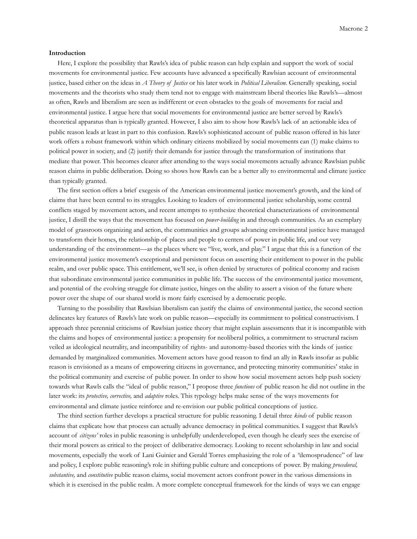#### **Introduction**

 Here, I explore the possibility that Rawls's idea of public reason can help explain and support the work of social movements for environmental justice. Few accounts have advanced a specifically Rawlsian account of environmental justice, based either on the ideas in *A Theory of Justice* or his later work in *Political Liberalism*. Generally speaking, social movements and the theorists who study them tend not to engage with mainstream liberal theories like Rawls's—almost as often, Rawls and liberalism are seen as indifferent or even obstacles to the goals of movements for racial and environmental justice. I argue here that social movements for environmental justice are better served by Rawls's theoretical apparatus than is typically granted. However, I also aim to show how Rawls's lack of an actionable idea of public reason leads at least in part to this confusion. Rawls's sophisticated account of public reason offered in his later work offers a robust framework within which ordinary citizens mobilized by social movements can (1) make claims to political power in society, and (2) justify their demands for justice through the transformation of institutions that mediate that power. This becomes clearer after attending to the ways social movements actually advance Rawlsian public reason claims in public deliberation. Doing so shows how Rawls can be a better ally to environmental and climate justice than typically granted.

 The first section offers a brief exegesis of the American environmental justice movement's growth, and the kind of claims that have been central to its struggles. Looking to leaders of environmental justice scholarship, some central conflicts staged by movement actors, and recent attempts to synthesize theoretical characterizations of environmental justice, I distill the ways that the movement has focused on *power-building* in and through communities. As an exemplary model of grassroots organizing and action, the communities and groups advancing environmental justice have managed to transform their homes, the relationship of places and people to centers of power in public life, and our very understanding of the environment—as the places where we "live, work, and play." I argue that this is a function of the environmental justice movement's exceptional and persistent focus on asserting their entitlement to power in the public realm, and over public space. This entitlement, we'll see, is often denied by structures of political economy and racism that subordinate environmental justice communities in public life. The success of the environmental justice movement, and potential of the evolving struggle for climate justice, hinges on the ability to assert a vision of the future where power over the shape of our shared world is more fairly exercised by a democratic people.

 Turning to the possibility that Rawlsian liberalism can justify the claims of environmental justice, the second section delineates key features of Rawls's late work on public reason—especially its commitment to political constructivism. I approach three perennial criticisms of Rawlsian justice theory that might explain assessments that it is incompatible with the claims and hopes of environmental justice: a propensity for neoliberal politics, a commitment to structural racism veiled as ideological neutrality, and incompatibility of rights- and autonomy-based theories with the kinds of justice demanded by marginalized communities. Movement actors have good reason to find an ally in Rawls insofar as public reason is envisioned as a means of empowering citizens in governance, and protecting minority communities' stake in the political community and exercise of public power. In order to show how social movement actors help push society towards what Rawls calls the "ideal of public reason," I propose three *functions* of public reason he did not outline in the later work: its *protective, corrective,* and *adaptive* roles. This typology helps make sense of the ways movements for environmental and climate justice reinforce and re-envision our public political conceptions of justice.

 The third section further develops a practical structure for public reasoning. I detail three *kinds* of public reason claims that explicate how that process can actually advance democracy in political communities. I suggest that Rawls's account of *citizens'* roles in public reasoning is unhelpfully underdeveloped, even though he clearly sees the exercise of their moral powers as critical to the project of deliberative democracy. Looking to recent scholarship in law and social movements, especially the work of Lani Guinier and Gerald Torres emphasizing the role of a *"*demosprudence" of law and policy, I explore public reasoning's role in shifting public culture and conceptions of power. By making *procedural, substantive,* and *constitutive* public reason claims, social movement actors confront power in the various dimensions in which it is exercised in the public realm. A more complete conceptual framework for the kinds of ways we can engage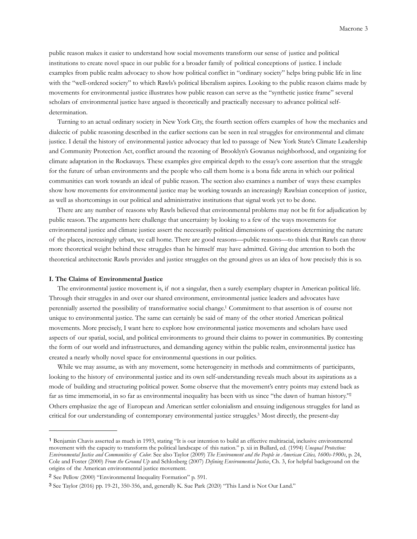public reason makes it easier to understand how social movements transform our sense of justice and political institutions to create novel space in our public for a broader family of political conceptions of justice. I include examples from public realm advocacy to show how political conflict in "ordinary society" helps bring public life in line with the "well-ordered society" to which Rawls's political liberalism aspires. Looking to the public reason claims made by movements for environmental justice illustrates how public reason can serve as the "synthetic justice frame" several scholars of environmental justice have argued is theoretically and practically necessary to advance political selfdetermination.

 Turning to an actual ordinary society in New York City, the fourth section offers examples of how the mechanics and dialectic of public reasoning described in the earlier sections can be seen in real struggles for environmental and climate justice. I detail the history of environmental justice advocacy that led to passage of New York State's Climate Leadership and Community Protection Act, conflict around the rezoning of Brooklyn's Gowanus neighborhood, and organizing for climate adaptation in the Rockaways. These examples give empirical depth to the essay's core assertion that the struggle for the future of urban environments and the people who call them home is a bona fide arena in which our political communities can work towards an ideal of public reason. The section also examines a number of ways these examples show how movements for environmental justice may be working towards an increasingly Rawlsian conception of justice, as well as shortcomings in our political and administrative institutions that signal work yet to be done.

 There are any number of reasons why Rawls believed that environmental problems may not be fit for adjudication by public reason. The arguments here challenge that uncertainty by looking to a few of the ways movements for environmental justice and climate justice assert the necessarily political dimensions of questions determining the nature of the places, increasingly urban, we call home. There are good reasons—public reasons—to think that Rawls can throw more theoretical weight behind these struggles than he himself may have admitted. Giving due attention to both the theoretical architectonic Rawls provides and justice struggles on the ground gives us an idea of how precisely this is so.

#### **I. The Claims of Environmental Justice**

 The environmental justice movement is, if not a singular, then a surely exemplary chapter in American political life. Through their struggles in and over our shared environment, environmental justice leaders and advocates have perennially asserted the possibility of transformative social change[.1](#page-2-0) Commitment to that assertion is of course not unique to environmental justice. The same can certainly be said of many of the other storied American political movements. More precisely, I want here to explore how environmental justice movements and scholars have used aspects of our spatial, social, and political environments to ground their claims to power in communities. By contesting the form of our world and infrastructures, and demanding agency within the public realm, environmental justice has created a nearly wholly novel space for environmental questions in our politics.

 While we may assume, as with any movement, some heterogeneity in methods and commitments of participants, looking to the history of environmental justice and its own self-understanding reveals much about its aspirations as a mode of building and structuring political power. Some observe that the movement's entry points may extend back as far as time immemorial, in so far as environmental inequality has been with us since "the dawn of human history.["2](#page-2-1) Others emphasize the age of European and American settler colonialism and ensuing indigenous struggles for land as critical for our understanding of contemporary environmental justice struggles[.3](#page-2-2) Most directly, the present-day

<span id="page-2-0"></span><sup>1</sup> Benjamin Chavis asserted as much in 1993, stating "It is our intention to build an effective multiracial, inclusive environmental movement with the capacity to transform the political landscape of this nation." p. xii in Bullard, ed. (1994) *Unequal Protection: Environmental Justice and Communities of Color.* See also Taylor (2009) *The Environment and the People in American Cities, 1600s-1900s*, p. 24, Cole and Foster (2000) *From the Ground Up* and Schlosberg (2007) *Defining Environmental Justice*, Ch. 3, for helpful background on the origins of the American environmental justice movement.

<span id="page-2-1"></span><sup>2</sup> See Pellow (2000) "Environmental Inequality Formation" p. 591.

<span id="page-2-2"></span><sup>3</sup> See Taylor (2016) pp. 19-21, 350-356, and, generally K. Sue Park (2020) "This Land is Not Our Land."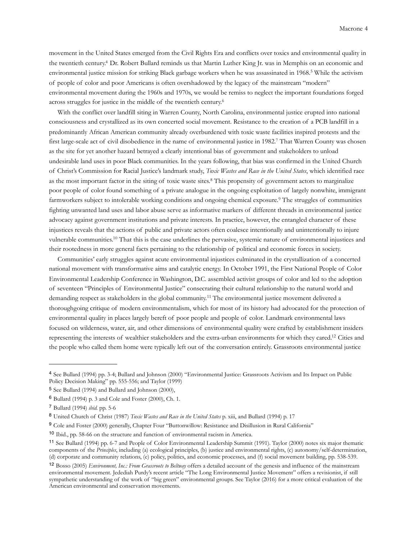movement in the United States emerged from the Civil Rights Era and conflicts over toxics and environmental quality in the twentieth century[.4](#page-3-0) Dr. Robert Bullard reminds us that Martin Luther King Jr. was in Memphis on an economic and environmental justice mission for striking Black garbage workers when he was assassinated in 1968.[5](#page-3-1) While the activism of people of color and poor Americans is often overshadowed by the legacy of the mainstream "modern" environmental movement during the 1960s and 1970s, we would be remiss to neglect the important foundations forged across struggles for justice in the middle of the twentieth century.[6](#page-3-2)

 With the conflict over landfill siting in Warren County, North Carolina, environmental justice erupted into national consciousness and crystallized as its own concerted social movement. Resistance to the creation of a PCB landfill in a predominantly African American community already overburdened with toxic waste facilities inspired protests and the first large-scale act of civil disobedience in the name of environmental justice in 1982[.7](#page-3-3) That Warren County was chosen as the site for yet another hazard betrayed a clearly intentional bias of government and stakeholders to unload undesirable land uses in poor Black communities. In the years following, that bias was confirmed in the United Church of Christ's Commission for Racial Justice's landmark study, *Toxic Wastes and Race in the United States*, which identified race as the most important factor in the siting of toxic waste sites.[8](#page-3-4) This propensity of government actors to marginalize poor people of color found something of a private analogue in the ongoing exploitation of largely nonwhite, immigrant farmworkers subject to intolerable working conditions and ongoing chemical exposure.<sup>9</sup> The struggles of communities fighting unwanted land uses and labor abuse serve as informative markers of different threads in environmental justice advocacy against government institutions and private interests. In practice, however, the entangled character of these injustices reveals that the actions of public and private actors often coalesce intentionally and unintentionally to injure vulnerable communities[.10](#page-3-6) That this is the case underlines the pervasive, systemic nature of environmental injustices and their rootedness in more general facts pertaining to the relationship of political and economic forces in society.

 Communities' early struggles against acute environmental injustices culminated in the crystallization of a concerted national movement with transformative aims and catalytic energy. In October 1991, the First National People of Color Environmental Leadership Conference in Washington, D.C. assembled activist groups of color and led to the adoption of seventeen "Principles of Environmental Justice" consecrating their cultural relationship to the natural world and demanding respect as stakeholders in the global community.[11](#page-3-7) The environmental justice movement delivered a thoroughgoing critique of modern environmentalism, which for most of its history had advocated for the protection of environmental quality in places largely bereft of poor people and people of color. Landmark environmental laws focused on wilderness, water, air, and other dimensions of environmental quality were crafted by establishment insiders representing the interests of wealthier stakeholders and the extra-urban environments for which they cared[.12](#page-3-8) Cities and the people who called them home were typically left out of the conversation entirely. Grassroots environmental justice

<span id="page-3-0"></span><sup>4</sup> See Bullard (1994) pp. 3-4; Bullard and Johnson (2000) "Environmental Justice: Grassroots Activism and Its Impact on Public Policy Decision Making" pp. 555-556; and Taylor (1999)

<span id="page-3-1"></span><sup>5</sup> See Bullard (1994) and Bullard and Johnson (2000),

<span id="page-3-2"></span><sup>6</sup> Bullard (1994) p. 3 and Cole and Foster (2000), Ch. 1.

<span id="page-3-3"></span><sup>7</sup> Bullard (1994) *ibid.* pp. 5-6

<span id="page-3-4"></span><sup>8</sup> United Church of Christ (1987) *Toxic Wastes and Race in the United States* p. xiii, and Bullard (1994) p. 17

<span id="page-3-5"></span><sup>9</sup> Cole and Foster (2000) generally, Chapter Four "Buttonwillow: Resistance and Disillusion in Rural California"

<span id="page-3-6"></span><sup>10</sup> Ibid., pp. 58-66 on the structure and function of environmental racism in America.

<span id="page-3-7"></span><sup>11</sup> See Bullard (1994) pp. 6-7 and People of Color Environmental Leadership Summit (1991). Taylor (2000) notes six major thematic components of the *Principles*, including (a) ecological principles, (b) justice and environmental rights, (c) autonomy/self-determination, (d) corporate and community relations, (e) policy, politics, and economic processes, and (f) social movement building, pp. 538-539.

<span id="page-3-8"></span><sup>12</sup> Bosso (2005) *Environment, Inc.: From Grassroots to Beltway* offers a detailed account of the genesis and influence of the mainstream environmental movement. Jedediah Purdy's recent article "The Long Environmental Justice Movement" offers a revisionist, if still sympathetic understanding of the work of "big green" environmental groups. See Taylor (2016) for a more critical evaluation of the American environmental and conservation movements.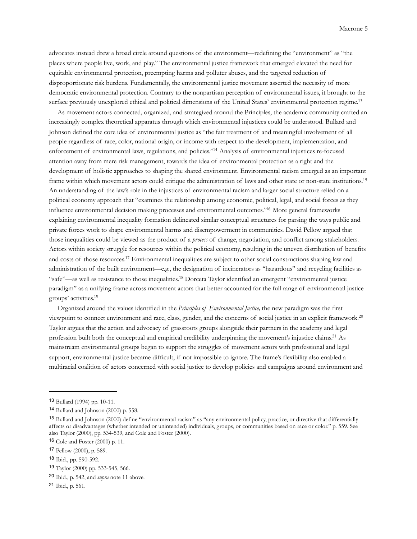advocates instead drew a broad circle around questions of the environment—redefining the "environment" as "the places where people live, work, and play." The environmental justice framework that emerged elevated the need for equitable environmental protection, preempting harms and polluter abuses, and the targeted reduction of disproportionate risk burdens. Fundamentally, the environmental justice movement asserted the necessity of more democratic environmental protection. Contrary to the nonpartisan perception of environmental issues, it brought to the surface previously unexplored ethical and political dimensions of the United States' environmental protection regime.<sup>13</sup>

 As movement actors connected, organized, and strategized around the Principles, the academic community crafted an increasingly complex theoretical apparatus through which environmental injustices could be understood. Bullard and Johnson defined the core idea of environmental justice as "the fair treatment of and meaningful involvement of all people regardless of race, color, national origin, or income with respect to the development, implementation, and enforcement of environmental laws, regulations, and policies.["14](#page-4-1) Analysis of environmental injustices re-focused attention away from mere risk management, towards the idea of environmental protection as a right and the development of holistic approaches to shaping the shared environment. Environmental racism emerged as an important frame within which movement actors could critique the administration of laws and other state or non-state institutions[.15](#page-4-2) An understanding of the law's role in the injustices of environmental racism and larger social structure relied on a political economy approach that "examines the relationship among economic, political, legal, and social forces as they influence environmental decision making processes and environmental outcomes.["16](#page-4-3) More general frameworks explaining environmental inequality formation delineated similar conceptual structures for parsing the ways public and private forces work to shape environmental harms and disempowerment in communities. David Pellow argued that those inequalities could be viewed as the product of a *process* of change, negotiation, and conflict among stakeholders. Actors within society struggle for resources within the political economy, resulting in the uneven distribution of benefits and costs of those resources[.17](#page-4-4) Environmental inequalities are subject to other social constructions shaping law and administration of the built environment—e.g., the designation of incinerators as "hazardous" and recycling facilities as "safe"—as well as resistance to those inequalities[.18](#page-4-5) Dorceta Taylor identified an emergent "environmental justice paradigm" as a unifying frame across movement actors that better accounted for the full range of environmental justice groups' activities[.19](#page-4-6)

 Organized around the values identified in the *Principles of Environmental Justice,* the new paradigm was the first viewpoint to connect environment and race, class, gender, and the concerns of social justice in an explicit framework.[20](#page-4-7) Taylor argues that the action and advocacy of grassroots groups alongside their partners in the academy and legal profession built both the conceptual and empirical credibility underpinning the movement's injustice claims[.21](#page-4-8) As mainstream environmental groups began to support the struggles of movement actors with professional and legal support, environmental justice became difficult, if not impossible to ignore. The frame's flexibility also enabled a multiracial coalition of actors concerned with social justice to develop policies and campaigns around environment and

<span id="page-4-0"></span><sup>13</sup> Bullard (1994) pp. 10-11.

<span id="page-4-1"></span><sup>14</sup> Bullard and Johnson (2000) p. 558.

<span id="page-4-2"></span><sup>15</sup> Bullard and Johnson (2000) define "environmental racism" as "any environmental policy, practice, or directive that differentially affects or disadvantages (whether intended or unintended) individuals, groups, or communities based on race or color." p. 559. See also Taylor (2000), pp. 534-539, and Cole and Foster (2000).

<span id="page-4-3"></span><sup>16</sup> Cole and Foster (2000) p. 11.

<span id="page-4-4"></span><sup>17</sup> Pellow (2000), p. 589.

<span id="page-4-5"></span><sup>18</sup> Ibid., pp. 590-592.

<span id="page-4-6"></span><sup>19</sup> Taylor (2000) pp. 533-545, 566.

<span id="page-4-7"></span><sup>20</sup> Ibid., p. 542, and *supra* note 11 above.

<span id="page-4-8"></span><sup>21</sup> Ibid., p. 561.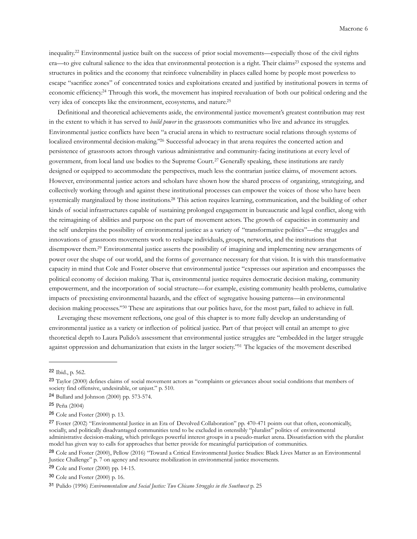inequality[.22](#page-5-0) Environmental justice built on the success of prior social movements—especially those of the civil rights era—to give cultural salience to the idea that environmental protection is a right. Their claims<sup>23</sup> exposed the systems and structures in politics and the economy that reinforce vulnerability in places called home by people most powerless to escape "sacrifice zones" of concentrated toxics and exploitations created and justified by institutional powers in terms of economic efficiency[.24](#page-5-2) Through this work, the movement has inspired reevaluation of both our political ordering and the very idea of concepts like the environment, ecosystems, and nature[.25](#page-5-3)

 Definitional and theoretical achievements aside, the environmental justice movement's greatest contribution may rest in the extent to which it has served to *build power* in the grassroots communities who live and advance its struggles. Environmental justice conflicts have been "a crucial arena in which to restructure social relations through systems of localized environmental decision-making."<sup>26</sup> Successful advocacy in that arena requires the concerted action and persistence of grassroots actors through various administrative and community-facing institutions at every level of government, from local land use bodies to the Supreme Court.[27](#page-5-5) Generally speaking, these institutions are rarely designed or equipped to accommodate the perspectives, much less the contrarian justice claims, of movement actors. However, environmental justice actors and scholars have shown how the shared process of organizing, strategizing, and collectively working through and against these institutional processes can empower the voices of those who have been systemically marginalized by those institutions.<sup>28</sup> This action requires learning, communication, and the building of other kinds of social infrastructures capable of sustaining prolonged engagement in bureaucratic and legal conflict, along with the reimagining of abilities and purpose on the part of movement actors. The growth of capacities in community and the self underpins the possibility of environmental justice as a variety of "transformative politics"—the struggles and innovations of grassroots movements work to reshape individuals, groups, networks, and the institutions that disempower them[.29](#page-5-7) Environmental justice asserts the possibility of imagining and implementing new arrangements of power over the shape of our world, and the forms of governance necessary for that vision. It is with this transformative capacity in mind that Cole and Foster observe that environmental justice "expresses our aspiration and encompasses the political economy of decision making. That is, environmental justice requires democratic decision making, community empowerment, and the incorporation of social structure—for example, existing community health problems, cumulative impacts of preexisting environmental hazards, and the effect of segregative housing patterns—in environmental decision making processes.["30](#page-5-8) These are aspirations that our politics have, for the most part, failed to achieve in full.

 Leveraging these movement reflections, one goal of this chapter is to more fully develop an understanding of environmental justice as a variety or inflection of political justice. Part of that project will entail an attempt to give theoretical depth to Laura Pulido's assessment that environmental justice struggles are "embedded in the larger struggle against oppression and dehumanization that exists in the larger society.["31](#page-5-9) The legacies of the movement described

<span id="page-5-0"></span><sup>22</sup> Ibid., p. 562.

<span id="page-5-1"></span><sup>23</sup> Taylor (2000) defines claims of social movement actors as "complaints or grievances about social conditions that members of society find offensive, undesirable, or unjust." p. 510.

<span id="page-5-2"></span><sup>24</sup> Bullard and Johnson (2000) pp. 573-574.

<span id="page-5-3"></span><sup>25</sup> Peña (2004)

<span id="page-5-4"></span><sup>26</sup> Cole and Foster (2000) p. 13.

<span id="page-5-5"></span><sup>27</sup> Foster (2002) "Environmental Justice in an Era of Devolved Collaboration" pp. 470-471 points out that often, economically, socially, and politically disadvantaged communities tend to be excluded in ostensibly "pluralist" politics of environmental administrative decision-making, which privileges powerful interest groups in a pseudo-market arena. Dissatisfaction with the pluralist model has given way to calls for approaches that better provide for meaningful participation of communities.

<span id="page-5-6"></span><sup>28</sup> Cole and Foster (2000), Pellow (2016) "Toward a Critical Environmental Justice Studies: Black Lives Matter as an Environmental Justice Challenge" p. 7 on agency and resource mobilization in environmental justice movements.

<span id="page-5-7"></span><sup>29</sup> Cole and Foster (2000) pp. 14-15.

<span id="page-5-8"></span><sup>30</sup> Cole and Foster (2000) p. 16.

<span id="page-5-9"></span><sup>31</sup> Pulido (1996) *Environmentalism and Social Justice: Two Chicano Struggles in the Southwest* p. 25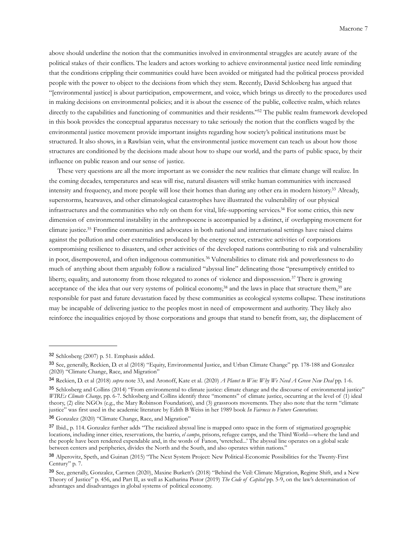above should underline the notion that the communities involved in environmental struggles are acutely aware of the political stakes of their conflicts. The leaders and actors working to achieve environmental justice need little reminding that the conditions crippling their communities could have been avoided or mitigated had the political process provided people with the power to object to the decisions from which they stem. Recently, David Schlosberg has argued that "[environmental justice] is about participation, empowerment, and voice, which brings us directly to the procedures used in making decisions on environmental policies; and it is about the essence of the public, collective realm, which relates directly to the capabilities and functioning of communities and their residents."<sup>32</sup> The public realm framework developed in this book provides the conceptual apparatus necessary to take seriously the notion that the conflicts waged by the environmental justice movement provide important insights regarding how society's political institutions must be structured. It also shows, in a Rawlsian vein, what the environmental justice movement can teach us about how those structures are conditioned by the decisions made about how to shape our world, and the parts of public space, by their influence on public reason and our sense of justice.

 These very questions are all the more important as we consider the new realities that climate change will realize. In the coming decades, temperatures and seas will rise, natural disasters will strike human communities with increased intensity and frequency, and more people will lose their homes than during any other era in modern history[.33](#page-6-1) Already, superstorms, heatwaves, and other climatological catastrophes have illustrated the vulnerability of our physical infrastructures and the communities who rely on them for vital, life-supporting services[.34](#page-6-2) For some critics, this new dimension of environmental instability in the anthropocene is accompanied by a distinct, if overlapping movement for climate justice[.35](#page-6-3) Frontline communities and advocates in both national and international settings have raised claims against the pollution and other externalities produced by the energy sector, extractive activities of corporations compromising resilience to disasters, and other activities of the developed nations contributing to risk and vulnerability in poor, disempowered, and often indigenous communities.[36](#page-6-4) Vulnerabilities to climate risk and powerlessness to do much of anything about them arguably follow a racialized "abyssal line" delineating those "presumptively entitled to liberty, equality, and autonomy from those relegated to zones of violence and dispossession.[37](#page-6-5) There is growing acceptance of the idea that our very systems of political economy,<sup>38</sup> and the laws in place that structure them,<sup>39</sup> are responsible for past and future devastation faced by these communities as ecological systems collapse. These institutions may be incapable of delivering justice to the peoples most in need of empowerment and authority. They likely also reinforce the inequalities enjoyed by those corporations and groups that stand to benefit from, say, the displacement of

<span id="page-6-0"></span><sup>32</sup> Schlosberg (2007) p. 51. Emphasis added.

<span id="page-6-1"></span><sup>33</sup> See, generally, Reckien, D. et al (2018) "Equity, Environmental Justice, and Urban Climate Change" pp. 178-188 and Gonzalez (2020) "Climate Change, Race, and Migration"

<span id="page-6-2"></span><sup>34</sup> Reckien, D. et al (2018) *supra* note 33, and Aronoff, Kate et al. (2020) *A Planet to Win: Why We Need A Green New Deal* pp. 1-6.

<span id="page-6-3"></span><sup>35</sup> Schlosberg and Collins (2014) "From environmental to climate justice: climate change and the discourse of environmental justice" *WIREs Climate Change,* pp. 6-7. Schlosberg and Collins identify three "moments" of climate justice, occurring at the level of (1) ideal theory, (2) elite NGOs (e.g., the Mary Robinson Foundation), and (3) grassroots movements. They also note that the term "climate justice" was first used in the academic literature by Edith B Weiss in her 1989 book *In Fairness to Future Generations.* 

<span id="page-6-4"></span><sup>36</sup> Gonzalez (2020) "Climate Change, Race, and Migration"

<span id="page-6-5"></span><sup>37</sup> Ibid., p. 114. Gonzalez further adds "The racialized abyssal line is mapped onto space in the form of stigmatized geographic locations, including inner cities, reservations, the barrio, *el campo*, prisons, refugee camps, and the Third World—where the land and the people have been rendered expendable and, in the words of Fanon, 'wretched...' The abyssal line operates on a global scale between centers and peripheries, divides the North and the South, and also operates within nations."

<span id="page-6-6"></span><sup>38</sup> Alperovitz, Speth, and Guinan (2015) "The Next System Project: New Political-Economic Possibilities for the Twenty-First Century" p. 7.

<span id="page-6-7"></span><sup>39</sup> See, generally, Gonzalez, Carmen (2020), Maxine Burkett's (2018) "Behind the Veil: Climate Migration, Regime Shift, and a New Theory of Justice" p. 456, and Part II, as well as Katharina Pistor (2019) *The Code of Capital* pp. 5-9, on the law's determination of advantages and disadvantages in global systems of political economy.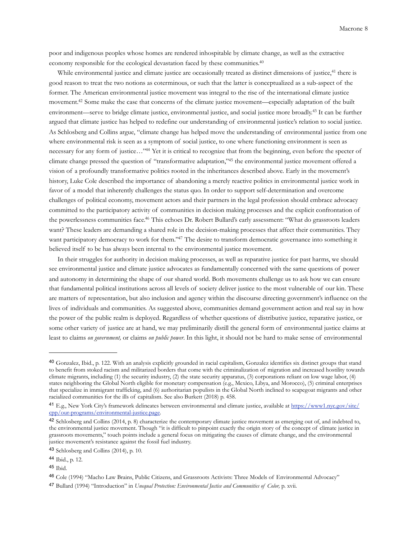poor and indigenous peoples whose homes are rendered inhospitable by climate change, as well as the extractive economy responsible for the ecological devastation faced by these communities.<sup>[40](#page-7-0)</sup>

While environmental justice and climate justice are occasionally treated as distinct dimensions of justice,<sup>[41](#page-7-1)</sup> there is good reason to treat the two notions as coterminous, or such that the latter is conceptualized as a sub-aspect of the former. The American environmental justice movement was integral to the rise of the international climate justice movement.<sup>42</sup> Some make the case that concerns of the climate justice movement—especially adaptation of the built environment—serve to bridge climate justice, environmental justice, and social justice more broadly.[43](#page-7-3) It can be further argued that climate justice has helped to redefine our understanding of environmental justice's relation to social justice. As Schlosberg and Collins argue, "climate change has helped move the understanding of environmental justice from one where environmental risk is seen as a symptom of social justice, to one where functioning environment is seen as necessary for any form of justice..."<sup>44</sup> Yet it is critical to recognize that from the beginning, even before the specter of climate change pressed the question of "transformative adaptation,["45](#page-7-5) the environmental justice movement offered a vision of a profoundly transformative politics rooted in the inheritances described above. Early in the movement's history, Luke Cole described the importance of abandoning a merely reactive politics in environmental justice work in favor of a model that inherently challenges the status quo. In order to support self-determination and overcome challenges of political economy, movement actors and their partners in the legal profession should embrace advocacy committed to the participatory activity of communities in decision making processes and the explicit confrontation of the powerlessness communities face[.46](#page-7-6) This echoes Dr. Robert Bullard's early assessment: "What do grassroots leaders want? These leaders are demanding a shared role in the decision-making processes that affect their communities. They want participatory democracy to work for them."<sup>47</sup> The desire to transform democratic governance into something it believed itself to be has always been internal to the environmental justice movement.

 In their struggles for authority in decision making processes, as well as reparative justice for past harms, we should see environmental justice and climate justice advocates as fundamentally concerned with the same questions of power and autonomy in determining the shape of our shared world. Both movements challenge us to ask how we can ensure that fundamental political institutions across all levels of society deliver justice to the most vulnerable of our kin. These are matters of representation, but also inclusion and agency within the discourse directing government's influence on the lives of individuals and communities. As suggested above, communities demand government action and real say in how the power of the public realm is deployed. Regardless of whether questions of distributive justice, reparative justice, or some other variety of justice are at hand, we may preliminarily distill the general form of environmental justice claims at least to claims *on government,* or claims *on public power*. In this light, it should not be hard to make sense of environmental

<span id="page-7-0"></span><sup>40</sup> Gonzalez, Ibid., p. 122. With an analysis explicitly grounded in racial capitalism, Gonzalez identifies six distinct groups that stand to benefit from stoked racism and militarized borders that come with the criminalization of migration and increased hostility towards climate migrants, including (1) the security industry, (2) the state security apparatus, (3) corporations reliant on low wage labor, (4) states neighboring the Global North eligible for monetary compensation (e.g., Mexico, Libya, and Morocco), (5) criminal enterprises that specialize in immigrant trafficking, and (6) authoritarian populists in the Global North inclined to scapegoat migrants and other racialized communities for the ills of capitalism. See also Burkett (2018) p. 458.

<span id="page-7-1"></span><sup>41</sup> E.g., New York City's framework delineates between environmental and climate justice, available at [https://www1.nyc.gov/site/](https://www1.nyc.gov/site/cpp/our-programs/environmental-justice.page) [cpp/our-programs/environmental-justice.page.](https://www1.nyc.gov/site/cpp/our-programs/environmental-justice.page)

<span id="page-7-2"></span><sup>42</sup> Schlosberg and Collins (2014, p. 8) characterize the contemporary climate justice movement as emerging out of, and indebted to, the environmental justice movement. Though "it is difficult to pinpoint exactly the origin story of the concept of climate justice in grassroots movements," touch points include a general focus on mitigating the causes of climate change, and the environmental justice movement's resistance against the fossil fuel industry.

<span id="page-7-3"></span><sup>43</sup> Schlosberg and Collins (2014), p. 10.

<span id="page-7-4"></span><sup>44</sup> Ibid., p. 12.

<span id="page-7-5"></span><sup>45</sup> Ibid.

<span id="page-7-6"></span><sup>46</sup> Cole (1994) "Macho Law Brains, Public Citizens, and Grassroots Activists: Three Models of Environmental Advocacy"

<span id="page-7-7"></span><sup>47</sup> Bullard (1994) "Introduction" in *Unequal Protection: Environmental Justice and Communities of Color*, p. xvii.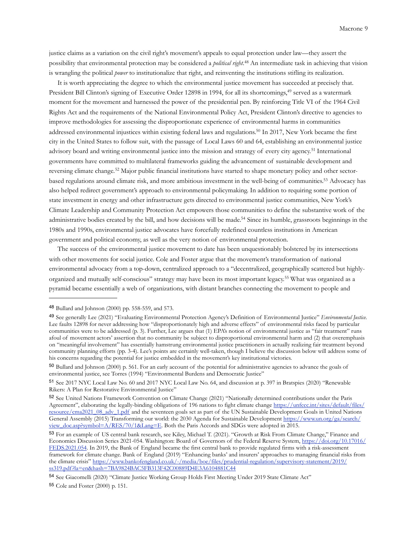justice claims as a variation on the civil right's movement's appeals to equal protection under law—they assert the possibility that environmental protection may be considered a *political right*. [48](#page-8-0) An intermediate task in achieving that vision is wrangling the political *power* to institutionalize that right, and reinventing the institutions stifling its realization.

 It is worth appreciating the degree to which the environmental justice movement has succeeded at precisely that. President Bill Clinton's signing of Executive Order 12898 in 1994, for all its shortcomings,<sup>[49](#page-8-1)</sup> served as a watermark moment for the movement and harnessed the power of the presidential pen. By reinforcing Title VI of the 1964 Civil Rights Act and the requirements of the National Environmental Policy Act, President Clinton's directive to agencies to improve methodologies for assessing the disproportionate experience of environmental harms in communities addressed environmental injustices within existing federal laws and regulations[.50](#page-8-2) In 2017, New York became the first city in the United States to follow suit, with the passage of Local Laws 60 and 64, establishing an environmental justice advisory board and writing environmental justice into the mission and strategy of every city agency.<sup>51</sup> International governments have committed to multilateral frameworks guiding the advancement of sustainable development and reversing climate change.[52](#page-8-4) Major public financial institutions have started to shape monetary policy and other sectorbased regulations around climate risk, and more ambitious investment in the well-being of communities[.53](#page-8-5) Advocacy has also helped redirect government's approach to environmental policymaking. In addition to requiring some portion of state investment in energy and other infrastructure gets directed to environmental justice communities, New York's Climate Leadership and Community Protection Act empowers those communities to define the substantive work of the administrative bodies created by the bill, and how decisions will be made[.54](#page-8-6) Since its humble, grassroots beginnings in the 1980s and 1990s, environmental justice advocates have forcefully redefined countless institutions in American government and political economy, as well as the very notion of environmental protection.

 The success of the environmental justice movement to date has been unquestionably bolstered by its intersections with other movements for social justice. Cole and Foster argue that the movement's transformation of national environmental advocacy from a top-down, centralized approach to a "decentralized, geographically scattered but highlyorganized and mutually self-conscious" strategy may have been its most important legacy.[55](#page-8-7) What was organized as a pyramid became essentially a web of organizations, with distant branches connecting the movement to people and

<span id="page-8-0"></span><sup>48</sup> Bullard and Johnson (2000) pp. 558-559, and 573.

<span id="page-8-1"></span><sup>49</sup> See generally Lee (2021) "Evaluating Environmental Protection Agency's Definition of Environmental Justice" *Environmental Justice.*  Lee faults 12898 for never addressing how "disproportionately high and adverse effects" of environmental risks faced by particular communities were to be addressed (p. 3). Further, Lee argues that (1) EPA's notion of environmental justice as "fair treatment" runs afoul of movement actors' assertion that no community be subject to disproportional environmental harm and (2) that overemphasis on "meaningful involvement" has essentially hamstrung environmental justice practitioners in actually realizing fair treatment beyond community planning efforts (pp. 3-4). Lee's points are certainly well-taken, though I believe the discussion below will address some of his concerns regarding the potential for justice embedded in the movement's key institutional victories.

<span id="page-8-2"></span><sup>50</sup> Bullard and Johnson (2000) p. 561. For an early account of the potential for administrative agencies to advance the goals of environmental justice, see Torres (1994) "Environmental Burdens and Democratic Justice"

<span id="page-8-3"></span><sup>51</sup> See 2017 NYC Local Law No. 60 and 2017 NYC Local Law No. 64, and discussion at p. 397 in Bratspies (2020) "Renewable Rikers: A Plan for Restorative Environmental Justice"

<span id="page-8-4"></span><sup>52</sup> See United Nations Framework Convention on Climate Change (2021) "Nationally determined contributions under the Paris Agreement", elaborating the legally-binding obligations of 196 nations to fight climate change [https://unfccc.int/sites/default/files/](https://unfccc.int/sites/default/files/resource/cma2021_08_adv_1.pdf) [resource/cma2021\\_08\\_adv\\_1.pdf](https://unfccc.int/sites/default/files/resource/cma2021_08_adv_1.pdf) and the seventeen goals set as part of the UN Sustainable Development Goals in United Nations General Assembly (2015) Transforming our world: the 2030 Agenda for Sustainable Development [https://www.un.org/ga/search/](https://www.un.org/ga/search/view_doc.asp?symbol=A/RES/70/1&Lang=E) [view\\_doc.asp?symbol=A/RES/70/1&Lang=E](https://www.un.org/ga/search/view_doc.asp?symbol=A/RES/70/1&Lang=E). Both the Paris Accords and SDGs were adopted in 2015.

<span id="page-8-5"></span><sup>53</sup> For an example of US central bank research, see Kiley, Michael T. (2021). "Growth at Risk From Climate Change," Finance and Economics Discussion Series 2021-054. Washington: Board of Governors of the Federal Reserve System, [https://doi.org/10.17016/](https://doi.org/10.17016/FEDS.2021.054) [FEDS.2021.054](https://doi.org/10.17016/FEDS.2021.054). In 2019, the Bank of England became the first central bank to provide regulated firms with a risk-assessment framework for climate change. Bank of England (2019) "Enhancing banks' and insurers' approaches to managing financial risks from the climate crisis" [https://www.bankofengland.co.uk/-/media/boe/files/prudential-regulation/supervisory-statement/2019/](https://www.bankofengland.co.uk/-/media/boe/files/prudential-regulation/supervisory-statement/2019/ss319.pdf?la=en&hash=7BA9824BAC5FB313F42C00889D4E3A6104881C44) [ss319.pdf?la=en&hash=7BA9824BAC5FB313F42C00889D4E3A6104881C44](https://www.bankofengland.co.uk/-/media/boe/files/prudential-regulation/supervisory-statement/2019/ss319.pdf?la=en&hash=7BA9824BAC5FB313F42C00889D4E3A6104881C44)

<span id="page-8-6"></span><sup>54</sup> See Giacomelli (2020) "Climate Justice Working Group Holds First Meeting Under 2019 State Climate Act"

<span id="page-8-7"></span><sup>55</sup> Cole and Foster (2000) p. 151.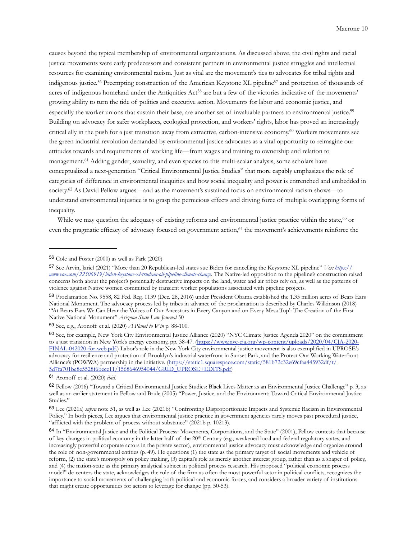causes beyond the typical membership of environmental organizations. As discussed above, the civil rights and racial justice movements were early predecessors and consistent partners in environmental justice struggles and intellectual resources for examining environmental racism. Just as vital are the movement's ties to advocates for tribal rights and indigenous justice[.56](#page-9-0) Preempting construction of the American Keystone XL pipelin[e57](#page-9-1) and protection of thousands of acres of indigenous homeland under the Antiquities Act<sup>[58](#page-9-2)</sup> are but a few of the victories indicative of the movements' growing ability to turn the tide of politics and executive action. Movements for labor and economic justice, and especially the worker unions that sustain their base, are another set of invaluable partners to environmental justice[.59](#page-9-3) Building on advocacy for safer workplaces, ecological protection, and workers' rights, labor has proved an increasingly critical ally in the push for a just transition away from extractive, carbon-intensive economy[.60](#page-9-4) Workers movements see the green industrial revolution demanded by environmental justice advocates as a vital opportunity to reimagine our attitudes towards and requirements of working life—from wages and training to ownership and relation to management.<sup>[61](#page-9-5)</sup> Adding gender, sexuality, and even species to this multi-scalar analysis, some scholars have conceptualized a next-generation "Critical Environmental Justice Studies" that more capably emphasizes the role of categories of difference in environmental inequities and how social inequality and power is entrenched and embedded in society.<sup>[62](#page-9-6)</sup> As David Pellow argues—and as the movement's sustained focus on environmental racism shows—to understand environmental injustice is to grasp the pernicious effects and driving force of multiple overlapping forms of inequality.

While we may question the adequacy of existing reforms and environmental justice practice within the state,<sup>[63](#page-9-7)</sup> or even the pragmatic efficacy of advocacy focused on government action,<sup>64</sup> the movement's achievements reinforce the

<span id="page-9-0"></span><sup>56</sup> Cole and Foster (2000) as well as Park (2020)

<span id="page-9-1"></span><sup>57</sup> See Arvin, Jariel (2021) "More than 20 Republican-led states sue Biden for cancelling the Keystone XL pipeline" *Vox [https://](https://www.vox.com/22306919/biden-keystone-xl-trudeau-oil-pipeline-climate-change) [www.vox.com/22306919/biden-keystone-xl-trudeau-oil-pipeline-climate-change.](https://www.vox.com/22306919/biden-keystone-xl-trudeau-oil-pipeline-climate-change)* The Native-led opposition to the pipeline's construction raised concerns both about the project's potentially destructive impacts on the land, water and air tribes rely on, as well as the patterns of violence against Native women committed by transient worker populations associated with pipeline projects.

<span id="page-9-2"></span><sup>58</sup> Proclamation No. 9558, 82 Fed. Reg. 1139 (Dec. 28, 2016) under President Obama established the 1.35 million acres of Bears Ears National Monument. The advocacy process led by tribes in advance of the proclamation is described by Charles Wilkinson (2018) "'At Bears Ears We Can Hear the Voices of Our Ancestors in Every Canyon and on Every Mesa Top': The Creation of the First Native National Monument" *Arizona State Law Journal* 50

<span id="page-9-3"></span><sup>59</sup> See, e.g., Aronoff et al. (2020) *A Planet to Win* p. 88-100.

<span id="page-9-4"></span><sup>60</sup> See, for example, New York City Environmental Justice Alliance (2020) "NYC Climate Justice Agenda 2020" on the commitment to a just transition in New York's energy economy, pp. 38-47. [\(https://www.nyc-eja.org/wp-content/uploads/2020/04/CJA-2020-](https://www.nyc-eja.org/wp-content/uploads/2020/04/CJA-2020-FINAL-042020-for-web.pdf) [FINAL-042020-for-web.pdf.\)](https://www.nyc-eja.org/wp-content/uploads/2020/04/CJA-2020-FINAL-042020-for-web.pdf) Labor's role in the New York City environmental justice movement is also exemplified in UPROSE's advocacy for resilience and protection of Brooklyn's industrial waterfront in Sunset Park, and the Protect Our Working Waterfront Alliance's (POWWA) partnership in the initiative. ([https://static1.squarespace.com/static/581b72c32e69cfaa445932df/t/](https://static1.squarespace.com/static/581b72c32e69cfaa445932df/t/5d7fa701be8e5528f6bece11/1568646954044/GRID_UPROSE+EDITS.pdf) [5d7fa701be8e5528f6bece11/1568646954044/GRID\\_UPROSE+EDITS.pdf\)](https://static1.squarespace.com/static/581b72c32e69cfaa445932df/t/5d7fa701be8e5528f6bece11/1568646954044/GRID_UPROSE+EDITS.pdf)

<span id="page-9-5"></span><sup>61</sup> Aronoff et al. (2020) *ibid.*

<span id="page-9-6"></span><sup>62</sup> Pellow (2016) "Toward a Critical Environmental Justice Studies: Black Lives Matter as an Environmental Justice Challenge" p. 3, as well as an earlier statement in Pellow and Brule (2005) "Power, Justice, and the Environment: Toward Critical Environmental Justice Studies."

<span id="page-9-7"></span><sup>63</sup> Lee (2021a) *supra* note 51, as well as Lee (2021b) "Confronting Disproportionate Impacts and Systemic Racism in Environmental Policy." In both pieces, Lee argues that environmental justice practice in government agencies rarely moves past procedural justice, "afflicted with the problem of process without substance" (2021b p. 10213).

<span id="page-9-8"></span><sup>64</sup> In "Environmental Justice and the Political Process: Movements, Corporations, and the State" (2001), Pellow contests that because of key changes in political economy in the latter half of the 20<sup>th</sup> Century (e.g., weakened local and federal regulatory states, and increasingly powerful corporate actors in the private sector), environmental justice advocacy must acknowledge and organize around the role of non-governmental entities (p. 49). He questions (1) the state as the primary target of social movements and vehicle of reform, (2) the state's monopoly on policy making, (3) capital's role as merely another interest group, rather than as a shaper of policy, and (4) the nation-state as the primary analytical subject in political process research. His proposed "political economic process model" de-centers the state, acknowledges the role of the firm as often the most powerful actor in political conflicts, recognizes the importance to social movements of challenging both political and economic forces, and considers a broader variety of institutions that might create opportunities for actors to leverage for change (pp. 50-53).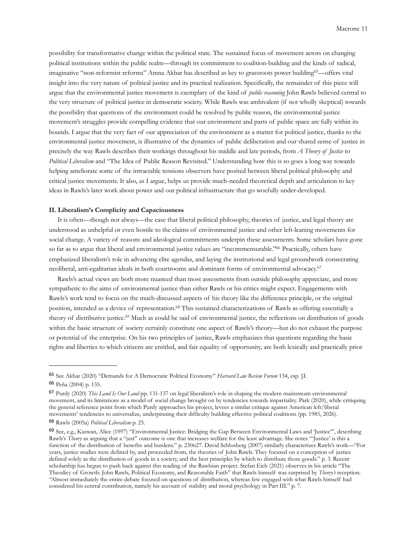possibility for transformative change within the political state. The sustained focus of movement actors on changing political institutions within the public realm—through its commitment to coalition-building and the kinds of radical, imaginative "non-reformist reforms" Amna Akbar has described as key to grassroots power building<sup>65</sup>—offers vital insight into the very nature of political justice and its practical realization. Specifically, the remainder of this piece will argue that the environmental justice movement is exemplary of the kind of *public reasoning* John Rawls believed central to the very structure of political justice in democratic society. While Rawls was ambivalent (if not wholly skeptical) towards the possibility that questions of the environment could be resolved by public reason, the environmental justice movement's struggles provide compelling evidence that our environment and parts of public space are fully within its bounds. I argue that the very fact of our appreciation of the environment as a matter for political justice, thanks to the environmental justice movement, is illustrative of the dynamics of public deliberation and our shared sense of justice in precisely the way Rawls describes their workings throughout his middle and late periods, from *A Theory of Justice* to *Political Liberalism* and "The Idea of Public Reason Revisited." Understanding how this is so goes a long way towards helping ameliorate some of the intractable tensions observers have posited between liberal political philosophy and critical justice movements. It also, as I argue, helps us provide much-needed theoretical depth and articulation to key ideas in Rawls's later work about power and our political infrastructure that go woefully under-developed.

# **II. Liberalism's Complicity and Capaciousness**

 It is often—though not always—the case that liberal political philosophy, theories of justice, and legal theory are understood as unhelpful or even hostile to the claims of environmental justice and other left-leaning movements for social change. A variety of reasons and ideological commitments underpin these assessments. Some scholars have gone so far as to argue that liberal and environmental justice values are "incommensurable.["66](#page-10-1) Practically, others have emphasized liberalism's role in advancing elite agendas, and laying the institutional and legal groundwork consecrating neoliberal, anti-egalitarian ideals in both courtrooms and dominant forms of environmental advocacy.[67](#page-10-2)

 Rawls's actual views are both more nuanced than most assessments from outside philosophy appreciate, and more sympathetic to the aims of environmental justice than either Rawls or his critics might expect. Engagements with Rawls's work tend to focus on the much-discussed aspects of his theory like the difference principle, or the original position, intended as a device of representation[.68](#page-10-3) This sustained characterizations of Rawls as offering essentially a theory of distributive justice.[69](#page-10-4) Much as could be said of environmental justice, the reflections on distribution of goods within the basic structure of society certainly constitute one aspect of Rawls's theory—but do not exhaust the purpose or potential of the enterprise. On his two principles of justice, Rawls emphasizes that questions regarding the basic rights and liberties to which citizens are entitled, and fair equality of opportunity, are both lexically and practically prior

<span id="page-10-1"></span><span id="page-10-0"></span><sup>65</sup> See Akbar (2020) "Demands for A Democratic Political Economy" *Harvard Law Review Forum* 134, esp. §I. <sup>66</sup> Peña (2004) p. 135.

<span id="page-10-2"></span><sup>67</sup> Purdy (2020) *This Land Is Our Land* pp. 131-137 on legal liberalism's role in shaping the modern mainstream environmental movement, and its limitations as a model of social change brought on by tendencies towards impartiality. Park (2020), while critiquing the general reference point from which Purdy approaches his project, levees a similar critique against American left/liberal movements' tendencies to universalize, underpinning their difficulty building effective political coalitions (pp. 1985, 2026).

<span id="page-10-3"></span><sup>68</sup> Rawls (2005a) *Political Liberalism* p. 25.

<span id="page-10-4"></span><sup>69</sup> See, e.g., Kaswan, Alice (1997) "Environmental Justice: Bridging the Gap Between Environmental Laws and 'Justice'", describing Rawls's *Theory* as arguing that a "just" outcome is one that increases welfare for the least advantage. She notes "'Justice' is this a function of the distribution of benefits and burdens." p. 230n27. David Schlosberg (2007) similarly characterizes Rawls's work—"For years, justice studies were defined by, and proceeded from, the theories of John Rawls. They focused on a conception of justice defined solely as the distribution of goods in a society, and the best principles by which to distribute those goods." p. 3. Recent scholarship has begun to push back against this reading of the Rawlsian project. Stefan Eich (2021) observes in his article "The Theodicy of Growth: John Rawls, Political Economy, and Reasonable Faith" that Rawls himself was surprised by *Theory's* reception. "Almost immediately the entire debate focused on questions of distribution, whereas few engaged with what Rawls himself had considered his central contribution, namely his account of stability and moral psychology in Part III." p. 7.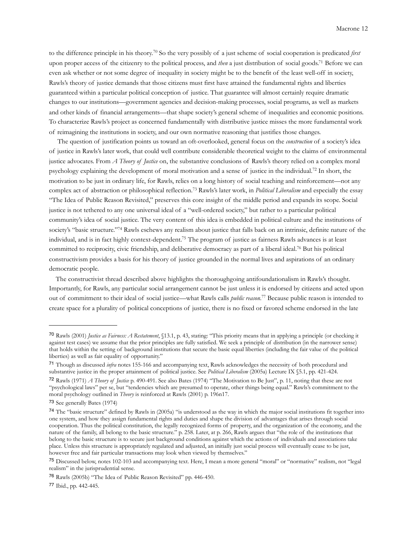to the difference principle in his theory.[70](#page-11-0) So the very possibly of a just scheme of social cooperation is predicated *first* upon proper access of the citizenry to the political process, and *then* a just distribution of social goods[.71](#page-11-1) Before we can even ask whether or not some degree of inequality in society might be to the benefit of the least well-off in society, Rawls's theory of justice demands that those citizens must first have attained the fundamental rights and liberties guaranteed within a particular political conception of justice. That guarantee will almost certainly require dramatic changes to our institutions—government agencies and decision-making processes, social programs, as well as markets and other kinds of financial arrangements—that shape society's general scheme of inequalities and economic positions. To characterize Rawls's project as concerned fundamentally with distributive justice misses the more fundamental work of reimagining the institutions in society, and our own normative reasoning that justifies those changes.

 The question of justification points us toward an oft-overlooked, general focus on the *construction* of a society's idea of justice in Rawls's later work, that could well contribute considerable theoretical weight to the claims of environmental justice advocates. From *A Theory of Justice* on, the substantive conclusions of Rawls's theory relied on a complex moral psychology explaining the development of moral motivation and a sense of justice in the individual.[72](#page-11-2) In short, the motivation to be just in ordinary life, for Rawls, relies on a long history of social teaching and reinforcement—not any complex act of abstraction or philosophical reflection.[73](#page-11-3) Rawls's later work, in *Political Liberalism* and especially the essay "The Idea of Public Reason Revisited," preserves this core insight of the middle period and expands its scope. Social justice is not tethered to any one universal ideal of a "well-ordered society," but rather to a particular political community's idea of social justice. The very content of this idea is embedded in political culture and the institutions of society's "basic structure."<sup>74</sup> Rawls eschews any realism about justice that falls back on an intrinsic, definite nature of the individual, and is in fact highly context-dependent[.75](#page-11-5) The program of justice as fairness Rawls advances is at least committed to reciprocity, civic friendship, and deliberative democracy as part of a liberal ideal.<sup>76</sup> But his political constructivism provides a basis for his theory of justice grounded in the normal lives and aspirations of an ordinary democratic people.

 The constructivist thread described above highlights the thoroughgoing antifoundationalism in Rawls's thought. Importantly, for Rawls, any particular social arrangement cannot be just unless it is endorsed by citizens and acted upon out of commitment to their ideal of social justice—what Rawls calls *public reason*. [77](#page-11-7) Because public reason is intended to create space for a plurality of political conceptions of justice, there is no fixed or favored scheme endorsed in the late

<span id="page-11-0"></span><sup>70</sup> Rawls (2001) *Justice as Fairness: A Restatement*, §13.1, p. 43, stating: "This priority means that in applying a principle (or checking it against test cases) we assume that the prior principles are fully satisfied. We seek a principle of distribution (in the narrower sense) that holds within the setting of background institutions that secure the basic equal liberties (including the fair value of the political liberties) as well as fair equality of opportunity."

<span id="page-11-1"></span><sup>71</sup> Though as discussed *infra* notes 155-166 and accompanying text, Rawls acknowledges the necessity of both procedural and substantive justice in the proper attainment of political justice. See *Political Liberalism* (2005a) Lecture IX §5.1, pp. 421-424.

<span id="page-11-2"></span><sup>72</sup> Rawls (1971) *A Theory of Justice* p. 490-491. See also Bates (1974) "The Motivation to Be Just", p. 11, noting that these are not "psychological laws" per se, but "tendencies which are presumed to operate, other things being equal." Rawls's commitment to the moral psychology outlined in *Theory* is reinforced at Rawls (2001) p. 196n17.

<span id="page-11-3"></span><sup>73</sup> See generally Bates (1974)

<span id="page-11-4"></span><sup>74</sup> The "basic structure" defined by Rawls in (2005a) "is understood as the way in which the major social institutions fit together into one system, and how they assign fundamental rights and duties and shape the division of advantages that arises through social cooperation. Thus the political constitution, the legally recognized forms of property, and the organization of the economy, and the nature of the family, all belong to the basic structure." p. 258. Later, at p. 266, Rawls argues that "the role of the institutions that belong to the basic structure is to secure just background conditions against which the actions of individuals and associations take place. Unless this structure is appropriately regulated and adjusted, an initially just social process will eventually cease to be just, however free and fair particular transactions may look when viewed by themselves."

<span id="page-11-5"></span><sup>75</sup> Discussed below, notes 102-103 and accompanying text. Here, I mean a more general "moral" or "normative" realism, not "legal realism" in the jurisprudential sense.

<span id="page-11-6"></span><sup>76</sup> Rawls (2005b) "The Idea of Public Reason Revisited" pp. 446-450.

<span id="page-11-7"></span><sup>77</sup> Ibid., pp. 442-445.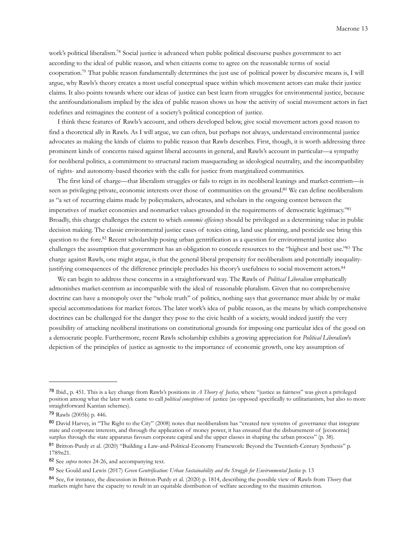work's political liberalism[.78](#page-12-0) Social justice is advanced when public political discourse pushes government to act according to the ideal of public reason, and when citizens come to agree on the reasonable terms of social cooperation[.79](#page-12-1) That public reason fundamentally determines the just use of political power by discursive means is, I will argue, why Rawls's theory creates a most useful conceptual space within which movement actors can make their justice claims. It also points towards where our ideas of justice can best learn from struggles for environmental justice, because the antifoundationalism implied by the idea of public reason shows us how the activity of social movement actors in fact redefines and reimagines the content of a society's political conception of justice.

 I think these features of Rawls's account, and others developed below, give social movement actors good reason to find a theoretical ally in Rawls. As I will argue, we can often, but perhaps not always, understand environmental justice advocates as making the kinds of claims to public reason that Rawls describes. First, though, it is worth addressing three prominent kinds of concerns raised against liberal accounts in general, and Rawls's account in particular—a sympathy for neoliberal politics, a commitment to structural racism masquerading as ideological neutrality, and the incompatibility of rights- and autonomy-based theories with the calls for justice from marginalized communities.

 The first kind of charge—that liberalism struggles or fails to reign in its neoliberal leanings and market-centrism—is seen as privileging private, economic interests over those of communities on the ground.<sup>80</sup> We can define neoliberalism as "a set of recurring claims made by policymakers, advocates, and scholars in the ongoing contest between the imperatives of market economies and nonmarket values grounded in the requirements of democratic legitimacy.["81](#page-12-3) Broadly, this charge challenges the extent to which *economic efficiency* should be privileged as a determining value in public decision making. The classic environmental justice cases of toxics citing, land use planning, and pesticide use bring this question to the fore.<sup>82</sup> Recent scholarship posing urban gentrification as a question for environmental justice also challenges the assumption that government has an obligation to concede resources to the "highest and best use.["83](#page-12-5) The charge against Rawls, one might argue, is that the general liberal propensity for neoliberalism and potentially inequalityjustifying consequences of the difference principle precludes his theory's usefulness to social movement actors.<sup>84</sup>

 We can begin to address these concerns in a straightforward way. The Rawls of *Political Liberalism* emphatically admonishes market-centrism as incompatible with the ideal of reasonable pluralism. Given that no comprehensive doctrine can have a monopoly over the "whole truth" of politics, nothing says that governance must abide by or make special accommodations for market forces. The later work's idea of public reason, as the means by which comprehensive doctrines can be challenged for the danger they pose to the civic health of a society, would indeed justify the very possibility of attacking neoliberal institutions on constitutional grounds for imposing one particular idea of the good on a democratic people. Furthermore, recent Rawls scholarship exhibits a growing appreciation for *Political Liberalism*'s depiction of the principles of justice as agnostic to the importance of economic growth, one key assumption of

<span id="page-12-0"></span><sup>78</sup> Ibid., p. 451. This is a key change from Rawls's positions in *A Theory of Justice,* where "justice as fairness" was given a privileged position among what the later work came to call *political conceptions* of justice (as opposed specifically to utilitarianism, but also to more straightforward Kantian schemes).

<span id="page-12-1"></span><sup>79</sup> Rawls (2005b) p. 446.

<span id="page-12-2"></span><sup>80</sup> David Harvey, in "The Right to the City" (2008) notes that neoliberalism has "created new systems of governance that integrate state and corporate interests, and through the application of money power, it has ensured that the disbursement of [economic] surplus through the state apparatus favours corporate capital and the upper classes in shaping the urban process" (p. 38).

<span id="page-12-3"></span><sup>81</sup> Britton-Purdy et al. (2020) "Building a Law-and-Political-Economy Framework: Beyond the Twentieth-Century Synthesis" p. 1789n21.

<span id="page-12-4"></span><sup>82</sup> See *supra* notes 24-26, and accompanying text.

<span id="page-12-5"></span><sup>83</sup> See Gould and Lewis (2017) *Green Gentrification: Urban Sustainability and the Struggle for Environmental Justice* p. 13

<span id="page-12-6"></span><sup>84</sup> See, for instance, the discussion in Britton-Purdy et al. (2020) p. 1814, describing the possible view of Rawls from *Theory* that markets might have the capacity to result in an equitable distribution of welfare according to the maximin criterion.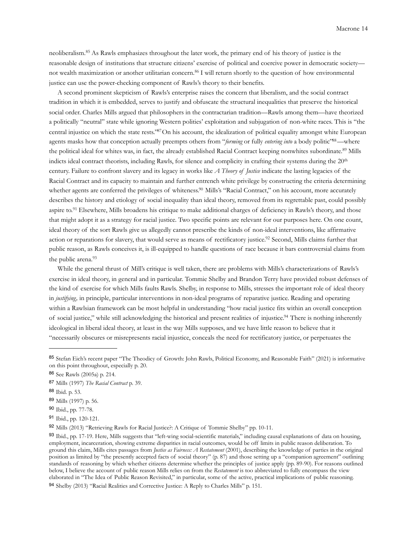neoliberalism.[85](#page-13-0) As Rawls emphasizes throughout the later work, the primary end of his theory of justice is the reasonable design of institutions that structure citizens' exercise of political and coercive power in democratic society— not wealth maximization or another utilitarian concern.<sup>[86](#page-13-1)</sup> I will return shortly to the question of how environmental justice can use the power-checking component of Rawls's theory to their benefits.

 A second prominent skepticism of Rawls's enterprise raises the concern that liberalism, and the social contract tradition in which it is embedded, serves to justify and obfuscate the structural inequalities that preserve the historical social order. Charles Mills argued that philosophers in the contractarian tradition—Rawls among them—have theorized a politically "neutral" state while ignoring Western polities' exploitation and subjugation of non-white races. This is "the central injustice on which the state rests.["87](#page-13-2)On his account, the idealization of political equality amongst white European agents masks how that conception actually preempts others from "*forming* or fully *entering into* a body politic"<sup>88</sup>—where the political ideal for whites was, in fact, the already established Racial Contract keeping nonwhites subordinate.<sup>[89](#page-13-4)</sup> Mills indicts ideal contract theorists, including Rawls, for silence and complicity in crafting their systems during the 20<sup>th</sup> century. Failure to confront slavery and its legacy in works like *A Theory of Justice* indicate the lasting legacies of the Racial Contract and its capacity to maintain and further entrench white privilege by constructing the criteria determining whether agents are conferred the privileges of whiteness.<sup>90</sup> Mills's "Racial Contract," on his account, more accurately describes the history and etiology of social inequality than ideal theory, removed from its regrettable past, could possibly aspire to.<sup>[91](#page-13-6)</sup> Elsewhere, Mills broadens his critique to make additional charges of deficiency in Rawls's theory, and those that might adopt it as a strategy for racial justice. Two specific points are relevant for our purposes here. On one count, ideal theory of the sort Rawls give us allegedly cannot prescribe the kinds of non-ideal interventions, like affirmative action or reparations for slavery, that would serve as means of rectificatory justice[.92](#page-13-7) Second, Mills claims further that public reason, as Rawls conceives it, is ill-equipped to handle questions of race because it bars controversial claims from the public arena.<sup>[93](#page-13-8)</sup>

 While the general thrust of Mill's critique is well taken, there are problems with Mills's characterizations of Rawls's exercise in ideal theory, in general and in particular. Tommie Shelby and Brandon Terry have provided robust defenses of the kind of exercise for which Mills faults Rawls. Shelby, in response to Mills, stresses the important role of ideal theory in *justifying,* in principle, particular interventions in non-ideal programs of reparative justice. Reading and operating within a Rawlsian framework can be most helpful in understanding "how racial justice fits within an overall conception of social justice," while still acknowledging the historical and present realities of injustice[.94](#page-13-9) There is nothing inherently ideological in liberal ideal theory, at least in the way Mills supposes, and we have little reason to believe that it "necessarily obscures or misrepresents racial injustice, conceals the need for rectificatory justice, or perpetuates the

<span id="page-13-0"></span><sup>85</sup> Stefan Eich's recent paper "The Theodicy of Growth: John Rawls, Political Economy, and Reasonable Faith" (2021) is informative on this point throughout, especially p. 20.

<span id="page-13-1"></span><sup>86</sup> See Rawls (2005a) p. 214.

<span id="page-13-2"></span><sup>87</sup> Mills (1997) *The Racial Contract* p. 39.

<span id="page-13-3"></span><sup>88</sup> Ibid. p. 53.

<span id="page-13-4"></span><sup>89</sup> Mills (1997) p. 56.

<span id="page-13-5"></span><sup>90</sup> Ibid., pp. 77-78.

<span id="page-13-6"></span><sup>91</sup> Ibid., pp. 120-121.

<span id="page-13-7"></span><sup>92</sup> Mills (2013) "Retrieving Rawls for Racial Justice?: A Critique of Tommie Shelby" pp. 10-11.

<span id="page-13-8"></span><sup>93</sup> Ibid., pp. 17-19. Here, Mills suggests that "left-wing social-scientific materials," including causal explanations of data on housing, employment, incarceration, showing extreme disparities in racial outcomes, would be off limits in public reason deliberation. To ground this claim, Mills cites passages from *Justice as Fairness: A Restatement* (2001), describing the knowledge of parties in the original position as limited by "the presently accepted facts of social theory" (p. 87) and those setting up a "companion agreement" outlining standards of reasoning by which whether citizens determine whether the principles of justice apply (pp. 89-90). For reasons outlined below, I believe the account of public reason Mills relies on from the *Restatement* is too abbreviated to fully encompass the view elaborated in "The Idea of Public Reason Revisited," in particular, some of the active, practical implications of public reasoning.

<span id="page-13-9"></span><sup>94</sup> Shelby (2013) "Racial Realities and Corrective Justice: A Reply to Charles Mills" p. 151.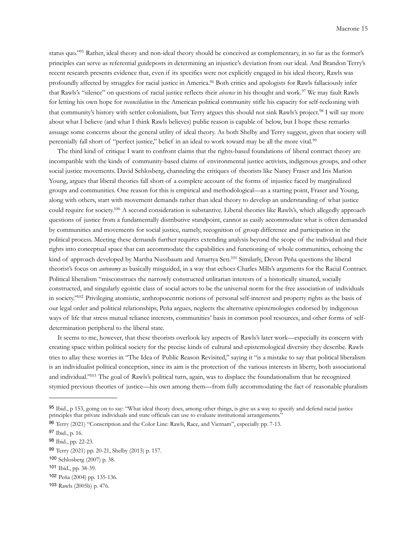status quo.["95](#page-14-0) Rather, ideal theory and non-ideal theory should be conceived as complementary, in so far as the former's principles can serve as referential guideposts in determining an injustice's deviation from our ideal. And Brandon Terry's recent research presents evidence that, even if its specifics were not explicitly engaged in his ideal theory, Rawls was profoundly affected by struggles for racial justice in America[.96](#page-14-1) Both critics and apologists for Rawls fallaciously infer that Rawls's "silence" on questions of racial justice reflects their *absence* in his thought and work.[97](#page-14-2) We may fault Rawls for letting his own hope for *reconciliation* in the American political community stifle his capacity for self-reckoning with that community's history with settler colonialism, but Terry argues this should not sink Rawls's project[.98](#page-14-3) I will say more about what I believe (and what I think Rawls believes) public reason is capable of below, but I hope these remarks assuage some concerns about the general utility of ideal theory. As both Shelby and Terry suggest, given that society will perennially fall short of "perfect justice," belief in an ideal to work toward may be all the more vital.[99](#page-14-4)

 The third kind of critique I want to confront claims that the rights-based foundations of liberal contract theory are incompatible with the kinds of community-based claims of environmental justice activists, indigenous groups, and other social justice movements. David Schlosberg, channeling the critiques of theorists like Nancy Fraser and Iris Marion Young, argues that liberal theories fall short of a complete account of the forms of injustice faced by marginalized groups and communities. One reason for this is empirical and methodological—as a starting point, Fraser and Young, along with others, start with movement demands rather than ideal theory to develop an understanding of what justice could require for society[.100](#page-14-5) A second consideration is substantive. Liberal theories like Rawls's, which allegedly approach questions of justice from a fundamentally distributive standpoint, cannot as easily accommodate what is often demanded by communities and movements for social justice, namely, recognition of group difference and participation in the political process. Meeting these demands further requires extending analysis beyond the scope of the individual and their rights into conceptual space that can accommodate the capabilities and functioning of whole communities, echoing the kind of approach developed by Martha Nussbaum and Amartya Sen[.101](#page-14-6) Similarly, Devon Peña questions the liberal theorist's focus on *autonomy* as basically misguided, in a way that echoes Charles Mills's arguments for the Racial Contract. Political liberalism "misconstrues the narrowly constructed utilitarian interests of a historically situated, socially constructed, and singularly egoistic class of social actors to be the universal norm for the free association of individuals in society.["102](#page-14-7) Privileging atomistic, anthropocentric notions of personal self-interest and property rights as the basis of our legal order and political relationships, Peña argues, neglects the alternative epistemologies endorsed by indigenous ways of life that stress mutual reliance interests, communities' basis in common pool resources, and other forms of selfdetermination peripheral to the liberal state.

 It seems to me, however, that these theorists overlook key aspects of Rawls's later work—especially its concern with creating space within political society for the precise kinds of cultural and epistemological diversity they describe. Rawls tries to allay these worries in "The Idea of Public Reason Revisited," saying it "is a mistake to say that political liberalism is an individualist political conception, since its aim is the protection of the various interests in liberty, both associational and individual.["103](#page-14-8) The goal of Rawls's political turn, again, was to displace the foundationalism that he recognized stymied previous theories of justice—his own among them—from fully accommodating the fact of reasonable pluralism

<span id="page-14-0"></span><sup>95</sup> Ibid., p 153, going on to say: "What ideal theory does, among other things, is give us a way to specify and defend racial justice principles that private individuals and state officials can use to evaluate institutional arrangements."

<span id="page-14-1"></span><sup>96</sup> Terry (2021) "Conscription and the Color Line: Rawls, Race, and Vietnam", especially pp. 7-13.

<span id="page-14-2"></span><sup>97</sup> Ibid., p. 16.

<span id="page-14-3"></span><sup>98</sup> Ibid., pp. 22-23.

<span id="page-14-4"></span><sup>99</sup> Terry (2021) pp. 20-21, Shelby (2013) p. 157.

<span id="page-14-5"></span><sup>100</sup> Schlosberg (2007) p. 38.

<span id="page-14-6"></span><sup>101</sup> Ibid., pp. 38-39.

<span id="page-14-7"></span><sup>102</sup> Peña (2004) pp. 135-136.

<span id="page-14-8"></span><sup>103</sup> Rawls (2005b) p. 476.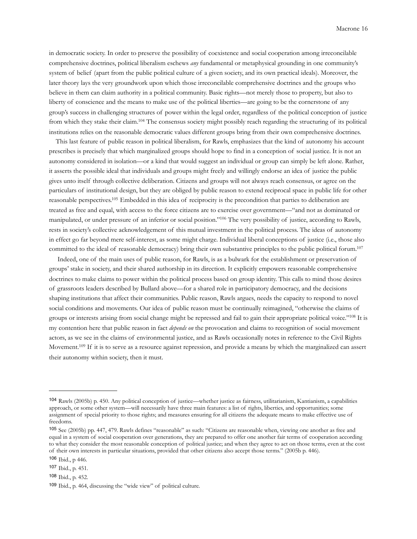in democratic society. In order to preserve the possibility of coexistence and social cooperation among irreconcilable comprehensive doctrines, political liberalism eschews *any* fundamental or metaphysical grounding in one community's system of belief (apart from the public political culture of a given society, and its own practical ideals). Moreover, the later theory lays the very groundwork upon which those irreconcilable comprehensive doctrines and the groups who believe in them can claim authority in a political community. Basic rights—not merely those to property, but also to liberty of conscience and the means to make use of the political liberties—are going to be the cornerstone of any group's success in challenging structures of power within the legal order, regardless of the political conception of justice from which they stake their claim[.104](#page-15-0) The consensus society might possibly reach regarding the structuring of its political institutions relies on the reasonable democratic values different groups bring from their own comprehensive doctrines.

 This last feature of public reason in political liberalism, for Rawls, emphasizes that the kind of autonomy his account prescribes is precisely that which marginalized groups should hope to find in a conception of social justice. It is not an autonomy considered in isolation—or a kind that would suggest an individual or group can simply be left alone. Rather, it asserts the possible ideal that individuals and groups might freely and willingly endorse an idea of justice the public gives unto itself through collective deliberation. Citizens and groups will not always reach consensus, or agree on the particulars of institutional design, but they are obliged by public reason to extend reciprocal space in public life for other reasonable perspectives[.105](#page-15-1) Embedded in this idea of reciprocity is the precondition that parties to deliberation are treated as free and equal, with access to the force citizens are to exercise over government—"and not as dominated or manipulated, or under pressure of an inferior or social position.["106](#page-15-2) The very possibility of justice, according to Rawls, rests in society's collective acknowledgement of this mutual investment in the political process. The ideas of autonomy in effect go far beyond mere self-interest, as some might charge. Individual liberal conceptions of justice (i.e., those also committed to the ideal of reasonable democracy) bring their own substantive principles to the public political forum[.107](#page-15-3)

 Indeed, one of the main uses of public reason, for Rawls, is as a bulwark for the establishment or preservation of groups' stake in society, and their shared authorship in its direction. It explicitly empowers reasonable comprehensive doctrines to make claims to power within the political process based on group identity. This calls to mind those desires of grassroots leaders described by Bullard above—for a shared role in participatory democracy, and the decisions shaping institutions that affect their communities. Public reason, Rawls argues, needs the capacity to respond to novel social conditions and movements. Our idea of public reason must be continually reimagined, "otherwise the claims of groups or interests arising from social change might be repressed and fail to gain their appropriate political voice.["108](#page-15-4) It is my contention here that public reason in fact *depends on* the provocation and claims to recognition of social movement actors, as we see in the claims of environmental justice, and as Rawls occasionally notes in reference to the Civil Rights Movement.<sup>109</sup> If it is to serve as a resource against repression, and provide a means by which the marginalized can assert their autonomy within society, then it must.

<span id="page-15-0"></span><sup>104</sup> Rawls (2005b) p. 450. Any political conception of justice—whether justice as fairness, utilitarianism, Kantianism, a capabilities approach, or some other system—will necessarily have three main features: a list of rights, liberties, and opportunities; some assignment of special priority to those rights; and measures ensuring for all citizens the adequate means to make effective use of freedoms.

<span id="page-15-1"></span><sup>105</sup> See (2005b) pp. 447, 479. Rawls defines "reasonable" as such: "Citizens are reasonable when, viewing one another as free and equal in a system of social cooperation over generations, they are prepared to offer one another fair terms of cooperation according to what they consider the most reasonable conception of political justice; and when they agree to act on those terms, even at the cost of their own interests in particular situations, provided that other citizens also accept those terms." (2005b p. 446).

<span id="page-15-2"></span><sup>106</sup> Ibid., p 446.

<span id="page-15-3"></span><sup>107</sup> Ibid., p. 451.

<span id="page-15-4"></span><sup>108</sup> Ibid., p. 452.

<span id="page-15-5"></span><sup>109</sup> Ibid., p. 464, discussing the "wide view" of political culture.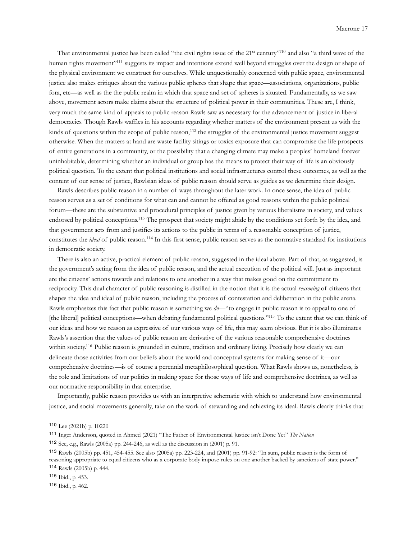That environmental justice has been called "the civil rights issue of the 21<sup>st</sup> century"<sup>110</sup> and also "a third wave of the human rights movement"<sup>111</sup> suggests its impact and intentions extend well beyond struggles over the design or shape of the physical environment we construct for ourselves. While unquestionably concerned with public space, environmental justice also makes critiques about the various public spheres that shape that space—associations, organizations, public fora, etc—as well as the the public realm in which that space and set of spheres is situated. Fundamentally, as we saw above, movement actors make claims about the structure of political power in their communities. These are, I think, very much the same kind of appeals to public reason Rawls saw as necessary for the advancement of justice in liberal democracies. Though Rawls waffles in his accounts regarding whether matters of the environment present us with the kinds of questions within the scope of public reason,<sup>[112](#page-16-2)</sup> the struggles of the environmental justice movement suggest otherwise. When the matters at hand are waste facility sitings or toxics exposure that can compromise the life prospects of entire generations in a community, or the possibility that a changing climate may make a peoples' homeland forever uninhabitable, determining whether an individual or group has the means to protect their way of life is an obviously political question. To the extent that political institutions and social infrastructures control these outcomes, as well as the content of our sense of justice, Rawlsian ideas of public reason should serve as guides as we determine their design.

 Rawls describes public reason in a number of ways throughout the later work. In once sense, the idea of public reason serves as a set of conditions for what can and cannot be offered as good reasons within the public political forum—these are the substantive and procedural principles of justice given by various liberalisms in society, and values endorsed by political conceptions[.113](#page-16-3) The prospect that society might abide by the conditions set forth by the idea, and that government acts from and justifies its actions to the public in terms of a reasonable conception of justice, constitutes the *ideal* of public reason[.114](#page-16-4) In this first sense, public reason serves as the normative standard for institutions in democratic society.

 There is also an active, practical element of public reason, suggested in the ideal above. Part of that, as suggested, is the government's acting from the idea of public reason, and the actual execution of the political will. Just as important are the citizens' actions towards and relations to one another in a way that makes good on the commitment to reciprocity. This dual character of public reasoning is distilled in the notion that it is the actual *reasoning* of citizens that shapes the idea and ideal of public reason, including the process of contestation and deliberation in the public arena. Rawls emphasizes this fact that public reason is something we *do*—"to engage in public reason is to appeal to one of [the liberal] political conceptions—when debating fundamental political questions.["115](#page-16-5) To the extent that we can think of our ideas and how we reason as expressive of our various ways of life, this may seem obvious. But it is also illuminates Rawls's assertion that the values of public reason are derivative of the various reasonable comprehensive doctrines within society.<sup>116</sup> Public reason is grounded in culture, tradition and ordinary living. Precisely how clearly we can delineate those activities from our beliefs about the world and conceptual systems for making sense of it—our comprehensive doctrines—is of course a perennial metaphilosophical question. What Rawls shows us, nonetheless, is the role and limitations of our politics in making space for those ways of life and comprehensive doctrines, as well as our normative responsibility in that enterprise.

 Importantly, public reason provides us with an interpretive schematic with which to understand how environmental justice, and social movements generally, take on the work of stewarding and achieving its ideal. Rawls clearly thinks that

<span id="page-16-0"></span><sup>110</sup> Lee (2021b) p. 10220

<span id="page-16-1"></span><sup>111</sup> Inger Anderson, quoted in Ahmed (2021) "The Father of Environmental Justice isn't Done Yet" *The Nation* 

<span id="page-16-2"></span><sup>112</sup> See, e.g., Rawls (2005a) pp. 244-246, as well as the discussion in (2001) p. 91.

<span id="page-16-3"></span><sup>113</sup> Rawls (2005b) pp. 451, 454-455. See also (2005a) pp. 223-224, and (2001) pp. 91-92: "In sum, public reason is the form of reasoning appropriate to equal citizens who as a corporate body impose rules on one another backed by sanctions of state power." <sup>114</sup> Rawls (2005b) p. 444.

<span id="page-16-5"></span><span id="page-16-4"></span><sup>115</sup> Ibid., p. 453.

<span id="page-16-6"></span><sup>116</sup> Ibid., p. 462.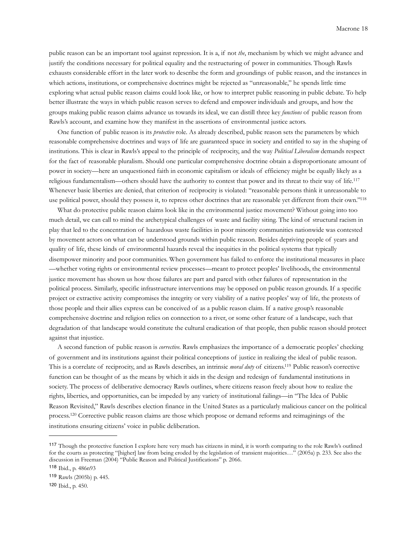public reason can be an important tool against repression. It is a, if not *the*, mechanism by which we might advance and justify the conditions necessary for political equality and the restructuring of power in communities. Though Rawls exhausts considerable effort in the later work to describe the form and groundings of public reason, and the instances in which actions, institutions, or comprehensive doctrines might be rejected as "unreasonable," he spends little time exploring what actual public reason claims could look like, or how to interpret public reasoning in public debate. To help better illustrate the ways in which public reason serves to defend and empower individuals and groups, and how the groups making public reason claims advance us towards its ideal, we can distill three key *functions* of public reason from Rawls's account, and examine how they manifest in the assertions of environmental justice actors.

 One function of public reason is its *protective* role. As already described, public reason sets the parameters by which reasonable comprehensive doctrines and ways of life are guaranteed space in society and entitled to say in the shaping of institutions. This is clear in Rawls's appeal to the principle of reciprocity, and the way *Political Liberalism* demands respect for the fact of reasonable pluralism. Should one particular comprehensive doctrine obtain a disproportionate amount of power in society—here an unquestioned faith in economic capitalism or ideals of efficiency might be equally likely as a religious fundamentalism—others should have the authority to contest that power and its threat to their way of life.[117](#page-17-0) Whenever basic liberties are denied, that criterion of reciprocity is violated: "reasonable persons think it unreasonable to use political power, should they possess it, to repress other doctrines that are reasonable yet different from their own."<sup>118</sup>

 What do protective public reason claims look like in the environmental justice movement? Without going into too much detail, we can call to mind the archetypical challenges of waste and facility siting. The kind of structural racism in play that led to the concentration of hazardous waste facilities in poor minority communities nationwide was contested by movement actors on what can be understood grounds within public reason. Besides depriving people of years and quality of life, these kinds of environmental hazards reveal the inequities in the political systems that typically disempower minority and poor communities. When government has failed to enforce the institutional measures in place —whether voting rights or environmental review processes—meant to protect peoples' livelihoods, the environmental justice movement has shown us how those failures are part and parcel with other failures of representation in the political process. Similarly, specific infrastructure interventions may be opposed on public reason grounds. If a specific project or extractive activity compromises the integrity or very viability of a native peoples' way of life, the protests of those people and their allies express can be conceived of as a public reason claim. If a native group's reasonable comprehensive doctrine and religion relies on connection to a river, or some other feature of a landscape, such that degradation of that landscape would constitute the cultural eradication of that people, then public reason should protect against that injustice.

 A second function of public reason is *corrective.* Rawls emphasizes the importance of a democratic peoples' checking of government and its institutions against their political conceptions of justice in realizing the ideal of public reason. This is a correlate of reciprocity, and as Rawls describes, an intrinsic *moral duty* of citizens[.119](#page-17-2) Public reason's corrective function can be thought of as the means by which it aids in the design and redesign of fundamental institutions in society. The process of deliberative democracy Rawls outlines, where citizens reason freely about how to realize the rights, liberties, and opportunities, can be impeded by any variety of institutional failings—in "The Idea of Public Reason Revisited," Rawls describes election finance in the United States as a particularly malicious cancer on the political process.[120](#page-17-3) Corrective public reason claims are those which propose or demand reforms and reimaginings of the institutions ensuring citizens' voice in public deliberation.

<span id="page-17-0"></span><sup>117</sup> Though the protective function I explore here very much has citizens in mind, it is worth comparing to the role Rawls's outlined for the courts as protecting "[higher] law from being eroded by the legislation of transient majorities…" (2005a) p. 233. See also the discussion in Freeman (2004) "Public Reason and Political Justifications" p. 2066.

<span id="page-17-1"></span><sup>118</sup> Ibid., p. 486n93

<span id="page-17-2"></span><sup>119</sup> Rawls (2005b) p. 445.

<span id="page-17-3"></span><sup>120</sup> Ibid., p. 450.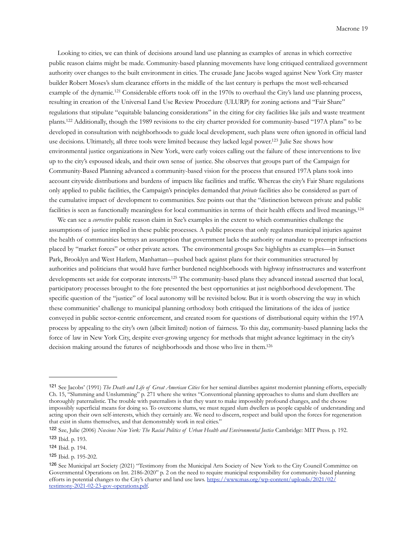Looking to cities, we can think of decisions around land use planning as examples of arenas in which corrective public reason claims might be made. Community-based planning movements have long critiqued centralized government authority over changes to the built environment in cities. The crusade Jane Jacobs waged against New York City master builder Robert Moses's slum clearance efforts in the middle of the last century is perhaps the most well-rehearsed example of the dynamic.[121](#page-18-0) Considerable efforts took off in the 1970s to overhaul the City's land use planning process, resulting in creation of the Universal Land Use Review Procedure (ULURP) for zoning actions and "Fair Share" regulations that stipulate "equitable balancing considerations" in the citing for city facilities like jails and waste treatment plants.[122](#page-18-1) Additionally, though the 1989 revisions to the city charter provided for community-based "197A plans" to be developed in consultation with neighborhoods to guide local development, such plans were often ignored in official land use decisions. Ultimately, all three tools were limited because they lacked legal power.<sup>123</sup> Julie Sze shows how environmental justice organizations in New York, were early voices calling out the failure of these interventions to live up to the city's espoused ideals, and their own sense of justice. She observes that groups part of the Campaign for Community-Based Planning advanced a community-based vision for the process that ensured 197A plans took into account citywide distributions and burdens of impacts like facilities and traffic. Whereas the city's Fair Share regulations only applied to public facilities, the Campaign's principles demanded that *private* facilities also be considered as part of the cumulative impact of development to communities. Sze points out that the "distinction between private and public facilities is seen as functionally meaningless for local communities in terms of their health effects and lived meanings.<sup>124</sup>

 We can see a *corrective* public reason claim in Sze's examples in the extent to which communities challenge the assumptions of justice implied in these public processes. A public process that only regulates municipal injuries against the health of communities betrays an assumption that government lacks the authority or mandate to preempt infractions placed by "market forces" or other private actors. The environmental groups Sze highlights as examples—in Sunset Park, Brooklyn and West Harlem, Manhattan—pushed back against plans for their communities structured by authorities and politicians that would have further burdened neighborhoods with highway infrastructures and waterfront developments set aside for corporate interests[.125](#page-18-4) The community-based plans they advanced instead asserted that local, participatory processes brought to the fore presented the best opportunities at just neighborhood development. The specific question of the "justice" of local autonomy will be revisited below. But it is worth observing the way in which these communities' challenge to municipal planning orthodoxy both critiqued the limitations of the idea of justice conveyed in public sector-centric enforcement, and created room for questions of distributional equity within the 197A process by appealing to the city's own (albeit limited) notion of fairness. To this day, community-based planning lacks the force of law in New York City, despite ever-growing urgency for methods that might advance legitimacy in the city's decision making around the futures of neighborhoods and those who live in them.<sup>126</sup>

<span id="page-18-0"></span><sup>121</sup> See Jacobs' (1991) *The Death and Life of Great American Cities* for her seminal diatribes against modernist planning efforts, especially Ch. 15, "Slumming and Unslumming" p. 271 where she writes "Conventional planning approaches to slums and slum dwelllers are thoroughly paternalistic. The trouble with paternalists is that they want to make impossibly profound changes, and the choose impossibly superficial means for doing so. To overcome slums, we must regard slum dwellers as people capable of understanding and acting upon their own self-interests, which they certainly are. We need to discern, respect and build upon the forces for regeneration that exist in slums themselves, and that demonstrably work in real cities."

<span id="page-18-1"></span><sup>122</sup> Sze, Julie (2006) *Noxious New York: The Racial Politics of Urban Health and Environmental Justice* Cambridge: MIT Press. p. 192.

<span id="page-18-2"></span><sup>123</sup> Ibid. p. 193.

<span id="page-18-3"></span><sup>124</sup> Ibid. p. 194.

<span id="page-18-4"></span><sup>125</sup> Ibid. p. 195-202.

<span id="page-18-5"></span><sup>126</sup> See Municipal art Society (2021) "Testimony from the Municipal Arts Society of New York to the City Council Committee on Governmental Operations on Int. 2186-2020" p. 2 on the need to require municipal responsibility for community-based planning efforts in potential changes to the City's charter and land use laws. [https://www.mas.org/wp-content/uploads/2021/02/](https://www.mas.org/wp-content/uploads/2021/02/testimony-2021-02-23-gov-operations.pdf) [testimony-2021-02-23-gov-operations.pdf.](https://www.mas.org/wp-content/uploads/2021/02/testimony-2021-02-23-gov-operations.pdf)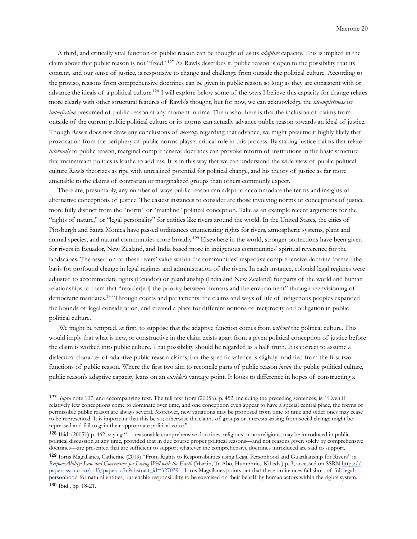A third, and critically vital function of public reason can be thought of as its *adaptive* capacity. This is implied in the claim above that public reason is not "fixed.["127](#page-19-0) As Rawls describes it, public reason is open to the possibility that its content, and our sense of justice, is responsive to change and challenge from outside the political culture. According to the proviso, reasons from comprehensive doctrines can be given in public reason so long as they are consistent with or advance the ideals of a political culture[.128](#page-19-1) I will explore below some of the ways I believe this capacity for change relates more clearly with other structural features of Rawls's thought, but for now, we can acknowledge the *incompleteness* or *imperfection* presumed of public reason at any moment in time. The upshot here is that the inclusion of claims from outside of the current public political culture or its norms can actually advance public reason towards an ideal of justice. Though Rawls does not draw any conclusions of *necessity* regarding that advance, we might presume it highly likely that provocation from the periphery of public norms plays a critical role in this process. By staking justice claims that relate *internally* to public reason, marginal comprehensive doctrines can provoke reform of institutions in the basic structure that mainstream politics is loathe to address. It is in this way that we can understand the wide view of public political culture Rawls theorizes as ripe with unrealized potential for political change, and his theory of justice as far more amenable to the claims of contrarian or marginalized groups than others commonly expect.

 There are, presumably, any number of ways public reason can adapt to accommodate the terms and insights of alternative conceptions of justice. The easiest instances to consider are those involving norms or conceptions of justice more fully distinct from the "norm" or "mainline" political conception. Take as an example recent arguments for the "rights of nature," or "legal personality" for entities like rivers around the world. In the United States, the cities of Pittsburgh and Santa Monica have passed ordinances enumerating rights for rivers, atmospheric systems, plant and animal species, and natural communities more broadly.<sup>129</sup> Elsewhere in the world, stronger protections have been given for rivers in Ecuador, New Zealand, and India based more in indigenous communities' spiritual reverence for the landscapes. The assertion of these rivers' value within the communities' respective comprehensive doctrine formed the basis for profound change in legal regimes and administration of the rivers. In each instance, colonial legal regimes were adjusted to accommodate rights (Ecuador) or guardianship (India and New Zealand) for parts of the world and human relationships to them that "reorder[ed] the priority between humans and the environment" through reenvisioning of democratic mandates.[130](#page-19-3) Through courts and parliaments, the claims and ways of life of indigenous peoples expanded the bounds of legal consideration, and created a place for different notions of reciprocity and obligation in public political culture.

 We might be tempted, at first, to suppose that the adaptive function comes from *without* the political culture. This would imply that what is new, or constructive in the claim exists apart from a given political conception of justice before the claim is worked into public culture. That possibility should be regarded as a half truth. It is correct to assume a dialectical character of adaptive public reason claims, but the specific valence is slightly modified from the first two functions of public reason. Where the first two aim to reconcile parts of public reason *inside* the public political culture, public reason's adaptive capacity leans on an *outsider's* vantage point. It looks to difference in hopes of constructing a

<span id="page-19-0"></span><sup>127</sup> *Supra* note 107, and accompanying text. The full text from (2005b), p. 452, including the preceding sentences, is: "Even if relatively few conceptions come to dominate over time, and one conception even appear to have a special central place, the forms of permissible public reason are always several. Moreover, new variations may be proposed from time to time and older ones may cease to be represented. It is important that this be so; otherwise the claims of groups or interests arising from social change might be repressed and fail to gain their appropriate political voice."

<span id="page-19-1"></span><sup>128</sup> Ibid. (2005b) p. 462, saying "… reasonable comprehensive doctrines, religious or nonreligious, may be introduced in public political discussion at any time, provided that in due course proper political reasons—and not reasons given solely by comprehensive doctrines—are presented that are sufficient to support whatever the comprehensive doctrines introduced are said to support.

<span id="page-19-3"></span><span id="page-19-2"></span><sup>129</sup> Iorns Magallanes, Catherine (2019) "From Rights to Responsibilities using Legal Personhood and Guardianship for Rivers" in *ResponsAbility: Law and Governance for Living Well with the Earth* (Martin, Te Aho, Humphries-Kil eds.) p. 3, accessed on SSRN [https://](https://papers.ssrn.com/sol3/papers.cfm?abstract_id=3270391) [papers.ssrn.com/sol3/papers.cfm?abstract\\_id=3270391](https://papers.ssrn.com/sol3/papers.cfm?abstract_id=3270391). Iorns Magallanes points out that these ordinances fall short of full legal personhood for natural entities, but enable responsibility to be exercised on their behalf by human actors within the rights system. <sup>130</sup> Ibid., pp. 18-21.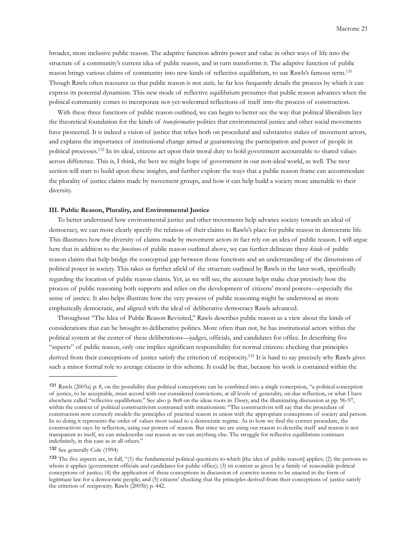broader, more inclusive public reason. The adaptive function admits power and value in other ways of life into the structure of a community's current idea of public reason, and in turn transforms it. The adaptive function of public reason brings various claims of community into new kinds of reflective equilibrium, to use Rawls's famous term[.131](#page-20-0) Though Rawls often reassures us that public reason is not *static,* he far less frequently details the process by which it can express its potential dynamism. This new mode of reflective equilibrium presumes that public reason advances when the political community comes to incorporate not-yet-welcomed reflections of itself into the process of construction.

With these three functions of public reason outlined, we can begin to better see the way that political liberalism lays the theoretical foundation for the kinds of *transformative* politics that environmental justice and other social movements have pioneered. It is indeed a vision of justice that relies both on procedural and substantive stakes of movement actors, and explains the importance of institutional change aimed at guaranteeing the participation and power of people in political processes.[132](#page-20-1) In its ideal, citizens act upon their moral duty to hold government accountable to shared values across difference. This is, I think, the best we might hope of government in our non-ideal world, as well. The next section will start to build upon these insights, and further explore the ways that a public reason frame can accommodate the plurality of justice claims made by movement groups, and how it can help build a society more amenable to their diversity.

# **III. Public Reason, Plurality, and Environmental Justice**

 To better understand how environmental justice and other movements help advance society towards an ideal of democracy, we can more clearly specify the relation of their claims to Rawls's place for public reason in democratic life. This illustrates how the diversity of claims made by movement actors in fact rely on an idea of public reason. I will argue here that in addition to the *functions* of public reason outlined above, we can further delineate three *kinds* of public reason claims that help bridge the conceptual gap between those functions and an understanding of the dimensions of political power in society. This takes us further afield of the structure outlined by Rawls in the later work, specifically regarding the location of public reason claims. Yet, as we will see, the account helps make clear precisely how the process of public reasoning both supports and relies on the development of citizens' moral powers—especially the sense of justice. It also helps illustrate how the very process of public reasoning might be understood as more emphatically democratic, and aligned with the ideal of deliberative democracy Rawls advanced.

 Throughout "The Idea of Public Reason Revisited," Rawls describes public reason as a view about the kinds of considerations that can be brought to deliberative politics. More often than not, he has institutional actors within the political system at the center of these deliberations—judges, officials, and candidates for office. In describing five "aspects" of public reason, only one implies significant responsibility for normal citizens: checking that principles derived from their conceptions of justice satisfy the criterion of reciprocity.<sup>133</sup> It is hard to say precisely why Rawls gives such a minor formal role to average citizens in this scheme. It could be that, because his work is contained within the

<span id="page-20-0"></span><sup>131</sup> Rawls (2005a) p. 8, on the possibility that political conceptions can be combined into a single conception, "a political conception of justice, to be acceptable, must accord with our considered convictions, at all levels of generality, on due reflection, or what I have elsewhere called "reflective equilibrium." See also p. 8n8 on the ideas roots in *Theory*, and the illuminating discussion at pp. 96-97, within the context of political constructivism contrasted with intuitionism: "The constructivist will say that the procedure of construction now correctly models the principles of practical reason in union with the appropriate conceptions of society and person. In so doing it represents the order of values most suited to a democratic regime. As to how we find the correct procedure, the constructivist says: by reflection, using our powers of reason. But since we are using our reason to describe itself and reason is not transparent to itself, we can misdescribe our reason as we can anything else. The struggle for reflective equilibrium continues indefinitely, in this case as in all others."

<span id="page-20-1"></span><sup>132</sup> See generally Cole (1994)

<span id="page-20-2"></span><sup>133</sup> The five aspects are, in full, "(1) the fundamental political questions to which [the idea of public reason] applies; (2) the persons to whom it applies (government officials and candidates for public office); (3) its content as given by a family of reasonable political conceptions of justice; (4) the application of these conceptions in discussion of coercive norms to be enacted in the form of legitimate law for a democratic people; and (5) citizens' checking that the principles derived from their conceptions of justice satisfy the criterion of reciprocity. Rawls (2005b) p. 442.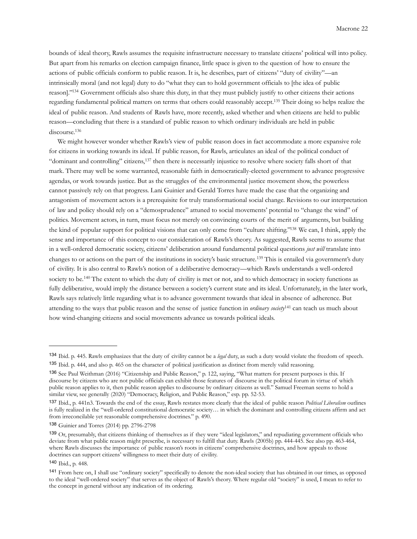bounds of ideal theory, Rawls assumes the requisite infrastructure necessary to translate citizens' political will into policy. But apart from his remarks on election campaign finance, little space is given to the question of how to ensure the actions of public officials conform to public reason. It is, he describes, part of citizens' "duty of civility"—an intrinsically moral (and not legal) duty to do "what they can to hold government officials to [the idea of public reason].["134](#page-21-0) Government officials also share this duty, in that they must publicly justify to other citizens their actions regarding fundamental political matters on terms that others could reasonably accept[.135](#page-21-1) Their doing so helps realize the ideal of public reason. And students of Rawls have, more recently, asked whether and when citizens are held to public reason—concluding that there is a standard of public reason to which ordinary individuals are held in public discourse.<sup>136</sup>

 We might however wonder whether Rawls's view of public reason does in fact accommodate a more expansive role for citizens in working towards its ideal. If public reason, for Rawls, articulates an ideal of the political conduct of "dominant and controlling" citizens,[137](#page-21-3) then there is necessarily injustice to resolve where society falls short of that mark. There may well be some warranted, reasonable faith in democratically-elected government to advance progressive agendas, or work towards justice. But as the struggles of the environmental justice movement show, the powerless cannot passively rely on that progress. Lani Guinier and Gerald Torres have made the case that the organizing and antagonism of movement actors is a prerequisite for truly transformational social change. Revisions to our interpretation of law and policy should rely on a "demosprudence" attuned to social movements' potential to "change the wind" of politics. Movement actors, in turn, must focus not merely on convincing courts of the merit of arguments, but building the kind of popular support for political visions that can only come from "culture shifting.["138](#page-21-4) We can, I think, apply the sense and importance of this concept to our consideration of Rawls's theory. As suggested, Rawls seems to assume that in a well-ordered democratic society, citizens' deliberation around fundamental political questions *just will* translate into changes to or actions on the part of the institutions in society's basic structure.[139](#page-21-5) This is entailed via government's duty of civility. It is also central to Rawls's notion of a deliberative democracy—which Rawls understands a well-ordered society to be.<sup>[140](#page-21-6)</sup> The extent to which the duty of civility is met or not, and to which democracy in society functions as fully deliberative, would imply the distance between a society's current state and its ideal. Unfortunately, in the later work, Rawls says relatively little regarding what is to advance government towards that ideal in absence of adherence. But attending to the ways that public reason and the sense of justice function in *ordinary society*[141](#page-21-7) can teach us much about how wind-changing citizens and social movements advance us towards political ideals.

<span id="page-21-1"></span><span id="page-21-0"></span><sup>134</sup> Ibid. p. 445. Rawls emphasizes that the duty of civility cannot be a *legal* duty, as such a duty would violate the freedom of speech. <sup>135</sup> Ibid. p. 444, and also p. 465 on the character of political justification as distinct from merely valid reasoning.

<span id="page-21-2"></span><sup>136</sup> See Paul Weithman (2016) "Citizenship and Public Reason," p. 122, saying, "What matters for present purposes is this. If discourse by citizens who are not public officials can exhibit those features of discourse in the political forum in virtue of which public reason applies to it, then public reason applies to discourse by ordinary citizens as well." Samuel Freeman seems to hold a similar view, see generally (2020) "Democracy, Religion, and Public Reason," esp. pp. 52-53.

<span id="page-21-3"></span><sup>137</sup> Ibid., p. 441n3. Towards the end of the essay, Rawls restates more clearly that the ideal of public reason *Political Liberalism* outlines is fully realized in the "well-ordered constitutional democratic society… in which the dominant and controlling citizens affirm and act from irreconcilable yet reasonable comprehensive doctrines." p. 490.

<span id="page-21-4"></span><sup>138</sup> Guinier and Torres (2014) pp. 2796-2798

<span id="page-21-5"></span><sup>139</sup> Or, presumably, that citizens thinking of themselves as if they were "ideal legislators," and repudiating government officials who deviate from what public reason might prescribe, is necessary to fulfill that duty. Rawls (2005b) pp. 444-445. See also pp. 463-464, where Rawls discusses the importance of public reason's roots in citizens' comprehensive doctrines, and how appeals to those doctrines can support citizens' willingness to meet their duty of civility.

<span id="page-21-6"></span><sup>140</sup> Ibid., p. 448.

<span id="page-21-7"></span><sup>141</sup> From here on, I shall use "ordinary society" specifically to denote the non-ideal society that has obtained in our times, as opposed to the ideal "well-ordered society" that serves as the object of Rawls's theory. Where regular old "society" is used, I mean to refer to the concept in general without any indication of its ordering.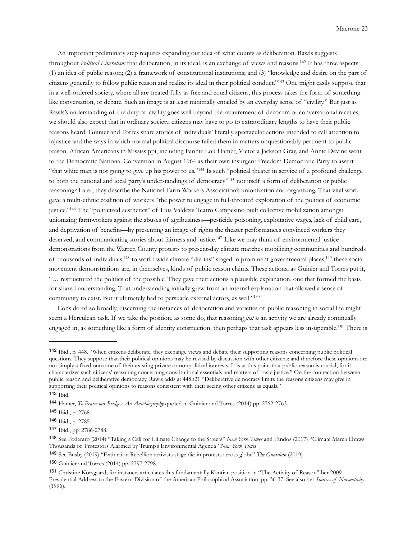An important preliminary step requires expanding our idea of what counts as deliberation. Rawls suggests throughout *Political Liberalism* that deliberation, in its ideal, is an exchange of views and reasons[.142](#page-22-0) It has three aspects: (1) an idea of public reason; (2) a framework of constitutional institutions; and (3) "knowledge and desire on the part of citizens generally to follow public reason and realize its ideal in their political conduct.["143](#page-22-1) One might easily suppose that in a well-ordered society, where all are treated fully as free and equal citizens, this process takes the form of something like conversation, or debate. Such an image is at least minimally entailed by an everyday sense of "civility." But just as Rawls's understanding of the duty of civility goes well beyond the requirement of decorum or conversational niceties, we should also expect that in ordinary society, citizens may have to go to extraordinary lengths to have their public reasons heard. Guinier and Torres share stories of individuals' literally spectacular actions intended to call attention to injustice and the ways in which normal political discourse failed them in matters unquestionably pertinent to public reason. African Americans in Mississippi, including Fannie Lou Hamer, Victoria Jackson Gray, and Annie Devine went to the Democratic National Convention in August 1964 as their own insurgent Freedom Democratic Party to assert "that white man is not going to give up his power to us.["144](#page-22-2) Is such "political theater in service of a profound challenge to both the national and local party's understandings of democracy"<sup>145</sup> not itself a form of deliberation or public reasoning? Later, they describe the National Farm Workers Association's unionization and organizing. That vital work gave a multi-ethnic coalition of workers "the power to engage in full-throated exploration of the politics of economic justice.["146](#page-22-4) The "politicized aesthetics" of Luis Valdez's Teatro Campesino built collective mobilization amongst unionizing farmworkers against the abuses of agribusiness—pesticide poisoning, exploitative wages, lack of child care, and deprivation of benefits—by presenting an image of rights the theater performances convinced workers they deserved, and communicating stories about fairness and justice.<sup>147</sup> Like we may think of environmental justice demonstrations from the Warren County protests to present-day climate marches mobilizing communities and hundreds of thousands of individuals[,148](#page-22-6) to world-wide climate "die-ins" staged in prominent governmental places[,149](#page-22-7) these social movement demonstrations are, in themselves, kinds of public reason claims. These actions, as Guinier and Torres put it, "… restructured the politics of the possible. They gave their actions a plausible explanation, one that formed the basis for shared understanding. That understanding initially grew from an internal explanation that allowed a sense of community to exist. But it ultimately had to persuade external actors, as well.["150](#page-22-8)

 Considered so broadly, discerning the instances of deliberation and varieties of public reasoning in social life might seem a Herculean task. If we take the position, as some do, that reasoning *just is* an activity we are already continually engaged in, as something like a form of identity construction, then perhaps that task appears less insuperable.[151](#page-22-9) There is

<span id="page-22-0"></span><sup>142</sup> Ibid., p. 448. "When citizens deliberate, they exchange views and debate their supporting reasons concerning public political questions. They suppose that their political opinions may be revised by discussion with other citizens; and therefore these opinions are not simply a fixed outcome of their existing private or nonpolitical interests. It is at this point that public reason is crucial, for it characterizes such citizens' reasoning concerning constitutional essentials and matters of basic justice." On the connection between public reason and deliberative democracy, Rawls adds at 448n21 "Deliberative democracy limits the reasons citizens may give in supporting their political opinions to reasons consistent with their seeing other citizens as equals." <sup>143</sup> Ibid.

<span id="page-22-1"></span>

<span id="page-22-2"></span><sup>144</sup> Hamer, *To Praise our Bridges: An Autobiography* quoted in Guinier and Torres (2014) pp. 2762-2763.

<span id="page-22-3"></span><sup>145</sup> Ibid., p. 2768.

<span id="page-22-4"></span><sup>146</sup> Ibid., p. 2785.

<span id="page-22-5"></span><sup>147</sup> Ibid., pp. 2786-2788.

<span id="page-22-6"></span><sup>148</sup> See Foderaro (2014) "Taking a Call for Climate Change to the Streets" *New York Times* and Fandos (2017) "Climate March Draws Thousands of Protestors Alarmed by Trump's Environmental Agenda" *New York Times*

<span id="page-22-7"></span><sup>149</sup> See Busby (2019) "Extinction Rebellion activists stage die-in protests across globe" *The Guardian* (2019)

<span id="page-22-8"></span><sup>150</sup> Guinier and Torres (2014) pp. 2797-2798.

<span id="page-22-9"></span><sup>151</sup> Christine Korsgaard, for instance, articulates this fundamentally Kantian position in "The Activity of Reason" her 2009 Presidential Address to the Eastern Division of the American Philosophical Association, pp. 36-37. See also her *Sources of Normativity*  (1996).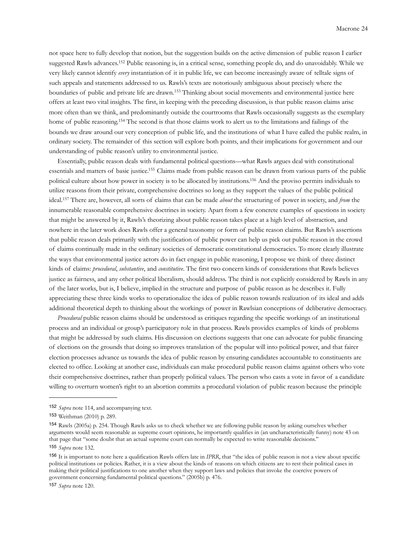not space here to fully develop that notion, but the suggestion builds on the active dimension of public reason I earlier suggested Rawls advances[.152](#page-23-0) Public reasoning is, in a critical sense, something people do, and do unavoidably. While we very likely cannot identify *every* instantiation of it in public life, we can become increasingly aware of telltale signs of such appeals and statements addressed to us. Rawls's texts are notoriously ambiguous about precisely where the boundaries of public and private life are drawn.[153](#page-23-1) Thinking about social movements and environmental justice here offers at least two vital insights. The first, in keeping with the preceding discussion, is that public reason claims arise more often than we think, and predominantly outside the courtrooms that Rawls occasionally suggests as the exemplary home of public reasoning.<sup>154</sup> The second is that those claims work to alert us to the limitations and failings of the bounds we draw around our very conception of public life, and the institutions of what I have called the public realm, in ordinary society. The remainder of this section will explore both points, and their implications for government and our understanding of public reason's utility to environmental justice.

 Essentially, public reason deals with fundamental political questions—what Rawls argues deal with constitutional essentials and matters of basic justice[.155](#page-23-3) Claims made from public reason can be drawn from various parts of the public political culture about how power in society is to be allocated by institutions[.156](#page-23-4) And the proviso permits individuals to utilize reasons from their private, comprehensive doctrines so long as they support the values of the public political ideal.[157](#page-23-5) There are, however, all sorts of claims that can be made *about* the structuring of power in society, and *from* the innumerable reasonable comprehensive doctrines in society. Apart from a few concrete examples of questions in society that might be answered by it, Rawls's theorizing about public reason takes place at a high level of abstraction, and nowhere in the later work does Rawls offer a general taxonomy or form of public reason claims. But Rawls's assertions that public reason deals primarily with the justification of public power can help us pick out public reason in the crowd of claims continually made in the ordinary societies of democratic constitutional democracies. To more clearly illustrate the ways that environmental justice actors do in fact engage in public reasoning, I propose we think of three distinct kinds of claims: *procedural*, *substantive*, and *constitutive*. The first two concern kinds of considerations that Rawls believes justice as fairness, and any other political liberalism, should address. The third is not explicitly considered by Rawls in any of the later works, but is, I believe, implied in the structure and purpose of public reason as he describes it. Fully appreciating these three kinds works to operationalize the idea of public reason towards realization of its ideal and adds additional theoretical depth to thinking about the workings of power in Rawlsian conceptions of deliberative democracy.

 *Procedural* public reason claims should be understood as critiques regarding the specific workings of an institutional process and an individual or group's participatory role in that process. Rawls provides examples of kinds of problems that might be addressed by such claims. His discussion on elections suggests that one can advocate for public financing of elections on the grounds that doing so improves translation of the popular will into political power, and that fairer election processes advance us towards the idea of public reason by ensuring candidates accountable to constituents are elected to office. Looking at another case, individuals can make procedural public reason claims against others who vote their comprehensive doctrines, rather than properly political values. The person who casts a vote in favor of a candidate willing to overturn women's right to an abortion commits a procedural violation of public reason because the principle

<span id="page-23-0"></span><sup>152</sup> *Supra* note 114, and accompanying text.

<span id="page-23-1"></span><sup>153</sup> Weithman (2010) p. 289.

<span id="page-23-2"></span><sup>154</sup> Rawls (2005a) p. 254. Though Rawls asks us to check whether we are following public reason by asking ourselves whether arguments would seem reasonable as supreme court opinions, he importantly qualifies in (an uncharacteristically funny) note 43 on that page that "some doubt that an actual supreme court can normally be expected to write reasonable decisions." <sup>155</sup> *Supra* note 132.

<span id="page-23-3"></span>

<span id="page-23-4"></span><sup>156</sup> It is important to note here a qualification Rawls offers late in *IPRR*, that "the idea of public reason is not a view about specific political institutions or policies. Rather, it is a view about the kinds of reasons on which citizens are to rest their political cases in making their political justifications to one another when they support laws and policies that invoke the coercive powers of government concerning fundamental political questions." (2005b) p. 476.

<span id="page-23-5"></span><sup>157</sup> *Supra* note 120.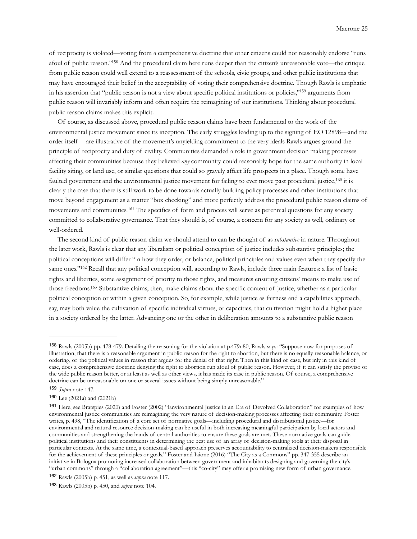of reciprocity is violated—voting from a comprehensive doctrine that other citizens could not reasonably endorse "runs afoul of public reason.["158](#page-24-0) And the procedural claim here runs deeper than the citizen's unreasonable vote—the critique from public reason could well extend to a reassessment of the schools, civic groups, and other public institutions that may have encouraged their belief in the acceptability of voting their comprehensive doctrine. Though Rawls is emphatic in his assertion that "public reason is not a view about specific political institutions or policies,"<sup>159</sup> arguments from public reason will invariably inform and often require the reimagining of our institutions. Thinking about procedural public reason claims makes this explicit.

 Of course, as discussed above, procedural public reason claims have been fundamental to the work of the environmental justice movement since its inception. The early struggles leading up to the signing of EO 12898—and the order itself— are illustrative of the movement's unyielding commitment to the very ideals Rawls argues ground the principle of reciprocity and duty of civility. Communities demanded a role in government decision making processes affecting their communities because they believed *any* community could reasonably hope for the same authority in local facility siting, or land use, or similar questions that could so gravely affect life prospects in a place. Though some have faulted government and the environmental justice movement for failing to ever move past procedural justice,<sup>[160](#page-24-2)</sup> it is clearly the case that there is still work to be done towards actually building policy processes and other institutions that move beyond engagement as a matter "box checking" and more perfectly address the procedural public reason claims of movements and communities.[161](#page-24-3) The specifics of form and process will serve as perennial questions for any society committed to collaborative governance. That they should is, of course, a concern for any society as well, ordinary or well-ordered.

 The second kind of public reason claim we should attend to can be thought of as *substantive* in nature. Throughout the later work, Rawls is clear that any liberalism or political conception of justice includes substantive principles; the political conceptions will differ "in how they order, or balance, political principles and values even when they specify the same ones."<sup>162</sup> Recall that any political conception will, according to Rawls, include three main features: a list of basic rights and liberties, some assignment of priority to those rights, and measures ensuring citizens' means to make use of those freedoms[.163](#page-24-5) Substantive claims, then, make claims about the specific content of justice, whether as a particular political conception or within a given conception. So, for example, while justice as fairness and a capabilities approach, say, may both value the cultivation of specific individual virtues, or capacities, that cultivation might hold a higher place in a society ordered by the latter. Advancing one or the other in deliberation amounts to a substantive public reason

<span id="page-24-0"></span><sup>158</sup> Rawls (2005b) pp. 478-479. Detailing the reasoning for the violation at p.479n80, Rawls says: "Suppose now for purposes of illustration, that there is a reasonable argument in public reason for the right to abortion, but there is no equally reasonable balance, or ordering, of the political values in reason that argues for the denial of that right. Then in this kind of case, but inly in this kind of case, does a comprehensive doctrine denying the right to abortion run afoul of public reason. However, if it can satisfy the proviso of the wide public reason better, or at least as well as other views, it has made its case in public reason. Of course, a comprehensive doctrine can be unreasonable on one or several issues without being simply unreasonable."

<span id="page-24-1"></span><sup>159</sup> *Supra* note 147.

<span id="page-24-2"></span><sup>160</sup> Lee (2021a) and (2021b)

<span id="page-24-3"></span><sup>161</sup> Here, see Bratspies (2020) and Foster (2002) "Environmental Justice in an Era of Devolved Collaboration" for examples of how environmental justice communities are reimagining the very nature of decision-making processes affecting their community. Foster writes, p. 498, "The identification of a core set of normative goals—including procedural and distributional justice—for environmental and natural resource decision-making can be useful in both increasing meaningful participation by local actors and communities and strengthening the hands of central authorities to ensure these goals are met. These normative goals can guide political institutions and their constituents in determining the best use of an array of decision-making tools at their disposal in particular contexts. At the same time, a contextual-based approach preserves accountability to centralized decision-makers responsible for the achievement of these principles or goals." Foster and Iaione (2016) "The City as a Commons" pp. 347-355 describe an initiative in Bologna promoting increased collaboration between government and inhabitants designing and governing the city's "urban commons" through a "collaboration agreement"—this "co-city" may offer a promising new form of urban governance.

<span id="page-24-4"></span><sup>162</sup> Rawls (2005b) p. 451, as well as *supra* note 117.

<span id="page-24-5"></span><sup>163</sup> Rawls (2005b) p. 450, and *supra* note 104.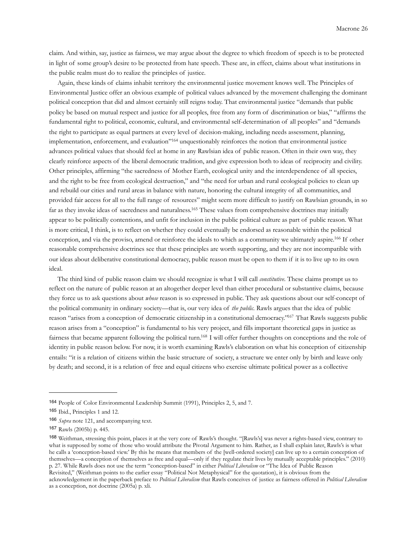claim. And within, say, justice as fairness, we may argue about the degree to which freedom of speech is to be protected in light of some group's desire to be protected from hate speech. These are, in effect, claims about what institutions in the public realm must do to realize the principles of justice.

 Again, these kinds of claims inhabit territory the environmental justice movement knows well. The Principles of Environmental Justice offer an obvious example of political values advanced by the movement challenging the dominant political conception that did and almost certainly still reigns today. That environmental justice "demands that public policy be based on mutual respect and justice for all peoples, free from any form of discrimination or bias," "affirms the fundamental right to political, economic, cultural, and environmental self-determination of all peoples" and "demands the right to participate as equal partners at every level of decision-making, including needs assessment, planning, implementation, enforcement, and evaluation"[164](#page-25-0) unquestionably reinforces the notion that environmental justice advances political values that should feel at home in any Rawlsian idea of public reason. Often in their own way, they clearly reinforce aspects of the liberal democratic tradition, and give expression both to ideas of reciprocity and civility. Other principles, affirming "the sacredness of Mother Earth, ecological unity and the interdependence of all species, and the right to be free from ecological destruction," and "the need for urban and rural ecological policies to clean up and rebuild our cities and rural areas in balance with nature, honoring the cultural integrity of all communities, and provided fair access for all to the full range of resources" might seem more difficult to justify on Rawlsian grounds, in so far as they invoke ideas of sacredness and naturalness[.165](#page-25-1) These values from comprehensive doctrines may initially appear to be politically contentions, and unfit for inclusion in the public political culture as part of public reason. What is more critical, I think, is to reflect on whether they could eventually be endorsed as reasonable within the political conception, and via the proviso, amend or reinforce the ideals to which as a community we ultimately aspire[.166](#page-25-2) If other reasonable comprehensive doctrines see that these principles are worth supporting, and they are not incompatible with our ideas about deliberative constitutional democracy, public reason must be open to them if it is to live up to its own ideal.

 The third kind of public reason claim we should recognize is what I will call *constitutive*. These claims prompt us to reflect on the nature of public reason at an altogether deeper level than either procedural or substantive claims, because they force us to ask questions about *whose* reason is so expressed in public. They ask questions about our self-concept of the political community in ordinary society—that is, our very idea of *the public*. Rawls argues that the idea of public reason "arises from a conception of democratic citizenship in a constitutional democracy.["167](#page-25-3) That Rawls suggests public reason arises from a "conception" is fundamental to his very project, and fills important theoretical gaps in justice as fairness that became apparent following the political turn[.168](#page-25-4) I will offer further thoughts on conceptions and the role of identity in public reason below. For now, it is worth examining Rawls's elaboration on what his conception of citizenship entails: "it is a relation of citizens within the basic structure of society, a structure we enter only by birth and leave only by death; and second, it is a relation of free and equal citizens who exercise ultimate political power as a collective

<span id="page-25-0"></span><sup>164</sup> People of Color Environmental Leadership Summit (1991), Principles 2, 5, and 7.

<span id="page-25-1"></span><sup>165</sup> Ibid., Principles 1 and 12.

<span id="page-25-2"></span><sup>166</sup> *Supra* note 121, and accompanying text.

<span id="page-25-3"></span><sup>167</sup> Rawls (2005b) p. 445.

<span id="page-25-4"></span><sup>168</sup> Weithman, stressing this point, places it at the very core of Rawls's thought. "[Rawls's] was never a rights-based view, contrary to what is supposed by some of those who would attribute the Pivotal Argument to him. Rather, as I shall explain later, Rawls's is what he calls a 'conception-based view.' By this he means that members of the [well-ordered society] can live up to a certain conception of themselves—a conception of themselves as free and equal—only if they regulate their lives by mutually acceptable principles." (2010) p. 27. While Rawls does not use the term "conception-based" in either *Political Liberalism* or "The Idea of Public Reason Revisited," (Weithman points to the earlier essay "Political Not Metaphysical" for the quotation), it is obvious from the acknowledgement in the paperback preface to *Political Liberalism* that Rawls conceives of justice as fairness offered in *Political Liberalism* as a conception, not doctrine (2005a) p. xli.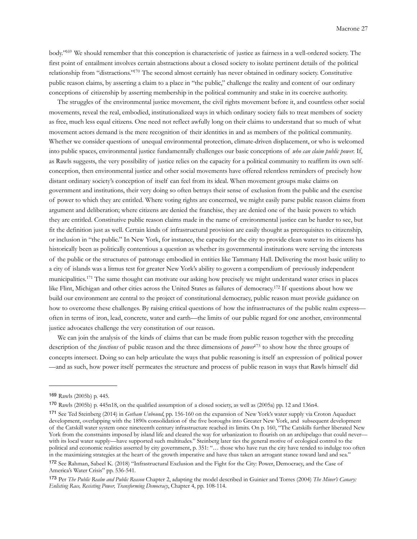body.["169](#page-26-0) We should remember that this conception is characteristic of justice as fairness in a well-ordered society. The first point of entailment involves certain abstractions about a closed society to isolate pertinent details of the political relationship from "distractions.["170](#page-26-1) The second almost certainly has never obtained in ordinary society. Constitutive public reason claims, by asserting a claim to a place in "the public," challenge the reality and content of our ordinary conceptions of citizenship by asserting membership in the political community and stake in its coercive authority.

 The struggles of the environmental justice movement, the civil rights movement before it, and countless other social movements, reveal the real, embodied, institutionalized ways in which ordinary society fails to treat members of society as free, much less equal citizens. One need not reflect awfully long on their claims to understand that so much of what movement actors demand is the mere recognition of their identities in and as members of the political community. Whether we consider questions of unequal environmental protection, climate-driven displacement, or who is welcomed into public spaces, environmental justice fundamentally challenges our basic conceptions of *who can claim public power.* If, as Rawls suggests, the very possibility of justice relies on the capacity for a political community to reaffirm its own selfconception, then environmental justice and other social movements have offered relentless reminders of precisely how distant ordinary society's conception of itself can feel from its ideal. When movement groups make claims on government and institutions, their very doing so often betrays their sense of exclusion from the public and the exercise of power to which they are entitled. Where voting rights are concerned, we might easily parse public reason claims from argument and deliberation; where citizens are denied the franchise, they are denied one of the basic powers to which they are entitled. Constitutive public reason claims made in the name of environmental justice can be harder to see, but fit the definition just as well. Certain kinds of infrastructural provision are easily thought as prerequisites to citizenship, or inclusion in "the public." In New York, for instance, the capacity for the city to provide clean water to its citizens has historically been as politically contentious a question as whether its governmental institutions were serving the interests of the public or the structures of patronage embodied in entities like Tammany Hall. Delivering the most basic utility to a city of islands was a litmus test for greater New York's ability to govern a compendium of previously independent municipalities.[171](#page-26-2) The same thought can motivate our asking how precisely we might understand water crises in places like Flint, Michigan and other cities across the United States as failures of democracy[.172](#page-26-3) If questions about how we build our environment are central to the project of constitutional democracy, public reason must provide guidance on how to overcome these challenges. By raising critical questions of how the infrastructures of the public realm express often in terms of iron, lead, concrete, water and earth—the limits of our public regard for one another, environmental justice advocates challenge the very constitution of our reason.

We can join the analysis of the kinds of claims that can be made from public reason together with the preceding description of the *functions* of public reason and the three dimensions of *power*[173](#page-26-4) to show how the three groups of concepts intersect. Doing so can help articulate the ways that public reasoning is itself an expression of political power —and as such, how power itself permeates the structure and process of public reason in ways that Rawls himself did

<span id="page-26-0"></span><sup>169</sup> Rawls (2005b) p. 445.

<span id="page-26-1"></span><sup>170</sup> Rawls (2005b) p. 445n18, on the qualified assumption of a closed society, as well as (2005a) pp. 12 and 136n4.

<span id="page-26-2"></span><sup>171</sup> See Ted Steinberg (2014) in *Gotham Unbound*, pp. 156-160 on the expansion of New York's water supply via Croton Aqueduct development, overlapping with the 1890s consolidation of the five boroughs into Greater New York, and subsequent development of the Catskill water system once nineteenth century infrastructure reached its limits. On p. 160, "The Catskills further liberated New York from the constraints imposed by island life and cleared the way for urbanization to flourish on an archipelago that could never with its local water supply—have supported such multitudes." Steinberg later ties the general motive of ecological control to the political and economic realities asserted by city government, p. 351: "… those who have run the city have tended to indulge too often in the maximizing strategies at the heart of the growth imperative and have thus taken an arrogant stance toward land and sea." <sup>172</sup> See Rahman, Sabeel K. (2018) "Infrastructural Exclusion and the Fight for the City: Power, Democracy, and the Case of America's Water Crisis" pp. 536-541.

<span id="page-26-4"></span><span id="page-26-3"></span><sup>173</sup> Per *The Public Realm and Public Reason* Chapter 2, adapting the model described in Guinier and Torres (2004) *The Miner's Canary: Enlisting Race, Resisting Power, Transforming Democracy*, Chapter 4, pp. 108-114.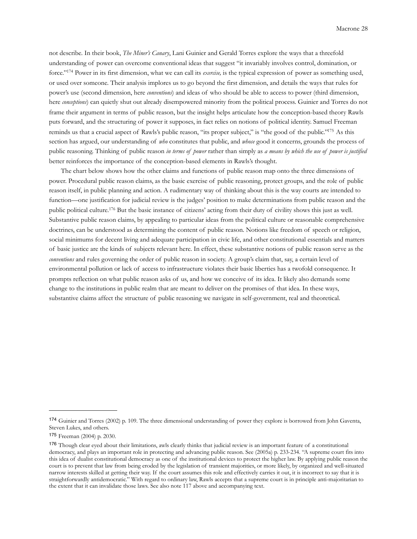not describe. In their book, *The Miner's Canary*, Lani Guinier and Gerald Torres explore the ways that a threefold understanding of power can overcome conventional ideas that suggest "it invariably involves control, domination, or force.["174](#page-27-0) Power in its first dimension, what we can call its *exercise,* is the typical expression of power as something used, or used over someone. Their analysis implores us to go beyond the first dimension, and details the ways that rules for power's use (second dimension, here *conventions*) and ideas of who should be able to access to power (third dimension, here *conceptions*) can quietly shut out already disempowered minority from the political process. Guinier and Torres do not frame their argument in terms of public reason, but the insight helps articulate how the conception-based theory Rawls puts forward, and the structuring of power it supposes, in fact relies on notions of political identity. Samuel Freeman reminds us that a crucial aspect of Rawls's public reason, "its proper subject," is "the good of the public.["175](#page-27-1) As this section has argued, our understanding of *who* constitutes that public, and *whose* good it concerns, grounds the process of public reasoning. Thinking of public reason *in terms of power* rather than simply as *a means by which the use of power is justified* better reinforces the importance of the conception-based elements in Rawls's thought.

 The chart below shows how the other claims and functions of public reason map onto the three dimensions of power. Procedural public reason claims, as the basic exercise of public reasoning, protect groups, and the role of public reason itself, in public planning and action. A rudimentary way of thinking about this is the way courts are intended to function—one justification for judicial review is the judges' position to make determinations from public reason and the public political culture[.176](#page-27-2) But the basic instance of citizens' acting from their duty of civility shows this just as well. Substantive public reason claims, by appealing to particular ideas from the political culture or reasonable comprehensive doctrines, can be understood as determining the content of public reason. Notions like freedom of speech or religion, social minimums for decent living and adequate participation in civic life, and other constitutional essentials and matters of basic justice are the kinds of subjects relevant here. In effect, these substantive notions of public reason serve as the *conventions* and rules governing the order of public reason in society. A group's claim that, say, a certain level of environmental pollution or lack of access to infrastructure violates their basic liberties has a twofold consequence. It prompts reflection on what public reason asks of us, and how we conceive of its idea. It likely also demands some change to the institutions in public realm that are meant to deliver on the promises of that idea. In these ways, substantive claims affect the structure of public reasoning we navigate in self-government, real and theoretical.

<span id="page-27-0"></span><sup>174</sup> Guinier and Torres (2002) p. 109. The three dimensional understanding of power they explore is borrowed from John Gaventa, Steven Lukes, and others.

<span id="page-27-1"></span><sup>175</sup> Freeman (2004) p. 2030.

<span id="page-27-2"></span><sup>176</sup> Though clear eyed about their limitations, awls clearly thinks that judicial review is an important feature of a constitutional democracy, and plays an important role in protecting and advancing public reason. See (2005a) p. 233-234. "A supreme court fits into this idea of dualist constitutional democracy as one of the institutional devices to protect the higher law. By applying public reason the court is to prevent that law from being eroded by the legislation of transient majorities, or more likely, by organized and well-situated narrow interests skilled at getting their way. If the court assumes this role and effectively carries it out, it is incorrect to say that it is straightforwardly antidemocratic." With regard to ordinary law, Rawls accepts that a supreme court is in principle anti-majoritarian to the extent that it can invalidate those laws. See also note 117 above and accompanying text.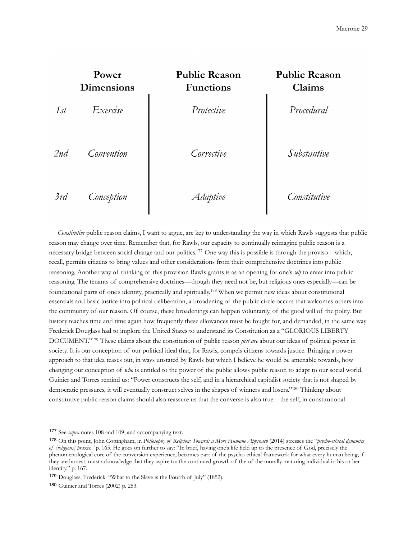

 *Constitutive* public reason claims, I want to argue, are key to understanding the way in which Rawls suggests that public reason may change over time. Remember that, for Rawls, our capacity to continually reimagine public reason is a necessary bridge between social change and our politics[.177](#page-28-0) One way this is possible is through the proviso—which, recall, permits citizens to bring values and other considerations from their comprehensive doctrines into public reasoning. Another way of thinking of this provision Rawls grants is as an opening for one's *self* to enter into public reasoning. The tenants of comprehensive doctrines—though they need not be, but religious ones especially—can be foundational parts of one's identity, practically and spiritually.[178](#page-28-1) When we permit new ideas about constitutional essentials and basic justice into political deliberation, a broadening of the public circle occurs that welcomes others into the community of our reason. Of course, these broadenings can happen voluntarily, of the good will of the polity. But history teaches time and time again how frequently these allowances must be fought for, and demanded, in the same way Frederick Douglass had to implore the United States to understand its Constitution as a "GLORIOUS LIBERTY DOCUMENT.["179](#page-28-2) These claims about the constitution of public reason *just are* about our ideas of political power in society. It is our conception of our political ideal that, for Rawls, compels citizens towards justice. Bringing a power approach to that idea teases out, in ways unstated by Rawls but which I believe he would be amenable towards, how changing our conception of *who* is entitled to the power of the public allows public reason to adapt to our social world. Guinier and Torres remind us: "Power constructs the self; and in a hierarchical capitalist society that is not shaped by democratic pressures, it will eventually construct selves in the shapes of winners and losers.["180](#page-28-3) Thinking about constitutive public reason claims should also reassure us that the converse is also true—the self, in constitutional

<span id="page-28-0"></span><sup>177</sup> See *supra* notes 108 and 109, and accompanying text.

<span id="page-28-1"></span><sup>178</sup> On this point, John Cottingham, in *Philosophy of Religion: Towards a More Humane Approach* (2014) stresses the "*psycho-ethical dynamics of [religious] praxis,"* p. 165. He goes on further to say: "In brief, having one's life held up to the presence of God, precisely the phenomenological core of the conversion experience, becomes part of the psycho-ethical framework for what every human being, if they are honest, must acknowledge that they aspire to: the continued growth of the of the morally maturing individual in his or her identity." p. 167.

<span id="page-28-2"></span><sup>179</sup> Douglass, Frederick. "What to the Slave is the Fourth of July" (1852).

<span id="page-28-3"></span><sup>180</sup> Guinier and Torres (2002) p. 253.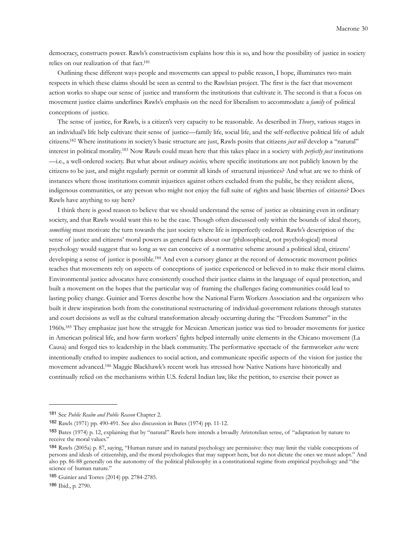democracy, constructs power. Rawls's constructivism explains how this is so, and how the possibility of justice in society relies on our realization of that fact[.181](#page-29-0)

 Outlining these different ways people and movements can appeal to public reason, I hope, illuminates two main respects in which these claims should be seen as central to the Rawlsian project. The first is the fact that movement action works to shape our sense of justice and transform the institutions that cultivate it. The second is that a focus on movement justice claims underlines Rawls's emphasis on the need for liberalism to accommodate a *family* of political conceptions of justice.

 The sense of justice, for Rawls, is a citizen's very capacity to be reasonable. As described in *Theory*, various stages in an individual's life help cultivate their sense of justice—family life, social life, and the self-reflective political life of adult citizens[.182](#page-29-1) Where institutions in society's basic structure are just, Rawls posits that citizens *just will* develop a "natural" interest in political morality[.183](#page-29-2) Now Rawls could mean here that this takes place in a society with *perfectly just* institutions —i.e., a well-ordered society. But what about *ordinary societies,* where specific institutions are not publicly known by the citizens to be just, and might regularly permit or commit all kinds of structural injustices? And what are we to think of instances where those institutions commit injustices against others excluded from the public, be they resident aliens, indigenous communities, or any person who might not enjoy the full suite of rights and basic liberties of citizens? Does Rawls have anything to say here?

 I think there is good reason to believe that we should understand the sense of justice as obtaining even in ordinary society, and that Rawls would want this to be the case. Though often discussed only within the bounds of ideal theory, *something* must motivate the turn towards the just society where life is imperfectly ordered. Rawls's description of the sense of justice and citizens' moral powers as general facts about our (philosophical, not psychological) moral psychology would suggest that so long as we can conceive of a normative scheme around a political ideal, citizens' developing a sense of justice is possible.<sup>184</sup> And even a cursory glance at the record of democratic movement politics teaches that movements rely on aspects of conceptions of justice experienced or believed in to make their moral claims. Environmental justice advocates have consistently couched their justice claims in the language of equal protection, and built a movement on the hopes that the particular way of framing the challenges facing communities could lead to lasting policy change. Guinier and Torres describe how the National Farm Workers Association and the organizers who built it drew inspiration both from the constitutional restructuring of individual-government relations through statutes and court decisions as well as the cultural transformation already occurring during the "Freedom Summer" in the 1960s[.185](#page-29-4) They emphasize just how the struggle for Mexican American justice was tied to broader movements for justice in American political life, and how farm workers' fights helped internally unite elements in the Chicano movement (La Causa) and forged ties to leadership in the black community. The performative spectacle of the farmworker *actos* were intentionally crafted to inspire audiences to social action, and communicate specific aspects of the vision for justice the movement advanced.[186](#page-29-5) Maggie Blackhawk's recent work has stressed how Native Nations have historically and continually relied on the mechanisms within U.S. federal Indian law, like the petition, to exercise their power as

<span id="page-29-0"></span><sup>181</sup> See *Public Realm and Public Reason* Chapter 2.

<span id="page-29-1"></span><sup>182</sup> Rawls (1971) pp. 490-491. See also discussion in Bates (1974) pp. 11-12.

<span id="page-29-2"></span><sup>183</sup> Bates (1974) p. 12, explaining that by "natural" Rawls here intends a broadly Aristotelian sense, of "adaptation by nature to receive the moral values."

<span id="page-29-3"></span><sup>184</sup> Rawls (2005a) p. 87, saying, "Human nature and its natural psychology are permissive: they may limit the viable conceptions of persons and ideals of citizenship, and the moral psychologies that may support hem, but do not dictate the ones we must adopt." And also pp. 86-88 generally on the autonomy of the political philosophy in a constitutional regime from empirical psychology and "the science of human nature."

<span id="page-29-4"></span><sup>185</sup> Guinier and Torres (2014) pp. 2784-2785.

<span id="page-29-5"></span><sup>186</sup> Ibid., p. 2790.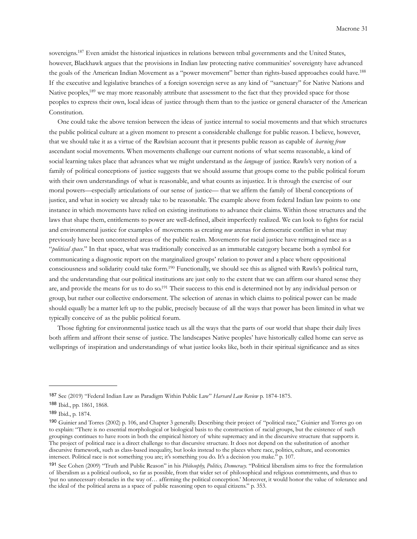sovereigns[.187](#page-30-0) Even amidst the historical injustices in relations between tribal governments and the United States, however, Blackhawk argues that the provisions in Indian law protecting native communities' sovereignty have advanced the goals of the American Indian Movement as a "power movement" better than rights-based approaches could have.<sup>[188](#page-30-1)</sup> If the executive and legislative branches of a foreign sovereign serve as any kind of "sanctuary" for Native Nations and Native peoples,<sup>189</sup> we may more reasonably attribute that assessment to the fact that they provided space for those peoples to express their own, local ideas of justice through them than to the justice or general character of the American Constitution.

 One could take the above tension between the ideas of justice internal to social movements and that which structures the public political culture at a given moment to present a considerable challenge for public reason. I believe, however, that we should take it as a virtue of the Rawlsian account that it presents public reason as capable of *learning from* ascendant social movements. When movements challenge our current notions of what seems reasonable, a kind of social learning takes place that advances what we might understand as the *language* of justice. Rawls's very notion of a family of political conceptions of justice suggests that we should assume that groups come to the public political forum with their own understandings of what is reasonable, and what counts as injustice. It is through the exercise of our moral powers—especially articulations of our sense of justice— that we affirm the family of liberal conceptions of justice, and what in society we already take to be reasonable. The example above from federal Indian law points to one instance in which movements have relied on existing institutions to advance their claims. Within those structures and the laws that shape them, entitlements to power are well-defined, albeit imperfectly realized. We can look to fights for racial and environmental justice for examples of movements as creating *new* arenas for democratic conflict in what may previously have been uncontested areas of the public realm. Movements for racial justice have reimagined race as a "*political space.*" In that space, what was traditionally conceived as an immutable category became both a symbol for communicating a diagnostic report on the marginalized groups' relation to power and a place where oppositional consciousness and solidarity could take form[.190](#page-30-3) Functionally, we should see this as aligned with Rawls's political turn, and the understanding that our political institutions are just only to the extent that we can affirm our shared sense they are, and provide the means for us to do so[.191](#page-30-4) Their success to this end is determined not by any individual person or group, but rather our collective endorsement. The selection of arenas in which claims to political power can be made should equally be a matter left up to the public, precisely because of all the ways that power has been limited in what we typically conceive of as the public political forum.

 Those fighting for environmental justice teach us all the ways that the parts of our world that shape their daily lives both affirm and affront their sense of justice. The landscapes Native peoples' have historically called home can serve as wellsprings of inspiration and understandings of what justice looks like, both in their spiritual significance and as sites

<span id="page-30-0"></span><sup>187</sup> See (2019) "Federal Indian Law as Paradigm Within Public Law" *Harvard Law Review* p. 1874-1875.

<span id="page-30-1"></span><sup>188</sup> Ibid., pp. 1861, 1868.

<span id="page-30-2"></span><sup>189</sup> Ibid., p. 1874.

<span id="page-30-3"></span><sup>190</sup> Guinier and Torres (2002) p. 106, and Chapter 3 generally. Describing their project of "political race," Guinier and Torres go on to explain: "There is no essential morphological or biological basis to the construction of racial groups, but the existence of such groupings continues to have roots in both the empirical history of white supremacy and in the discursive structure that supports it. The project of political race is a direct challenge to that discursive structure. It does not depend on the substitution of another discursive framework, such as class-based inequality, but looks instead to the places where race, politics, culture, and economics intersect. Political race is not something you are; it's something you do. It's a decision you make." p. 107.

<span id="page-30-4"></span><sup>191</sup> See Cohen (2009) "Truth and Public Reason" in his *Philosophy, Politics, Democracy.* "Political liberalism aims to free the formulation of liberalism as a political outlook, so far as possible, from that wider set of philosophical and religious commitments, and thus to 'put no unnecessary obstacles in the way of… affirming the political conception.' Moreover, it would honor the value of tolerance and the ideal of the political arena as a space of public reasoning open to equal citizens." p. 353.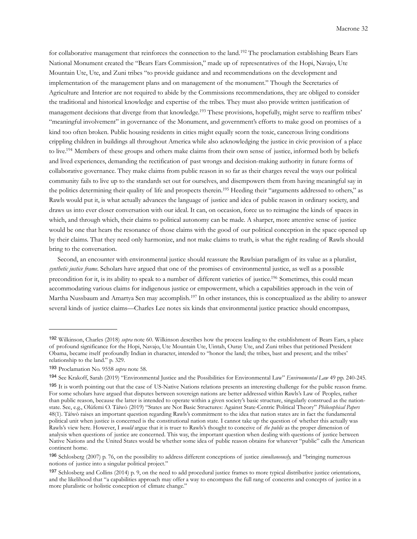for collaborative management that reinforces the connection to the land.<sup>[192](#page-31-0)</sup> The proclamation establishing Bears Ears National Monument created the "Bears Ears Commission," made up of representatives of the Hopi, Navajo, Ute Mountain Ute, Ute, and Zuni tribes "to provide guidance and and recommendations on the development and implementation of the management plans and on management of the monument." Though the Secretaries of Agriculture and Interior are not required to abide by the Commissions recommendations, they are obliged to consider the traditional and historical knowledge and expertise of the tribes. They must also provide written justification of management decisions that diverge from that knowledge.<sup>193</sup> These provisions, hopefully, might serve to reaffirm tribes' "meaningful involvement" in governance of the Monument, and government's efforts to make good on promises of a kind too often broken. Public housing residents in cities might equally scorn the toxic, cancerous living conditions crippling children in buildings all throughout America while also acknowledging the justice in civic provision of a place to live.<sup>194</sup> Members of these groups and others make claims from their own sense of justice, informed both by beliefs and lived experiences, demanding the rectification of past wrongs and decision-making authority in future forms of collaborative governance. They make claims from public reason in so far as their charges reveal the ways our political community fails to live up to the standards set out for ourselves, and disempowers them from having meaningful say in the politics determining their quality of life and prospects therein.[195](#page-31-3) Heeding their "arguments addressed to others," as Rawls would put it, is what actually advances the language of justice and idea of public reason in ordinary society, and draws us into ever closer conversation with our ideal. It can, on occasion, force us to reimagine the kinds of spaces in which, and through which, their claims to political autonomy can be made. A sharper, more attentive sense of justice would be one that hears the resonance of those claims with the good of our political conception in the space opened up by their claims. That they need only harmonize, and not make claims to truth, is what the right reading of Rawls should bring to the conversation.

 Second, an encounter with environmental justice should reassure the Rawlsian paradigm of its value as a pluralist, *synthetic justice frame*. Scholars have argued that one of the promises of environmental justice, as well as a possible precondition for it, is its ability to speak to a number of different varieties of justice[.196](#page-31-4) Sometimes, this could mean accommodating various claims for indigenous justice or empowerment, which a capabilities approach in the vein of Martha Nussbaum and Amartya Sen may accomplish.[197](#page-31-5) In other instances, this is conceptualized as the ability to answer several kinds of justice claims—Charles Lee notes six kinds that environmental justice practice should encompass,

<span id="page-31-0"></span><sup>192</sup> Wilkinson, Charles (2018) *supra* note 60. Wilkinson describes how the process leading to the establishment of Bears Ears, a place of profound significance for the Hopi, Navajo, Ute Mountain Ute, Uintah, Ouray Ute, and Zuni tribes that petitioned President Obama, became itself profoundly Indian in character, intended to "honor the land; the tribes, bast and present; and the tribes' relationship to the land." p. 329.

<span id="page-31-1"></span><sup>193</sup> Proclamation No. 9558 *supra* note 58.

<span id="page-31-2"></span><sup>194</sup> See Krakoff, Sarah (2019) "Environmental Justice and the Possibilities for Environmental Law" *Environmental Law* 49 pp. 240-245.

<span id="page-31-3"></span><sup>&</sup>lt;sup>195</sup> It is worth pointing out that the case of US-Native Nations relations presents an interesting challenge for the public reason frame. For some scholars have argued that disputes between sovereign nations are better addressed within Rawls's Law of Peoples, rather than public reason, because the latter is intended to operate within a given society's basic structure, singularly construed as the nationstate. See, e.g., Olúfemi O. Táíwò (2019) "States are Not Basic Structures: Against State-Centric Political Theory" *Philosophical Papers*  48(1). Táíwò raises an important question regarding Rawls's commitment to the idea that nation states are in fact the fundamental political unit when justice is concerned is the constitutional nation state. I cannot take up the question of whether this actually was Rawls's view here. However, I *would* argue that it is truer to Rawls's thought to conceive of *the public* as the proper dimension of analysis when questions of justice are concerned. This way, the important question when dealing with questions of justice between Native Nations and the United States would be whether some idea of public reason obtains for whatever "public" calls the American continent home.

<span id="page-31-4"></span><sup>196</sup> Schlosberg (2007) p. 76, on the possibility to address different conceptions of justice *simultaneously,* and "bringing numerous notions of justice into a singular political project."

<span id="page-31-5"></span><sup>197</sup> Schlosberg and Collins (2014) p. 9, on the need to add procedural justice frames to more typical distributive justice orientations, and the likelihood that "a capabilities approach may offer a way to encompass the full rang of concerns and concepts of justice in a more pluralistic or holistic conception of climate change."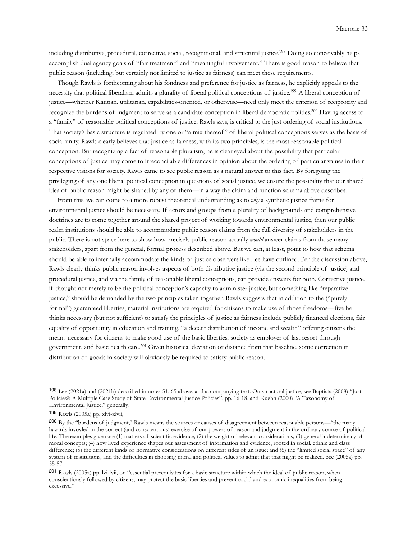including distributive, procedural, corrective, social, recognitional, and structural justice[.198](#page-32-0) Doing so conceivably helps accomplish dual agency goals of "fair treatment" and "meaningful involvement." There is good reason to believe that public reason (including, but certainly not limited to justice as fairness) can meet these requirements.

 Though Rawls is forthcoming about his fondness and preference for justice as fairness, he explicitly appeals to the necessity that political liberalism admits a plurality of liberal political conceptions of justice[.199](#page-32-1) A liberal conception of justice—whether Kantian, utilitarian, capabilities-oriented, or otherwise—need only meet the criterion of reciprocity and recognize the burdens of judgment to serve as a candidate conception in liberal democratic polities[.200](#page-32-2) Having access to a "family" of reasonable political conceptions of justice, Rawls says, is critical to the just ordering of social institutions. That society's basic structure is regulated by one or "a mix thereof " of liberal political conceptions serves as the basis of social unity. Rawls clearly believes that justice as fairness, with its two principles, is the most reasonable political conception. But recognizing a fact of reasonable pluralism, he is clear eyed about the possibility that particular conceptions of justice may come to irreconcilable differences in opinion about the ordering of particular values in their respective visions for society. Rawls came to see public reason as a natural answer to this fact. By foregoing the privileging of any one liberal political conception in questions of social justice, we ensure the possibility that our shared idea of public reason might be shaped by any of them—in a way the claim and function schema above describes.

 From this, we can come to a more robust theoretical understanding as to *why* a synthetic justice frame for environmental justice should be necessary. If actors and groups from a plurality of backgrounds and comprehensive doctrines are to come together around the shared project of working towards environmental justice, then our public realm institutions should be able to accommodate public reason claims from the full diversity of stakeholders in the public. There is not space here to show how precisely public reason actually *would* answer claims from those many stakeholders, apart from the general, formal process described above. But we can, at least, point to how that schema should be able to internally accommodate the kinds of justice observers like Lee have outlined. Per the discussion above, Rawls clearly thinks public reason involves aspects of both distributive justice (via the second principle of justice) and procedural justice, and via the family of reasonable liberal conceptions, can provide answers for both. Corrective justice, if thought not merely to be the political conception's capacity to administer justice, but something like "reparative justice," should be demanded by the two principles taken together. Rawls suggests that in addition to the ("purely formal") guaranteed liberties, material institutions are required for citizens to make use of those freedoms—five he thinks necessary (but not sufficient) to satisfy the principles of justice as fairness include publicly financed elections, fair equality of opportunity in education and training, "a decent distribution of income and wealth" offering citizens the means necessary for citizens to make good use of the basic liberties, society as employer of last resort through government, and basic health care.[201](#page-32-3) Given historical deviation or distance from that baseline, some correction in distribution of goods in society will obviously be required to satisfy public reason.

<span id="page-32-0"></span><sup>198</sup> Lee (2021a) and (2021b) described in notes 51, 65 above, and accompanying text. On structural justice, see Baptista (2008) "Just Policies?: A Multiple Case Study of State Environmental Justice Policies", pp. 16-18, and Kuehn (2000) "A Taxonomy of Environmental Justice," generally.

<span id="page-32-1"></span><sup>199</sup> Rawls (2005a) pp. xlvi-xlvii,

<span id="page-32-2"></span><sup>200</sup> By the "burdens of judgment," Rawls means the sources or causes of disagreement between reasonable persons—"the many hazards invovled in the correct (and conscientious) exercise of our powers of reason and judgment in the ordinary course of political life. The examples given are (1) matters of scientific evidence; (2) the weight of relevant considerations; (3) general indeterminacy of moral concepts; (4) how lived experience shapes our assessment of information and evidence, rooted in social, ethnic and class difference; (5) the different kinds of normative considerations on different sides of an issue; and (6) the "limited social space" of any system of institutions, and the difficulties in choosing moral and political values to admit that that might be realized. See (2005a) pp. 55-57.

<span id="page-32-3"></span><sup>201</sup> Rawls (2005a) pp. lvi-lvii, on "essential prerequisites for a basic structure within which the ideal of public reason, when conscientiously followed by citizens, may protect the basic liberties and prevent social and economic inequalities from being excessive."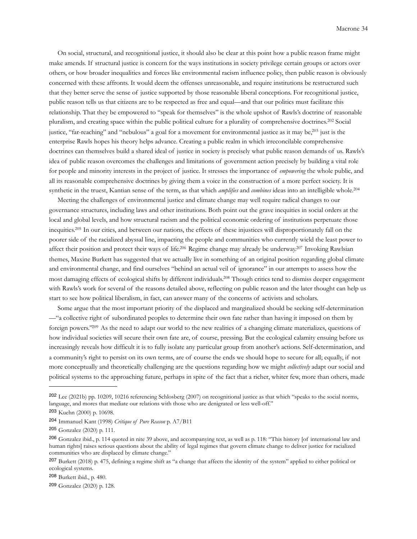On social, structural, and recognitional justice, it should also be clear at this point how a public reason frame might make amends. If structural justice is concern for the ways institutions in society privilege certain groups or actors over others, or how broader inequalities and forces like environmental racism influence policy, then public reason is obviously concerned with these affronts. It would deem the offenses unreasonable, and require institutions be restructured such that they better serve the sense of justice supported by those reasonable liberal conceptions. For recognitional justice, public reason tells us that citizens are to be respected as free and equal—and that our politics must facilitate this relationship. That they be empowered to "speak for themselves" is the whole upshot of Rawls's doctrine of reasonable pluralism, and creating space within the public political culture for a plurality of comprehensive doctrines.[202](#page-33-0) Social justice, "far-reaching" and "nebulous" a goal for a movement for environmental justice as it may be,<sup>203</sup> just is the enterprise Rawls hopes his theory helps advance. Creating a public realm in which irreconcilable comprehensive doctrines can themselves build a shared ideal of justice in society is precisely what public reason demands of us. Rawls's idea of public reason overcomes the challenges and limitations of government action precisely by building a vital role for people and minority interests in the project of justice. It stresses the importance of *empowering* the whole public, and all its reasonable comprehensive doctrines by giving them a voice in the construction of a more perfect society. It is synthetic in the truest, Kantian sense of the term, as that which *amplifies* and *combines* ideas into an intelligible whole[.204](#page-33-2)

 Meeting the challenges of environmental justice and climate change may well require radical changes to our governance structures, including laws and other institutions. Both point out the grave inequities in social orders at the local and global levels, and how structural racism and the political economic ordering of institutions perpetuate those inequities[.205](#page-33-3) In our cities, and between our nations, the effects of these injustices will disproportionately fall on the poorer side of the racialized abyssal line, impacting the people and communities who currently wield the least power to affect their position and protect their ways of life.<sup>206</sup> Regime change may already be underway.<sup>207</sup> Invoking Rawlsian themes, Maxine Burkett has suggested that we actually live in something of an original position regarding global climate and environmental change, and find ourselves "behind an actual veil of ignorance" in our attempts to assess how the most damaging effects of ecological shifts by different individuals[.208](#page-33-6) Though critics tend to dismiss deeper engagement with Rawls's work for several of the reasons detailed above, reflecting on public reason and the later thought can help us start to see how political liberalism, in fact, can answer many of the concerns of activists and scholars.

 Some argue that the most important priority of the displaced and marginalized should be seeking self-determination —"a collective right of subordinated peoples to determine their own fate rather than having it imposed on them by foreign powers.["209](#page-33-7) As the need to adapt our world to the new realities of a changing climate materializes, questions of how individual societies will secure their own fate are, of course, pressing. But the ecological calamity ensuing before us increasingly reveals how difficult it is to fully isolate any particular group from another's actions. Self-determination, and a community's right to persist on its own terms, are of course the ends we should hope to secure for all; equally, if not more conceptually and theoretically challenging are the questions regarding how we might *collectively* adapt our social and political systems to the approaching future, perhaps in spite of the fact that a richer, whiter few, more than others, made

<span id="page-33-6"></span><sup>208</sup> Burkett ibid., p. 480.

<span id="page-33-7"></span><sup>209</sup> Gonzalez (2020) p. 128.

<span id="page-33-0"></span><sup>202</sup> Lee (2021b) pp. 10209, 10216 referencing Schlosberg (2007) on recognitional justice as that which "speaks to the social norms, language, and mores that mediate our relations with those who are denigrated or less well-off."

<span id="page-33-1"></span><sup>203</sup> Kuehn (2000) p. 10698.

<span id="page-33-2"></span><sup>204</sup> Immanuel Kant (1998) *Critique of Pure Reason* p. A7/B11

<span id="page-33-3"></span><sup>205</sup> Gonzalez (2020) p. 111.

<span id="page-33-4"></span><sup>206</sup> Gonzalez ibid., p. 114 quoted in nite 39 above, and accompanying text, as well as p. 118: "This history [of international law and human rights] raises serious questions about the ability of legal regimes that govern climate change to deliver justice for racialized communities who are displaced by climate change."

<span id="page-33-5"></span><sup>207</sup> Burkett (2018) p. 475, defining a regime shift as "a change that affects the identity of the system" applied to either political or ecological systems.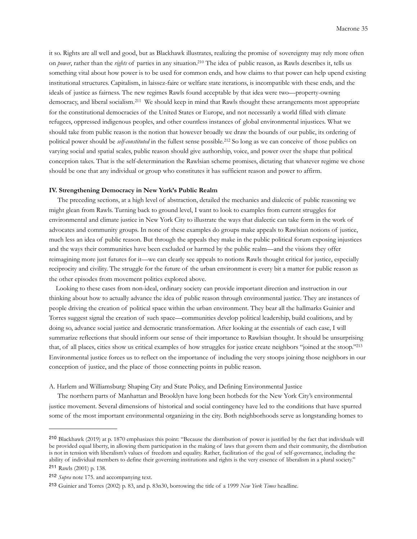it so. Rights are all well and good, but as Blackhawk illustrates, realizing the promise of sovereignty may rely more often on *power*, rather than the *rights* of parties in any situation[.210](#page-34-0) The idea of public reason, as Rawls describes it, tells us something vital about how power is to be used for common ends, and how claims to that power can help upend existing institutional structures. Capitalism, in laissez-faire or welfare state iterations, is incompatible with these ends, and the ideals of justice as fairness. The new regimes Rawls found acceptable by that idea were two—property-owning democracy, and liberal socialism.<sup>[211](#page-34-1)</sup> We should keep in mind that Rawls thought these arrangements most appropriate for the constitutional democracies of the United States or Europe, and not necessarily a world filled with climate refugees, oppressed indigenous peoples, and other countless instances of global environmental injustices. What we should take from public reason is the notion that however broadly we draw the bounds of our public, its ordering of political power should be *self-constituted* in the fullest sense possible.[212](#page-34-2) So long as we can conceive of those publics on varying social and spatial scales, public reason should give authorship, voice, and power over the shape that political conception takes. That is the self-determination the Rawlsian scheme promises, dictating that whatever regime we chose should be one that any individual or group who constitutes it has sufficient reason and power to affirm.

## **IV. Strengthening Democracy in New York's Public Realm**

 The preceding sections, at a high level of abstraction, detailed the mechanics and dialectic of public reasoning we might glean from Rawls. Turning back to ground level, I want to look to examples from current struggles for environmental and climate justice in New York City to illustrate the ways that dialectic can take form in the work of advocates and community groups. In none of these examples do groups make appeals to Rawlsian notions of justice, much less an idea of public reason. But through the appeals they make in the public political forum exposing injustices and the ways their communities have been excluded or harmed by the public realm—and the visions they offer reimagining more just futures for it—we can clearly see appeals to notions Rawls thought critical for justice, especially reciprocity and civility. The struggle for the future of the urban environment is every bit a matter for public reason as the other episodes from movement politics explored above.

 Looking to these cases from non-ideal, ordinary society can provide important direction and instruction in our thinking about how to actually advance the idea of public reason through environmental justice. They are instances of people driving the creation of political space within the urban environment. They bear all the hallmarks Guinier and Torres suggest signal the creation of such space—communities develop political leadership, build coalitions, and by doing so, advance social justice and democratic transformation. After looking at the essentials of each case, I will summarize reflections that should inform our sense of their importance to Rawlsian thought. It should be unsurprising that, of all places, cities show us critical examples of how struggles for justice create neighbors "joined at the stoop.["213](#page-34-3) Environmental justice forces us to reflect on the importance of including the very stoops joining those neighbors in our conception of justice, and the place of those connecting points in public reason.

A. Harlem and Williamsburg: Shaping City and State Policy, and Defining Environmental Justice

 The northern parts of Manhattan and Brooklyn have long been hotbeds for the New York City's environmental justice movement. Several dimensions of historical and social contingency have led to the conditions that have spurred some of the most important environmental organizing in the city. Both neighborhoods serve as longstanding homes to

<span id="page-34-0"></span><sup>210</sup> Blackhawk (2019) at p. 1870 emphasizes this point: "Because the distribution of power is justified by the fact that individuals will be provided equal liberty, in allowing them participation in the making of laws that govern them and their community, the distribution is not in tension with liberalism's values of freedom and equality. Rather, facilitation of the goal of self-governance, including the ability of individual members to define their governing institutions and rights is the very essence of liberalism in a plural society." <sup>211</sup> Rawls (2001) p. 138.

<span id="page-34-2"></span><span id="page-34-1"></span><sup>212</sup> *Supra* note 175. and accompanying text.

<span id="page-34-3"></span><sup>213</sup> Guinier and Torres (2002) p. 83, and p. 83n30, borrowing the title of a 1999 *New York Times* headline.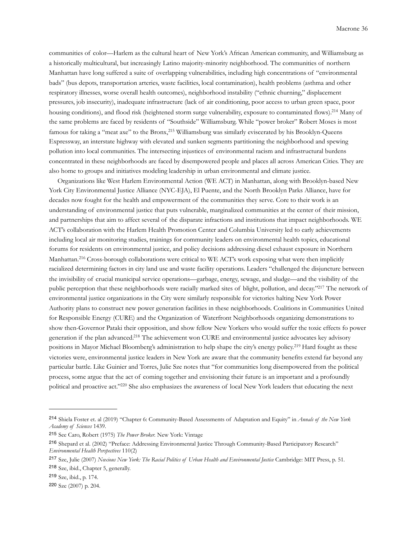communities of color—Harlem as the cultural heart of New York's African American community, and Williamsburg as a historically multicultural, but increasingly Latino majority-minority neighborhood. The communities of northern Manhattan have long suffered a suite of overlapping vulnerabilities, including high concentrations of "environmental bads" (bus depots, transportation arteries, waste facilities, local contamination), health problems (asthma and other respiratory illnesses, worse overall health outcomes), neighborhood instability ("ethnic churning," displacement pressures, job insecurity), inadequate infrastructure (lack of air conditioning, poor access to urban green space, poor housing conditions), and flood risk (heightened storm surge vulnerability, exposure to contaminated flows).<sup>214</sup> Many of the same problems are faced by residents of "Southside" Williamsburg. While "power broker" Robert Moses is most famous for taking a "meat axe" to the Bronx[,215](#page-35-1) Williamsburg was similarly eviscerated by his Brooklyn-Queens Expressway, an interstate highway with elevated and sunken segments partitioning the neighborhood and spewing pollution into local communities. The intersecting injustices of environmental racism and infrastructural burdens concentrated in these neighborhoods are faced by disempowered people and places all across American Cities. They are also home to groups and initiatives modeling leadership in urban environmental and climate justice.

 Organizations like West Harlem Environmental Action (WE ACT) in Manhattan, along with Brooklyn-based New York City Environmental Justice Alliance (NYC-EJA), El Puente, and the North Brooklyn Parks Alliance, have for decades now fought for the health and empowerment of the communities they serve. Core to their work is an understanding of environmental justice that puts vulnerable, marginalized communities at the center of their mission, and partnerships that aim to affect several of the disparate infractions and institutions that impact neighborhoods. WE ACT's collaboration with the Harlem Health Promotion Center and Columbia University led to early achievements including local air monitoring studies, trainings for community leaders on environmental health topics, educational forums for residents on environmental justice, and policy decisions addressing diesel exhaust exposure in Northern Manhattan.<sup>[216](#page-35-2)</sup> Cross-borough collaborations were critical to WE ACT's work exposing what were then implicitly racialized determining factors in city land use and waste facility operations. Leaders "challenged the disjuncture between the invisibility of crucial municipal service operations—garbage, energy, sewage, and sludge—and the visibility of the public perception that these neighborhoods were racially marked sites of blight, pollution, and decay.["217](#page-35-3) The network of environmental justice organizations in the City were similarly responsible for victories halting New York Power Authority plans to construct new power generation facilities in these neighborhoods. Coalitions in Communities United for Responsible Energy (CURE) and the Organization of Waterfront Neighborhoods organizing demonstrations to show then-Governor Pataki their opposition, and show fellow New Yorkers who would suffer the toxic effects fo power generation if the plan advanced[.218](#page-35-4) The achievement won CURE and environmental justice advocates key advisory positions in Mayor Michael Bloomberg's administration to help shape the city's energy policy.[219](#page-35-5) Hard fought as these victories were, environmental justice leaders in New York are aware that the community benefits extend far beyond any particular battle. Like Guinier and Torres, Julie Sze notes that "for communities long disempowered from the political process, some argue that the act of coming together and envisioning their future is an important and a profoundly political and proactive act.["220](#page-35-6) She also emphasizes the awareness of local New York leaders that educating the next

<span id="page-35-5"></span><sup>219</sup> Sze, ibid., p. 174.

<span id="page-35-0"></span><sup>214</sup> Shiela Foster et. al (2019) "Chapter 6: Community-Based Assessments of Adaptation and Equity" in *Annals of the New York Academy of Sciences* 1439.

<span id="page-35-1"></span><sup>215</sup> See Caro, Robert (1975) *The Power Broker.* New York: Vintage

<span id="page-35-2"></span><sup>216</sup> Shepard et al. (2002) "Preface: Addressing Environmental Justice Through Community-Based Participatory Research" *Environmental Health Perspectives* 110(2)

<span id="page-35-4"></span><span id="page-35-3"></span><sup>217</sup> Sze, Julie (2007) *Noxious New York: The Racial Politics of Urban Health and Environmental Justice* Cambridge: MIT Press, p. 51. <sup>218</sup> Sze, ibid., Chapter 5, generally.

<span id="page-35-6"></span><sup>220</sup> Sze (2007) p. 204.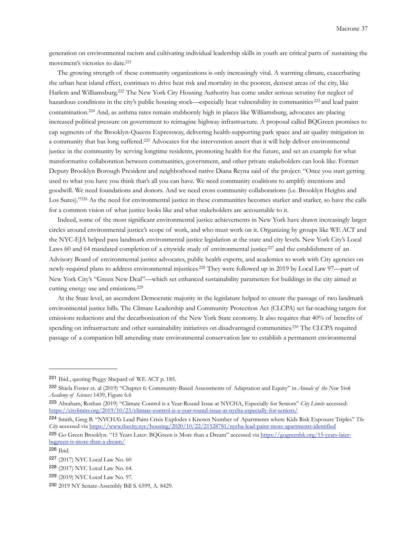generation on environmental racism and cultivating individual leadership skills in youth are critical parts of sustaining the movement's victories to date.<sup>221</sup>

 The growing strength of these community organizations is only increasingly vital. A warming climate, exacerbating the urban heat island effect, continues to drive heat risk and mortality in the poorest, densest areas of the city, like Harlem and Williamsburg[.222](#page-36-1) The New York City Housing Authority has come under serious scrutiny for neglect of hazardous conditions in the city's public housing stock—especially heat vulnerability in communities <sup>223</sup> and lead paint contamination[.224](#page-36-3) And, as asthma rates remain stubbornly high in places like Williamsburg, advocates are placing increased political pressure on government to reimagine highway infrastructure. A proposal called BQGreen promises to cap segments of the Brooklyn-Queens Expressway, delivering health-supporting park space and air quality mitigation in a community that has long suffered[.225](#page-36-4) Advocates for the intervention assert that it will help deliver environmental justice in the community by serving longtime residents, promoting health for the future, and set an example for what transformative collaboration between communities, government, and other private stakeholders can look like. Former Deputy Brooklyn Borough President and neighborhood native Diana Reyna said of the project: "Once you start getting used to what you have you think that's all you can have. We need community coalitions to amplify intentions and goodwill. We need foundations and donors. And we need cross community collaborations (i.e. Brooklyn Heights and Los Sures).["226](#page-36-5) As the need for environmental justice in these communities becomes starker and starker, so have the calls for a common vision of what justice looks like and what stakeholders are accountable to it.

 Indeed, some of the most significant environmental justice achievements in New York have drawn increasingly larger circles around environmental justice's scope of work, and who must work on it. Organizing by groups like WE ACT and the NYC-EJA helped pass landmark environmental justice legislation at the state and city levels. New York City's Local Laws 60 and 64 mandated completion of a citywide study of environmental justice<sup>[227](#page-36-6)</sup> and the establishment of an Advisory Board of environmental justice advocates, public health experts, and academics to work with City agencies on newly-required plans to address environmental injustices[.228](#page-36-7) They were followed up in 2019 by Local Law 97—part of New York City's "Green New Deal"—which set enhanced sustainability parameters for buildings in the city aimed at cutting energy use and emissions.[229](#page-36-8)

 At the State level, an ascendent Democratic majority in the legislature helped to ensure the passage of two landmark environmental justice bills. The Climate Leadership and Community Protection Act (CLCPA) set far-reaching targets for emissions reductions and the decarbonization of the New York State economy. It also requires that 40% of benefits of spending on infrastructure and other sustainability initiatives on disadvantaged communities[.230](#page-36-9) The CLCPA required passage of a companion bill amending state environmental conservation law to establish a permanent environmental

<span id="page-36-0"></span><sup>221</sup> Ibid., quoting Peggy Shepard of WE ACT p. 185.

<span id="page-36-1"></span><sup>222</sup> Shiela Foster et. al (2019) "Chapter 6: Community-Based Assessments of Adaptation and Equity" in *Annals of the New York Academy of Sciences* 1439, Figure 6.6

<span id="page-36-2"></span><sup>223</sup> Abraham, Roshan (2019) "Climate Control is a Year-Round Issue at NYCHA, Especially for Seniors" *City Limits* accessed: <https://citylimits.org/2019/10/23/climate-control-is-a-year-round-issue-at-nycha-especially-for-seniors/>

<span id="page-36-3"></span><sup>224</sup> Smith, Greg B. "NYCHA's Lead Paint Crisis Explodes s Known Number of Apartments where Kids Risk Exposure Triples" *The City* accessed via<https://www.thecity.nyc/housing/2020/10/22/21528781/nycha-lead-paint-more-apartments-identified>

<span id="page-36-4"></span><sup>225</sup> Go Green Brooklyn. "15 Years Later: BQGreen is More than a Dream" accessed via [https://gogreenbk.org/15-years-later](https://gogreenbk.org/15-years-later-bqgreen-is-more-than-a-dream/)[bqgreen-is-more-than-a-dream/](https://gogreenbk.org/15-years-later-bqgreen-is-more-than-a-dream/)

<span id="page-36-5"></span><sup>226</sup> Ibid.

<span id="page-36-6"></span><sup>227</sup> (2017) NYC Local Law No. 60

<span id="page-36-7"></span><sup>228</sup> (2017) NYC Local Law No. 64.

<span id="page-36-8"></span><sup>229</sup> (2019) NYC Local Law No. 97.

<span id="page-36-9"></span><sup>230</sup> 2019 NY Senate-Assembly Bill S. 6599, A. 8429.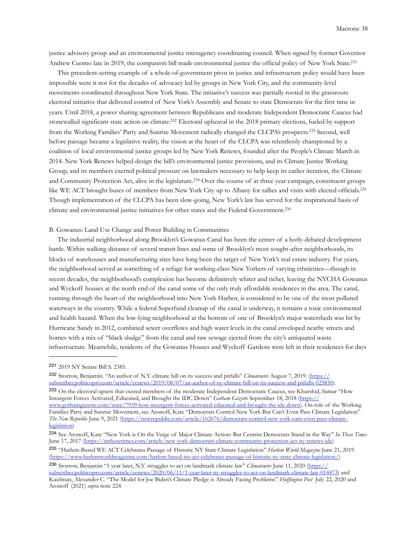justice advisory group and an environmental justice interagency coordinating council. When signed by former Governor Andrew Cuomo late in 2019, the companion bill made environmental justice the official policy of New York State[.231](#page-37-0)

 This precedent-setting example of a whole-of-government pivot in justice and infrastructure policy would have been impossible were it not for the decades of advocacy led by groups in New York City, and the community-level movements coordinated throughout New York State. The initiative's success was partially rooted in the grassroots electoral initiative that delivered control of New York's Assembly and Senate to state Democrats for the first time in years. Until 2018, a power sharing agreement between Republicans and moderate Independent Democratic Caucus had stonewalled significant state action on climate.<sup>232</sup> Electoral upheaval in the 2018 primary elections, fueled by support from the Working Families' Party and Sunrise Movement radically changed the CLCPA's prospects.[233](#page-37-2) Second, well before passage became a legislative reality, the vision at the heart of the CLCPA was relentlessly championed by a coalition of local environmental justice groups led by New York Renews, founded after the People's Climate March in 2014. New York Renews helped design the bill's environmental justice provisions, and its Climate Justice Working Group, and its members exerted political pressure on lawmakers necessary to help keep its earlier iteration, the Climate and Community Protection Act, alive in the legislature.[234](#page-37-3) Over the course of at three year campaign, constituent groups like WE ACT brought buses of members from New York City up to Albany for rallies and visits with elected officials.<sup>[235](#page-37-4)</sup> Though implementation of the CLCPA has been slow-going, New York's law has served for the inspirational basis of climate and environmental justice initiatives for other states and the Federal Government[.236](#page-37-5)

### B. Gowanus: Land Use Change and Power Building in Communities

 The industrial neighborhood along Brooklyn's Gowanus Canal has been the center of a hotly-debated development battle. Within walking distance of several transit lines and some of Brooklyn's most sought-after neighborhoods, its blocks of warehouses and manufacturing sites have long been the target of New York's real estate industry. For years, the neighborhood served as something of a refuge for working-class New Yorkers of varying ethnicities—though in recent decades, the neighborhood's complexion has become definitively whiter and richer, leaving the NYCHA Gowanus and Wyckoff houses at the north end of the canal some of the only truly affordable residences in the area. The canal, running through the heart of the neighborhood into New York Harbor, is considered to be one of the most polluted waterways in the country. While a federal Superfund cleanup of the canal is underway, it remains a toxic environmental and health hazard. When the low-lying neighborhood at the bottom of one of Brooklyn's major watersheds was hit by Hurricane Sandy in 2012, combined sewer overflows and high water levels in the canal enveloped nearby streets and homes with a mix of "black sludge" from the canal and raw sewage ejected from the city's antiquated waste infrastructure. Meanwhile, residents of the Gowanus Houses and Wyckoff Gardens were left in their residences for days

<span id="page-37-3"></span><sup>234</sup> See Aronoff, Kate "New York is On the Verge of Major Climate Action: But Centrist Democrats Stand in the Way" *In These Times*  June 17, 2017 [\(https://inthesetimes.com/article/new-york-democrats-climate-community-protection-act-ny-renews-idc\)](https://inthesetimes.com/article/new-york-democrats-climate-community-protection-act-ny-renews-idc) <sup>235</sup> "Harlem-Based WE ACT Celebrates Passage of Historic NY State Climate Legislation" *Harlem World Magazine* June 21, 2019

<span id="page-37-5"></span><span id="page-37-4"></span>(<https://www.harlemworldmagazine.com/harlem-based-we-act-celebrates-passage-of-historic-ny-state-climate-legislation/>) <sup>236</sup> Storrow, Benjamin "1 year later, N.Y. struggles to act on landmark climate law" *Climatewire* June 11, 2020 [\(https://](https://subscriber.politicopro.com/article/eenews/2020/06/11/1-year-later-ny-struggles-to-act-on-landmark-climate-law-014473)

<span id="page-37-0"></span><sup>231</sup> 2019 NY Senate Bill S. 2385.

<span id="page-37-1"></span><sup>232</sup> Storrow, Benjamin. "An author of N.Y. climate bill on its success and pitfalls" *Climatewire* August 7, 2019. ([https://](https://subscriber.politicopro.com/article/eenews/2019/08/07/an-author-of-ny-climate-bill-on-its-success-and-pitfalls-025830) [subscriber.politicopro.com/article/eenews/2019/08/07/an-author-of-ny-climate-bill-on-its-success-and-pitfalls-025830\)](https://subscriber.politicopro.com/article/eenews/2019/08/07/an-author-of-ny-climate-bill-on-its-success-and-pitfalls-025830).

<span id="page-37-2"></span><sup>233</sup> On the electoral upsets that ousted members of the moderate Independent Democratic Caucus, see Khurshid, Samar "How Insurgent Forces Activated, Educated, and Brought the IDC Down" *Gotham Gazette* September 18, 2018 [\(https://](https://www.gothamgazette.com/state/7939-how-insurgent-forces-activated-educated-and-brought-the-idc-down) [www.gothamgazette.com/state/7939-how-insurgent-forces-activated-educated-and-brought-the-idc-down\)](https://www.gothamgazette.com/state/7939-how-insurgent-forces-activated-educated-and-brought-the-idc-down). On role of the Working Families Party and Sunrise Movement, see Aronoff, Kate "Democrats Control New York But Can't Even Pass Climate Legislation" *The New Republic* June 9, 2021 ([https://newrepublic.com/article/162676/democrats-control-new-york-cant-even-pass-climate](https://newrepublic.com/article/162676/democrats-control-new-york-cant-even-pass-climate-legislation)[legislation\)](https://newrepublic.com/article/162676/democrats-control-new-york-cant-even-pass-climate-legislation)

[subscriber.politicopro.com/article/eenews/2020/06/11/1-year-later-ny-struggles-to-act-on-landmark-climate-law-014473\)](https://subscriber.politicopro.com/article/eenews/2020/06/11/1-year-later-ny-struggles-to-act-on-landmark-climate-law-014473) and Kaufman, Alexander C. "The Model for Joe Biden's Climate Pledge is Already Facing Problems" *Huffington Post* July 22, 2020 and Aronoff (2021) *supra* note 224.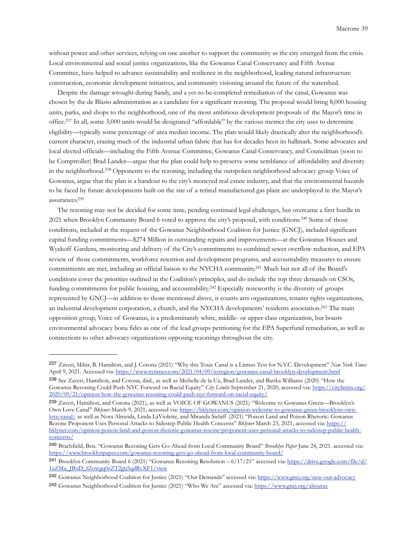without power and other services, relying on one another to support the community as the city emerged from the crisis. Local environmental and social justice organizations, like the Gowanus Canal Conservancy and Fifth Avenue Committee, have helped to advance sustainability and resilience in the neighborhood, leading natural infrastructure construction, economic development initiatives, and community visioning around the future of the watershed.

 Despite the damage wrought during Sandy, and a yet-to-be-completed remediation of the canal, Gowanus was chosen by the de Blasio administration as a candidate for a significant rezoning. The proposal would bring 8,000 housing units, parks, and shops to the neighborhood, one of the most ambitious development proposals of the Mayor's time in office[.237](#page-38-0) In all, some 3,000 units would be designated "affordable" by the various metrics the city uses to determine eligibility—typically some percentage of area median income. The plan would likely drastically alter the neighborhood's current character, erasing much of the industrial urban fabric that has for decades been its hallmark. Some advocates and local elected officials—including the Fifth Avenue Committee, Gowanus Canal Conservancy, and Councilman (soon to be Comptroller) Brad Lander—argue that the plan could help to preserve some semblance of affordability and diversity in the neighborhood.[238](#page-38-1) Opponents to the rezoning, including the outspoken neighborhood advocacy group Voice of Gowanus, argue that the plan is a handout to the city's moneyed real estate industry, and that the environmental hazards to be faced by future developments built on the site of a retired manufactured gas plant are underplayed in the Mayor's assurances[.239](#page-38-2)

 The rezoning may not be decided for some time, pending continued legal challenges, but overcame a first hurdle in 2021 when Brooklyn Community Board 6 voted to approve the city's proposal, with conditions.[240](#page-38-3) Some of those conditions, included at the request of the Gowanus Neighborhood Coalition for Justice (GNCJ), included significant capital funding commitments—\$274 Million in outstanding repairs and improvements—at the Gowanus Houses and Wyckoff Gardens, monitoring and delivery of the City's commitments to combined sewer overflow reduction, and EPA review of those commitments, workforce retention and development programs, and accountability measures to ensure commitments are met, including an official liaison to the NYCHA community[.241](#page-38-4) Much but not all of the Board's conditions cover the priorities outlined in the Coalition's principles, and do include the top three demands on CSOs, funding commitments for public housing, and accountability.[242](#page-38-5) Especially noteworthy is the diversity of groups represented by GNCJ—in addition to those mentioned above, it counts arts organizations, tenants rights organizations, an industrial development corporation, a church, and the NYCHA developments' residents association[.243](#page-38-6) The main opposition group, Voice of Gowanus, is a predominantly white, middle- or upper-class organization, but boasts environmental advocacy bona fides as one of the lead groups petitioning for the EPA Superfund remediation, as well as connections to other advocacy organizations opposing rezonings throughout the city.

<span id="page-38-0"></span><sup>237</sup> Zaveri, Mihir, B. Hamilton, and J. Corona (2021) "Why this Toxic Canal is a Litmus Test for N.Y.C. Development" *New York Times*  April 9, 2021. Accessed via:<https://www.nytimes.com/2021/04/09/nyregion/gowanus-canal-brooklyn-development.html>

<span id="page-38-1"></span><sup>238</sup> See Zaveri, Hamilton, and Corona, ibid., as well as Michelle de la Uz, Brad Lander, and Barika Williams (2020) "How the Gowanus Rezoning Could Push NYC Forward on Racial Equity" *City Limits* September 21, 2020, accessed via: [https://citylimits.org/](https://citylimits.org/2020/09/21/opinion-how-the-gowanus-rezoning-could-push-nyc-forward-on-racial-equity/) [2020/09/21/opinion-how-the-gowanus-rezoning-could-push-nyc-forward-on-racial-equity/](https://citylimits.org/2020/09/21/opinion-how-the-gowanus-rezoning-could-push-nyc-forward-on-racial-equity/)

<span id="page-38-2"></span><sup>239</sup> Zaveri, Hamilton, and Corona (2021), as well as VOICE OF GOWANUS (2021) "Welcome to Gowanus Green—Brooklyn's Own Love Canal" *Bklyner* March 9, 2021, accessed via: [https://bklyner.com/opinion-welcome-to-gowanus-green-brooklyns-own](https://bklyner.com/opinion-welcome-to-gowanus-green-brooklyns-own-love-canal/)[love-canal/](https://bklyner.com/opinion-welcome-to-gowanus-green-brooklyns-own-love-canal/) as well as Nora Almeida, Linda LaViolette, and Miranda Sielaff (2021) "Poison Land and Poison Rhetoric: Gowanus Rezone Proponent Uses Personal Attacks to Sidestep Public Health Concerns" *Bklyner* March 23, 2021, accessed via: [https://](https://bklyner.com/opinion-poison-land-and-poison-rhetoric-gowanus-rezone-proponent-uses-personal-attacks-to-sidestep-public-health-concerns/) [bklyner.com/opinion-poison-land-and-poison-rhetoric-gowanus-rezone-proponent-uses-personal-attacks-to-sidestep-public-health](https://bklyner.com/opinion-poison-land-and-poison-rhetoric-gowanus-rezone-proponent-uses-personal-attacks-to-sidestep-public-health-concerns/)[concerns/](https://bklyner.com/opinion-poison-land-and-poison-rhetoric-gowanus-rezone-proponent-uses-personal-attacks-to-sidestep-public-health-concerns/)

<span id="page-38-3"></span><sup>240</sup> Brachfield, Ben. "Gowanus Rezoning Gets Go-Ahead from Local Community Board" *Brooklyn Paper* June 24, 2021. accessed via: <https://www.brooklynpaper.com/gowanus-rezoning-gets-go-ahead-from-local-community-board/>

<span id="page-38-4"></span><sup>241</sup> Brooklyn Community Board 6 (2021) "Gowanus Rezoning Resolution – 6/17/21" accessed via: [https://drive.google.com/file/d/](https://drive.google.com/file/d/1zZMu_JBxD_fZowgq0zZT2gtj5qdRvXF1/view) [1zZMu\\_JBxD\\_fZowgq0zZT2gtj5qdRvXF1/view](https://drive.google.com/file/d/1zZMu_JBxD_fZowgq0zZT2gtj5qdRvXF1/view)

<span id="page-38-6"></span><span id="page-38-5"></span><sup>242</sup> Gowanus Neighborhood Coalition for Justice (2021) "Our Demands" accessed via:<https://www.gncj.org/new-our-advocacy> 243 Gowanus Neighborhood Coalition for Justice (2021) "Who We Are" accessed via: <https://www.gncj.org/aboutus>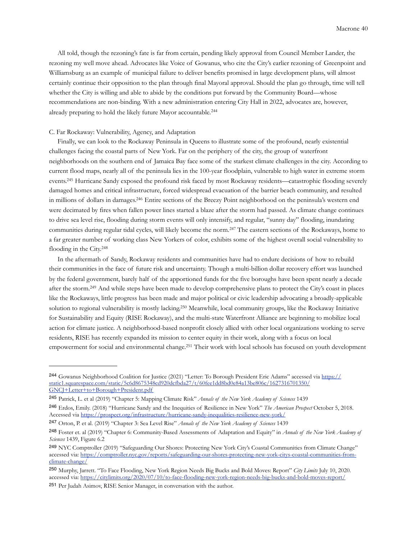All told, though the rezoning's fate is far from certain, pending likely approval from Council Member Lander, the rezoning my well move ahead. Advocates like Voice of Gowanus, who cite the City's earlier rezoning of Greenpoint and Williamsburg as an example of municipal failure to deliver benefits promised in large development plans, will almost certainly continue their opposition to the plan through final Mayoral approval. Should the plan go through, time will tell whether the City is willing and able to abide by the conditions put forward by the Community Board—whose recommendations are non-binding. With a new administration entering City Hall in 2022, advocates are, however, already preparing to hold the likely future Mayor accountable.[244](#page-39-0)

### C. Far Rockaway: Vulnerability, Agency, and Adaptation

 Finally, we can look to the Rockaway Peninsula in Queens to illustrate some of the profound, nearly existential challenges facing the coastal parts of New York. Far on the periphery of the city, the group of waterfront neighborhoods on the southern end of Jamaica Bay face some of the starkest climate challenges in the city. According to current flood maps, nearly all of the peninsula lies in the 100-year floodplain, vulnerable to high water in extreme storm events[.245](#page-39-1) Hurricane Sandy exposed the profound risk faced by most Rockaway residents—catastrophic flooding severely damaged homes and critical infrastructure, forced widespread evacuation of the barrier beach community, and resulted in millions of dollars in damages[.246](#page-39-2) Entire sections of the Breezy Point neighborhood on the peninsula's western end were decimated by fires when fallen power lines started a blaze after the storm had passed. As climate change continues to drive sea level rise, flooding during storm events will only intensify, and regular, "sunny day" flooding, inundating communities during regular tidal cycles, will likely become the norm.[247](#page-39-3) The eastern sections of the Rockaways, home to a far greater number of working class New Yorkers of color, exhibits some of the highest overall social vulnerability to flooding in the City.[248](#page-39-4)

 In the aftermath of Sandy, Rockaway residents and communities have had to endure decisions of how to rebuild their communities in the face of future risk and uncertainty. Though a multi-billion dollar recovery effort was launched by the federal government, barely half of the apportioned funds for the five boroughs have been spent nearly a decade after the storm[.249](#page-39-5) And while steps have been made to develop comprehensive plans to protect the City's coast in places like the Rockaways, little progress has been made and major political or civic leadership advocating a broadly-applicable solution to regional vulnerability is mostly lacking[.250](#page-39-6) Meanwhile, local community groups, like the Rockaway Initiative for Sustainability and Equity (RISE Rockaway), and the multi-state Waterfront Alliance are beginning to mobilize local action for climate justice. A neighborhood-based nonprofit closely allied with other local organizations working to serve residents, RISE has recently expanded its mission to center equity in their work, along with a focus on local empowerment for social and environmental change[.251](#page-39-7) Their work with local schools has focused on youth development

<span id="page-39-0"></span><sup>244</sup> Gowanus Neighborhood Coalition for Justice (2021) "Letter: To Borough President Eric Adams" accessed via [https://](https://static1.squarespace.com/static/5c6d8675348cd920dcfbda27/t/60fee1dd8bd0e84a13be806c/1627316701350/GNCJ+Letter+to+Borough+President.pdf) [static1.squarespace.com/static/5c6d8675348cd920dcfbda27/t/60fee1dd8bd0e84a13be806c/1627316701350/](https://static1.squarespace.com/static/5c6d8675348cd920dcfbda27/t/60fee1dd8bd0e84a13be806c/1627316701350/GNCJ+Letter+to+Borough+President.pdf) [GNCJ+Letter+to+Borough+President.pdf](https://static1.squarespace.com/static/5c6d8675348cd920dcfbda27/t/60fee1dd8bd0e84a13be806c/1627316701350/GNCJ+Letter+to+Borough+President.pdf)

<span id="page-39-1"></span><sup>245</sup> Patrick, L. et al (2019) "Chapter 5: Mapping Climate Risk" *Annals of the New York Academy of Sciences* 1439

<span id="page-39-2"></span><sup>246</sup> Erdos, Emily. (2018) "Hurricane Sandy and the Inequities of Resilience in New York" *The American Prospect* October 5, 2018. Accessed via <https://prospect.org/infrastructure/hurricane-sandy-inequalities-resilience-new-york/>

<span id="page-39-3"></span><sup>247</sup> Orton, P. et al. (2019) "Chapter 3: Sea Level Rise" *Annals of the New York Academy of Sciences* 1439

<span id="page-39-4"></span><sup>248</sup> Foster et. al (2019) "Chapter 6: Community-Based Assessments of Adaptation and Equity" in *Annals of the New York Academy of Sciences* 1439, Figure 6.2

<span id="page-39-5"></span><sup>249</sup> NYC Comptroller (2019) "Safeguarding Our Shores: Protecting New York City's Coastal Communities from Climate Change" accessed via: [https://comptroller.nyc.gov/reports/safeguarding-our-shores-protecting-new-york-citys-coastal-communities-from](https://comptroller.nyc.gov/reports/safeguarding-our-shores-protecting-new-york-citys-coastal-communities-from-climate-change/)[climate-change/](https://comptroller.nyc.gov/reports/safeguarding-our-shores-protecting-new-york-citys-coastal-communities-from-climate-change/)

<span id="page-39-6"></span><sup>250</sup> Murphy, Jarrett. "To Face Flooding, New York Region Needs Big Bucks and Bold Moves: Report" *City Limits* July 10, 2020. accessed via:<https://citylimits.org/2020/07/10/to-face-flooding-new-york-region-needs-big-bucks-and-bold-moves-report/>

<span id="page-39-7"></span><sup>251</sup> Per Judah Asimov, RISE Senior Manager, in conversation with the author.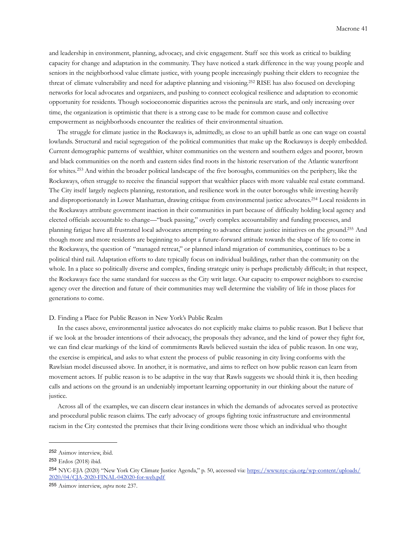and leadership in environment, planning, advocacy, and civic engagement. Staff see this work as critical to building capacity for change and adaptation in the community. They have noticed a stark difference in the way young people and seniors in the neighborhood value climate justice, with young people increasingly pushing their elders to recognize the threat of climate vulnerability and need for adaptive planning and visioning.[252](#page-40-0) RISE has also focused on developing networks for local advocates and organizers, and pushing to connect ecological resilience and adaptation to economic opportunity for residents. Though socioeconomic disparities across the peninsula are stark, and only increasing over time, the organization is optimistic that there is a strong case to be made for common cause and collective empowerment as neighborhoods encounter the realities of their environmental situation.

 The struggle for climate justice in the Rockaways is, admittedly, as close to an uphill battle as one can wage on coastal lowlands. Structural and racial segregation of the political communities that make up the Rockaways is deeply embedded. Current demographic patterns of wealthier, whiter communities on the western and southern edges and poorer, brown and black communities on the north and eastern sides find roots in the historic reservation of the Atlantic waterfront for whites.[253](#page-40-1) And within the broader political landscape of the five boroughs, communities on the periphery, like the Rockaways, often struggle to receive the financial support that wealthier places with more valuable real estate command. The City itself largely neglects planning, restoration, and resilience work in the outer boroughs while investing heavily and disproportionately in Lower Manhattan, drawing critique from environmental justice advocates[.254](#page-40-2) Local residents in the Rockaways attribute government inaction in their communities in part because of difficulty holding local agency and elected officials accountable to change—"buck passing," overly complex accountability and funding processes, and planning fatigue have all frustrated local advocates attempting to advance climate justice initiatives on the ground[.255](#page-40-3) And though more and more residents are beginning to adopt a future-forward attitude towards the shape of life to come in the Rockaways, the question of "managed retreat," or planned inland migration of communities, continues to be a political third rail. Adaptation efforts to date typically focus on individual buildings, rather than the community on the whole. In a place so politically diverse and complex, finding strategic unity is perhaps predictably difficult; in that respect, the Rockaways face the same standard for success as the City writ large. Our capacity to empower neighbors to exercise agency over the direction and future of their communities may well determine the viability of life in those places for generations to come.

# D. Finding a Place for Public Reason in New York's Public Realm

 In the cases above, environmental justice advocates do not explicitly make claims to public reason. But I believe that if we look at the broader intentions of their advocacy, the proposals they advance, and the kind of power they fight for, we can find clear markings of the kind of commitments Rawls believed sustain the idea of public reason. In one way, the exercise is empirical, and asks to what extent the process of public reasoning in city living conforms with the Rawlsian model discussed above. In another, it is normative, and aims to reflect on how public reason can learn from movement actors. If public reason is to be adaptive in the way that Rawls suggests we should think it is, then heeding calls and actions on the ground is an undeniably important learning opportunity in our thinking about the nature of justice.

 Across all of the examples, we can discern clear instances in which the demands of advocates served as protective and procedural public reason claims. The early advocacy of groups fighting toxic infrastructure and environmental racism in the City contested the premises that their living conditions were those which an individual who thought

<span id="page-40-0"></span><sup>252</sup> Asimov interview, ibid.

<span id="page-40-1"></span><sup>253</sup> Erdos (2018) ibid.

<span id="page-40-2"></span><sup>254</sup> NYC-EJA (2020) "New York City Climate Justice Agenda," p. 50, accessed via: [https://www.nyc-eja.org/wp-content/uploads/](https://www.nyc-eja.org/wp-content/uploads/2020/04/CJA-2020-FINAL-042020-for-web.pdf) [2020/04/CJA-2020-FINAL-042020-for-web.pdf](https://www.nyc-eja.org/wp-content/uploads/2020/04/CJA-2020-FINAL-042020-for-web.pdf)

<span id="page-40-3"></span><sup>255</sup> Asimov interview, *supra* note 237.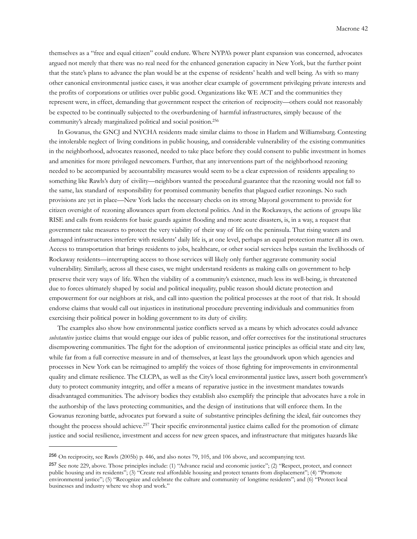themselves as a "free and equal citizen" could endure. Where NYPA's power plant expansion was concerned, advocates argued not merely that there was no real need for the enhanced generation capacity in New York, but the further point that the state's plans to advance the plan would be at the expense of residents' health and well being. As with so many other canonical environmental justice cases, it was another clear example of government privileging private interests and the profits of corporations or utilities over public good. Organizations like WE ACT and the communities they represent were, in effect, demanding that government respect the criterion of reciprocity—others could not reasonably be expected to be continually subjected to the overburdening of harmful infrastructures, simply because of the community's already marginalized political and social position[.256](#page-41-0)

 In Gowanus, the GNCJ and NYCHA residents made similar claims to those in Harlem and Williamsburg. Contesting the intolerable neglect of living conditions in public housing, and considerable vulnerability of the existing communities in the neighborhood, advocates reasoned, needed to take place before they could consent to public investment in homes and amenities for more privileged newcomers. Further, that any interventions part of the neighborhood rezoning needed to be accompanied by accountability measures would seem to be a clear expression of residents appealing to something like Rawls's duty of civility—neighbors wanted the procedural guarantee that the rezoning would not fall to the same, lax standard of responsibility for promised community benefits that plagued earlier rezonings. No such provisions are yet in place—New York lacks the necessary checks on its strong Mayoral government to provide for citizen oversight of rezoning allowances apart from electoral politics. And in the Rockaways, the actions of groups like RISE and calls from residents for basic guards against flooding and more acute disasters, is, in a way, a request that government take measures to protect the very viability of their way of life on the peninsula. That rising waters and damaged infrastructures interfere with residents' daily life is, at one level, perhaps an equal protection matter all its own. Access to transportation that brings residents to jobs, healthcare, or other social services helps sustain the livelihoods of Rockaway residents—interrupting access to those services will likely only further aggravate community social vulnerability. Similarly, across all these cases, we might understand residents as making calls on government to help preserve their very ways of life. When the viability of a community's existence, much less its well-being, is threatened due to forces ultimately shaped by social and political inequality, public reason should dictate protection and empowerment for our neighbors at risk, and call into question the political processes at the root of that risk. It should endorse claims that would call out injustices in institutional procedure preventing individuals and communities from exercising their political power in holding government to its duty of civility.

 The examples also show how environmental justice conflicts served as a means by which advocates could advance *substantive* justice claims that would engage our idea of public reason, and offer correctives for the institutional structures disempowering communities. The fight for the adoption of environmental justice principles as official state and city law, while far from a full corrective measure in and of themselves, at least lays the groundwork upon which agencies and processes in New York can be reimagined to amplify the voices of those fighting for improvements in environmental quality and climate resilience. The CLCPA, as well as the City's local environmental justice laws, assert both government's duty to protect community integrity, and offer a means of reparative justice in the investment mandates towards disadvantaged communities. The advisory bodies they establish also exemplify the principle that advocates have a role in the authorship of the laws protecting communities, and the design of institutions that will enforce them. In the Gowanus rezoning battle, advocates put forward a suite of substantive principles defining the ideal, fair outcomes they thought the process should achieve[.257](#page-41-1) Their specific environmental justice claims called for the promotion of climate justice and social resilience, investment and access for new green spaces, and infrastructure that mitigates hazards like

<span id="page-41-0"></span><sup>256</sup> On reciprocity, see Rawls (2005b) p. 446, and also notes 79, 105, and 106 above, and accompanying text.

<span id="page-41-1"></span><sup>257</sup> See note 229, above. Those principles include: (1) "Advance racial and economic justice"; (2) "Respect, protect, and connect public housing and its residents"; (3) "Create real affordable housing and protect tenants from displacement"; (4) "Promote environmental justice"; (5) "Recognize and celebrate the culture and community of longtime residents"; and (6) "Protect local businesses and industry where we shop and work."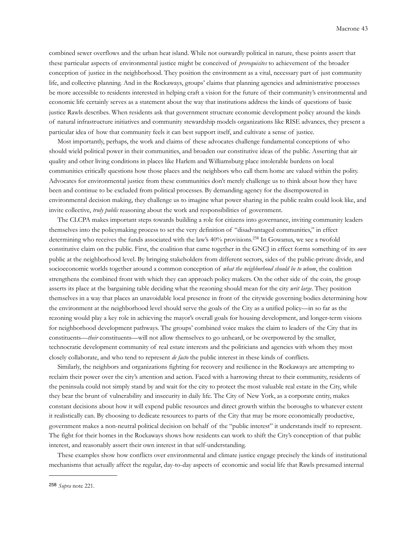combined sewer overflows and the urban heat island. While not outwardly political in nature, these points assert that these particular aspects of environmental justice might be conceived of *prerequisites* to achievement of the broader conception of justice in the neighborhood. They position the environment as a vital, necessary part of just community life, and collective planning. And in the Rockaways, groups' claims that planning agencies and administrative processes be more accessible to residents interested in helping craft a vision for the future of their community's environmental and economic life certainly serves as a statement about the way that institutions address the kinds of questions of basic justice Rawls describes. When residents ask that government structure economic development policy around the kinds of natural infrastructure initiatives and community stewardship models organizations like RISE advances, they present a particular idea of how that community feels it can best support itself, and cultivate a sense of justice.

 Most importantly, perhaps, the work and claims of these advocates challenge fundamental conceptions of who should wield political power in their communities, and broaden our constitutive ideas of the public. Asserting that air quality and other living conditions in places like Harlem and Williamsburg place intolerable burdens on local communities critically questions how those places and the neighbors who call them home are valued within the polity. Advocates for environmental justice from these communities don't merely challenge us to think about how they have been and continue to be excluded from political processes. By demanding agency for the disempowered in environmental decision making, they challenge us to imagine what power sharing in the public realm could look like, and invite collective, *truly public* reasoning about the work and responsibilities of government.

 The CLCPA makes important steps towards building a role for citizens into governance, inviting community leaders themselves into the policymaking process to set the very definition of "disadvantaged communities," in effect determining who receives the funds associated with the law's 40% provisions.[258](#page-42-0) In Gowanus, we see a twofold constitutive claim on the public. First, the coalition that came together in the GNCJ in effect forms something of its *own*  public at the neighborhood level. By bringing stakeholders from different sectors, sides of the public-private divide, and socioeconomic worlds together around a common conception of *what the neighborhood should be to whom*, the coalition strengthens the combined front with which they can approach policy makers. On the other side of the coin, the group asserts its place at the bargaining table deciding what the rezoning should mean for the city *writ large*. They position themselves in a way that places an unavoidable local presence in front of the citywide governing bodies determining how the environment at the neighborhood level should serve the goals of the City as a unified policy—in so far as the rezoning would play a key role in achieving the mayor's overall goals for housing development, and longer-term visions for neighborhood development pathways. The groups' combined voice makes the claim to leaders of the City that its constituents—*their* constituents—will not allow themselves to go unheard, or be overpowered by the smaller, technocratic development community of real estate interests and the politicians and agencies with whom they most closely collaborate, and who tend to represent *de facto* the public interest in these kinds of conflicts.

 Similarly, the neighbors and organizations fighting for recovery and resilience in the Rockaways are attempting to reclaim their power over the city's attention and action. Faced with a harrowing threat to their community, residents of the peninsula could not simply stand by and wait for the city to protect the most valuable real estate in the City, while they bear the brunt of vulnerability and insecurity in daily life. The City of New York, as a corporate entity, makes constant decisions about how it will expend public resources and direct growth within the boroughs to whatever extent it realistically can. By choosing to dedicate resources to parts of the City that may be more economically productive, government makes a non-neutral political decision on behalf of the "public interest" it understands itself to represent. The fight for their homes in the Rockaways shows how residents can work to shift the City's conception of that public interest, and reasonably assert their own interest in that self-understanding.

 These examples show how conflicts over environmental and climate justice engage precisely the kinds of institutional mechanisms that actually affect the regular, day-to-day aspects of economic and social life that Rawls presumed internal

<span id="page-42-0"></span><sup>258</sup> *Supra* note 221.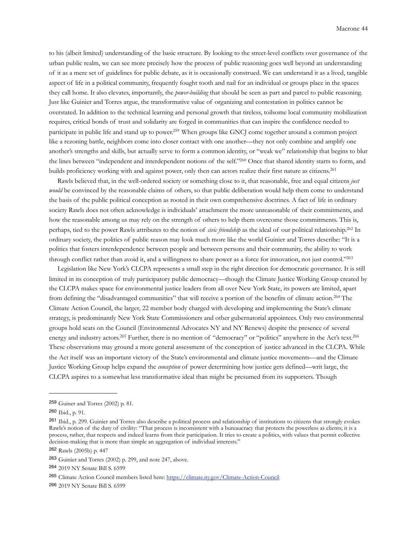to his (albeit limited) understanding of the basic structure. By looking to the street-level conflicts over governance of the urban public realm, we can see more precisely how the process of public reasoning goes well beyond an understanding of it as a mere set of guidelines for public debate, as it is occasionally construed. We can understand it as a lived, tangible aspect of life in a political community, frequently fought tooth and nail for an individual or groups place in the spaces they call home. It also elevates, importantly, the *power-building* that should be seen as part and parcel to public reasoning. Just like Guinier and Torres argue, the transformative value of organizing and contestation in politics cannot be overstated. In addition to the technical learning and personal growth that tireless, toilsome local community mobilization requires, critical bonds of trust and solidarity are forged in communities that can inspire the confidence needed to participate in public life and stand up to power[.259](#page-43-0) When groups like GNCJ come together around a common project like a rezoning battle, neighbors come into closer contact with one another—they not only combine and amplify one another's strengths and skills, but actually serve to form a common identity, or "weak we" relationship that begins to blur the lines between "independent and interdependent notions of the self.["260](#page-43-1) Once that shared identity starts to form, and builds proficiency working with and against power, only then can actors realize their first nature as citizens.[261](#page-43-2)

 Rawls believed that, in the well-ordered society or something close to it, that reasonable, free and equal citizens *just would* be convinced by the reasonable claims of others, so that public deliberation would help them come to understand the basis of the public political conception as rooted in their own comprehensive doctrines. A fact of life in ordinary society Rawls does not often acknowledge is individuals' attachment the more unreasonable of their commitments, and how the reasonable among us may rely on the strength of others to help them overcome those commitments. This is, perhaps, tied to the power Rawls attributes to the notion of *civic friendship* as the ideal of our political relationship[.262](#page-43-3) In ordinary society, the politics of public reason may look much more like the world Guinier and Torres describe: "It is a politics that fosters interdependence between people and between persons and their community, the ability to work through conflict rather than avoid it, and a willingness to share power as a force for innovation, not just control.["263](#page-43-4)

 Legislation like New York's CLCPA represents a small step in the right direction for democratic governance. It is still limited in its conception of truly participatory public democracy—though the Climate Justice Working Group created by the CLCPA makes space for environmental justice leaders from all over New York State, its powers are limited, apart from defining the "disadvantaged communities" that will receive a portion of the benefits of climate action.[264](#page-43-5) The Climate Action Council, the larger, 22 member body charged with developing and implementing the State's climate strategy, is predominantly New York State Commissioners and other gubernatorial appointees. Only two environmental groups hold seats on the Council (Environmental Advocates NY and NY Renews) despite the presence of several energy and industry actors.<sup>265</sup> Further, there is no mention of "democracy" or "politics" anywhere in the Act's text.<sup>[266](#page-43-7)</sup> These observations may ground a more general assessment of the conception of justice advanced in the CLCPA. While the Act itself was an important victory of the State's environmental and climate justice movements—and the Climate Justice Working Group helps expand the *conception* of power determining how justice gets defined—writ large, the CLCPA aspires to a somewhat less transformative ideal than might be presumed from its supporters. Though

<span id="page-43-0"></span><sup>259</sup> Guiner and Torres (2002) p. 81.

<span id="page-43-1"></span><sup>260</sup> Ibid., p. 91.

<span id="page-43-2"></span><sup>261</sup> Ibid., p. 299. Guinier and Torres also describe a political process and relationship of institutions to citizens that strongly evokes Rawls's notion of the duty of civility: "That process is inconsistent with a bureaucracy that protects the powerless as clients; it is a process, rather, that respects and indeed learns from their participation. It tries to create a politics, with values that permit collective decision-making that is more than simple an aggregation of individual interests."

<span id="page-43-3"></span><sup>262</sup> Rawls (2005b) p. 447

<span id="page-43-4"></span><sup>263</sup> Guinier and Torres (2002) p. 299, and note 247, above.

<span id="page-43-5"></span><sup>264</sup> 2019 NY Senate Bill S. 6599

<span id="page-43-6"></span><sup>265</sup> Climate Action Council members listed here: <https://climate.ny.gov/Climate-Action-Council>

<span id="page-43-7"></span><sup>266</sup> 2019 NY Senate Bill S. 6599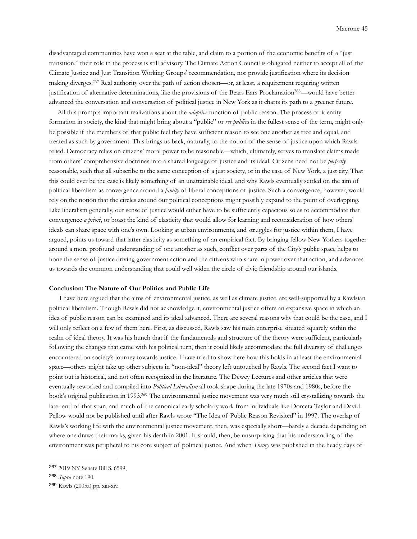disadvantaged communities have won a seat at the table, and claim to a portion of the economic benefits of a "just transition," their role in the process is still advisory. The Climate Action Council is obligated neither to accept all of the Climate Justice and Just Transition Working Groups' recommendation, nor provide justification where its decision making diverges.<sup>267</sup> Real authority over the path of action chosen—or, at least, a requirement requiring written justification of alternative determinations, like the provisions of the Bears Ears Proclamation<sup>268</sup>—would have better advanced the conversation and conversation of political justice in New York as it charts its path to a greener future.

 All this prompts important realizations about the *adaptive* function of public reason. The process of identity formation in society, the kind that might bring about a "public" or *res publica* in the fullest sense of the term, might only be possible if the members of that public feel they have sufficient reason to see one another as free and equal, and treated as such by government. This brings us back, naturally, to the notion of the sense of justice upon which Rawls relied. Democracy relies on citizens' moral power to be reasonable—which, ultimately, serves to translate claims made from others' comprehensive doctrines into a shared language of justice and its ideal. Citizens need not be *perfectly* reasonable, such that all subscribe to the same conception of a just society, or in the case of New York, a just city. That this could ever be the case is likely something of an unattainable ideal, and why Rawls eventually settled on the aim of political liberalism as convergence around a *family* of liberal conceptions of justice. Such a convergence, however, would rely on the notion that the circles around our political conceptions might possibly expand to the point of overlapping. Like liberalism generally, our sense of justice would either have to be sufficiently capacious so as to accommodate that convergence *a priori*, or boast the kind of elasticity that would allow for learning and reconsideration of how others' ideals can share space with one's own. Looking at urban environments, and struggles for justice within them, I have argued, points us toward that latter elasticity as something of an empirical fact. By bringing fellow New Yorkers together around a more profound understanding of one another as such, conflict over parts of the City's public space helps to hone the sense of justice driving government action and the citizens who share in power over that action, and advances us towards the common understanding that could well widen the circle of civic friendship around our islands.

## **Conclusion: The Nature of Our Politics and Public Life**

 I have here argued that the aims of environmental justice, as well as climate justice, are well-supported by a Rawlsian political liberalism. Though Rawls did not acknowledge it, environmental justice offers an expansive space in which an idea of public reason can be examined and its ideal advanced. There are several reasons why that could be the case, and I will only reflect on a few of them here. First, as discussed, Rawls saw his main enterprise situated squarely within the realm of ideal theory. It was his hunch that if the fundamentals and structure of the theory were sufficient, particularly following the changes that came with his political turn, then it could likely accommodate the full diversity of challenges encountered on society's journey towards justice. I have tried to show here how this holds in at least the environmental space—others might take up other subjects in "non-ideal" theory left untouched by Rawls. The second fact I want to point out is historical, and not often recognized in the literature. The Dewey Lectures and other articles that were eventually reworked and compiled into *Political Liberalism* all took shape during the late 1970s and 1980s, before the book's original publication in 1993[.269](#page-44-2) The environmental justice movement was very much still crystallizing towards the later end of that span, and much of the canonical early scholarly work from individuals like Dorceta Taylor and David Pellow would not be published until after Rawls wrote "The Idea of Public Reason Revisited" in 1997. The overlap of Rawls's working life with the environmental justice movement, then, was especially short—barely a decade depending on where one draws their marks, given his death in 2001. It should, then, be unsurprising that his understanding of the environment was peripheral to his core subject of political justice. And when *Theory* was published in the heady days of

<span id="page-44-0"></span><sup>267</sup> 2019 NY Senate Bill S. 6599,

<span id="page-44-1"></span><sup>268</sup> *Supra* note 190.

<span id="page-44-2"></span><sup>269</sup> Rawls (2005a) pp. xiii-xiv.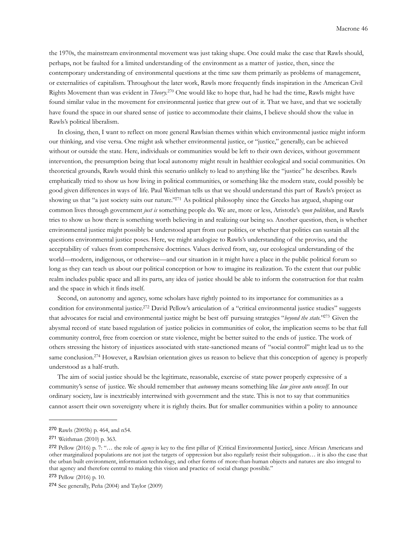the 1970s, the mainstream environmental movement was just taking shape. One could make the case that Rawls should, perhaps, not be faulted for a limited understanding of the environment as a matter of justice, then, since the contemporary understanding of environmental questions at the time saw them primarily as problems of management, or externalities of capitalism. Throughout the later work, Rawls more frequently finds inspiration in the American Civil Rights Movement than was evident in *Theory.*[270](#page-45-0) One would like to hope that, had he had the time, Rawls might have found similar value in the movement for environmental justice that grew out of it. That we have, and that we societally have found the space in our shared sense of justice to accommodate their claims, I believe should show the value in Rawls's political liberalism.

 In closing, then, I want to reflect on more general Rawlsian themes within which environmental justice might inform our thinking, and vise versa. One might ask whether environmental justice, or "justice," generally, can be achieved without or outside the state. Here, individuals or communities would be left to their own devices, without government intervention, the presumption being that local autonomy might result in healthier ecological and social communities. On theoretical grounds, Rawls would think this scenario unlikely to lead to anything like the "justice" he describes. Rawls emphatically tried to show us how living in political communities, or something like the modern state, could possibly be good given differences in ways of life. Paul Weithman tells us that we should understand this part of Rawls's project as showing us that "a just society suits our nature.["271](#page-45-1) As political philosophy since the Greeks has argued, shaping our common lives through government *just is* something people do. We are, more or less, Aristotle's *zoon politikon*, and Rawls tries to show us how there is something worth believing in and realizing our being so. Another question, then, is whether environmental justice might possibly be understood apart from our politics, or whether that politics can sustain all the questions environmental justice poses. Here, we might analogize to Rawls's understanding of the proviso, and the acceptability of values from comprehensive doctrines. Values derived from, say, our ecological understanding of the world—modern, indigenous, or otherwise—and our situation in it might have a place in the public political forum so long as they can teach us about our political conception or how to imagine its realization. To the extent that our public realm includes public space and all its parts, any idea of justice should be able to inform the construction for that realm and the space in which it finds itself.

 Second, on autonomy and agency, some scholars have rightly pointed to its importance for communities as a condition for environmental justice.<sup>272</sup> David Pellow's articulation of a "critical environmental justice studies" suggests that advocates for racial and environmental justice might be best off pursuing strategies "*beyond the state.*["273](#page-45-3) Given the abysmal record of state based regulation of justice policies in communities of color, the implication seems to be that full community control, free from coercion or state violence, might be better suited to the ends of justice. The work of others stressing the history of injustices associated with state-sanctioned means of "social control" might lead us to the same conclusion.<sup>274</sup> However, a Rawlsian orientation gives us reason to believe that this conception of agency is properly understood as a half-truth.

 The aim of social justice should be the legitimate, reasonable, exercise of state power properly expressive of a community's sense of justice. We should remember that *autonomy* means something like *law given unto oneself.* In our ordinary society, law is inextricably intertwined with government and the state. This is not to say that communities cannot assert their own sovereignty where it is rightly theirs. But for smaller communities within a polity to announce

<span id="page-45-0"></span><sup>270</sup> Rawls (2005b) p. 464, and n54.

<span id="page-45-1"></span><sup>271</sup> Weithman (2010) p. 363.

<span id="page-45-2"></span><sup>272</sup> Pellow (2016) p. 7: "… the role of *agency* is key to the first pillar of [Critical Environmental Justice], since African Americans and other marginalized populations are not just the targets of oppression but also regularly resist their subjugation… it is also the case that the urban built environment, information technology, and other forms of more-than-human objects and natures are also integral to that agency and therefore central to making this vision and practice of social change possible."

<span id="page-45-3"></span><sup>273</sup> Pellow (2016) p. 10.

<span id="page-45-4"></span><sup>274</sup> See generally, Peña (2004) and Taylor (2009)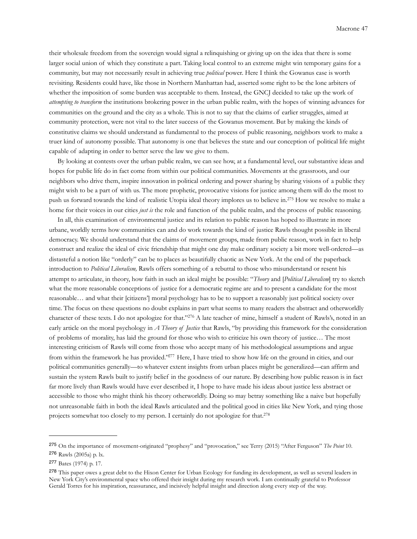their wholesale freedom from the sovereign would signal a relinquishing or giving up on the idea that there is some larger social union of which they constitute a part. Taking local control to an extreme might win temporary gains for a community, but may not necessarily result in achieving true *political* power. Here I think the Gowanus case is worth revisiting. Residents could have, like those in Northern Manhattan had, asserted some right to be the lone arbiters of whether the imposition of some burden was acceptable to them. Instead, the GNCJ decided to take up the work of *attempting to transform* the institutions brokering power in the urban public realm, with the hopes of winning advances for communities on the ground and the city as a whole. This is not to say that the claims of earlier struggles, aimed at community protection, were not vital to the later success of the Gowanus movement. But by making the kinds of constitutive claims we should understand as fundamental to the process of public reasoning, neighbors work to make a truer kind of autonomy possible. That autonomy is one that believes the state and our conception of political life might capable of adapting in order to better serve the law we give to them.

 By looking at contests over the urban public realm, we can see how, at a fundamental level, our substantive ideas and hopes for public life do in fact come from within our political communities. Movements at the grassroots, and our neighbors who drive them, inspire innovation in political ordering and power sharing by sharing visions of a public they might wish to be a part of with us. The more prophetic, provocative visions for justice among them will do the most to push us forward towards the kind of realistic Utopia ideal theory implores us to believe in.[275](#page-46-0) How we resolve to make a home for their voices in our cities *just is* the role and function of the public realm, and the process of public reasoning.

 In all, this examination of environmental justice and its relation to public reason has hoped to illustrate in more urbane, worldly terms how communities can and do work towards the kind of justice Rawls thought possible in liberal democracy. We should understand that the claims of movement groups, made from public reason, work in fact to help construct and realize the ideal of civic friendship that might one day make ordinary society a bit more well-ordered—as distasteful a notion like "orderly" can be to places as beautifully chaotic as New York. At the end of the paperback introduction to *Political Liberalism,* Rawls offers something of a rebuttal to those who misunderstand or resent his attempt to articulate, in theory, how faith in such an ideal might be possible: "*Theory* and [*Political Liberalism*] try to sketch what the more reasonable conceptions of justice for a democratic regime are and to present a candidate for the most reasonable… and what their [citizens'] moral psychology has to be to support a reasonably just political society over time. The focus on these questions no doubt explains in part what seems to many readers the abstract and otherworldly character of these texts. I do not apologize for that."[276](#page-46-1) A late teacher of mine, himself a student of Rawls's, noted in an early article on the moral psychology in *A Theory of Justice* that Rawls, "by providing this framework for the consideration of problems of morality, has laid the ground for those who wish to criticize his own theory of justice… The most interesting criticism of Rawls will come from those who accept many of his methodological assumptions and argue from within the framework he has provided.["277](#page-46-2) Here, I have tried to show how life on the ground in cities, and our political communities generally—to whatever extent insights from urban places might be generalized—can affirm and sustain the system Rawls built to justify belief in the goodness of our nature. By describing how public reason is in fact far more lively than Rawls would have ever described it, I hope to have made his ideas about justice less abstract or accessible to those who might think his theory otherworldly. Doing so may betray something like a naive but hopefully not unreasonable faith in both the ideal Rawls articulated and the political good in cities like New York, and tying those projects somewhat too closely to my person. I certainly do not apologize for that[.278](#page-46-3)

<span id="page-46-0"></span><sup>275</sup> On the importance of movement-originated "prophesy" and "provocation," see Terry (2015) "After Ferguson" *The Point* 10. <sup>276</sup> Rawls (2005a) p. lx.

<span id="page-46-1"></span>

<span id="page-46-2"></span><sup>277</sup> Bates (1974) p. 17.

<span id="page-46-3"></span><sup>278</sup> This paper owes a great debt to the Hixon Center for Urban Ecology for funding its development, as well as several leaders in New York City's environmental space who offered their insight during my research work. I am continually grateful to Professor Gerald Torres for his inspiration, reassurance, and incisively helpful insight and direction along every step of the way.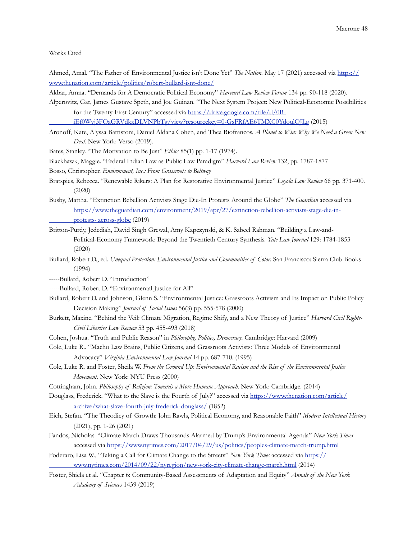## Works Cited

Ahmed, Amal. "The Father of Environmental Justice isn't Done Yet" *The Nation.* May 17 (2021) accessed via [https://](https://www.thenation.com/article/politics/robert-bullard-isnt-done/) [www.thenation.com/article/politics/robert-bullard-isnt-done/](https://www.thenation.com/article/politics/robert-bullard-isnt-done/)

Akbar, Amna. "Demands for A Democratic Political Economy" *Harvard Law Review Forum* 134 pp. 90-118 (2020).

Alperovitz, Gar, James Gustave Speth, and Joe Guinan. "The Next System Project: New Political-Economic Possibilities for the Twenty-First Century" accessed via [https://drive.google.com/file/d/0B-](https://drive.google.com/file/d/0B-iEf0Wvj3FQaGRVdkxDLVNPbTg/view?resourcekey=0-GsFRfAE6TMXC0YdoulQJLg)

 [iEf0Wvj3FQaGRVdkxDLVNPbTg/view?resourcekey=0-GsFRfAE6TMXC0YdoulQJLg](https://drive.google.com/file/d/0B-iEf0Wvj3FQaGRVdkxDLVNPbTg/view?resourcekey=0-GsFRfAE6TMXC0YdoulQJLg) (2015)

- Aronoff, Kate, Alyssa Battistoni, Daniel Aldana Cohen, and Thea Riofrancos. *A Planet to Win: Why We Need a Green New Deal.* New York: Verso (2019).
- Bates, Stanley. "The Motivation to Be Just" *Ethics* 85(1) pp. 1-17 (1974).
- Blackhawk, Maggie. "Federal Indian Law as Public Law Paradigm" *Harvard Law Review* 132, pp. 1787-1877
- Bosso, Christopher. *Environment, Inc.: From Grassroots to Beltway*
- Bratspies, Rebecca. "Renewable Rikers: A Plan for Restorative Environmental Justice" *Loyola Law Review* 66 pp. 371-400. (2020)
- Busby, Mattha. "Extinction Rebellion Activists Stage Die-In Protests Around the Globe" *The Guardian* accessed via [https://www.theguardian.com/environment/2019/apr/27/extinction-rebellion-activists-stage-die-in](https://www.theguardian.com/environment/2019/apr/27/extinction-rebellion-activists-stage-die-in-protests-across-globe)  [protests- across-globe](https://www.theguardian.com/environment/2019/apr/27/extinction-rebellion-activists-stage-die-in-protests-across-globe) (2019)
- Britton-Purdy, Jedediah, David Singh Grewal, Amy Kapczynski, & K. Sabeel Rahman. "Building a Law-and- Political-Economy Framework: Beyond the Twentieth Century Synthesis. *Yale Law Journal* 129: 1784-1853 (2020)
- Bullard, Robert D., ed. *Unequal Protection: Environmental Justice and Communities of Color.* San Francisco: Sierra Club Books (1994)
- -----Bullard, Robert D. "Introduction"
- -----Bullard, Robert D. "Environmental Justice for All"
- Bullard, Robert D. and Johnson, Glenn S. "Environmental Justice: Grassroots Activism and Its Impact on Public Policy Decision Making" *Journal of Social Issues* 56(3) pp. 555-578 (2000)
- Burkett, Maxine. "Behind the Veil: Climate Migration, Regime Shify, and a New Theory of Justice" *Harvard Civil Rights- Civil Liberties Law Review* 53 pp. 455-493 (2018)
- Cohen, Joshua. "Truth and Public Reason" in *Philosophy, Politics, Democracy*. Cambridge: Harvard (2009)
- Cole, Luke R.. "Macho Law Brains, Public Citizens, and Grassroots Activists: Three Models of Environmental Advocacy" *Virginia Environmental Law Journal* 14 pp. 687-710. (1995)
- Cole, Luke R. and Foster, Sheila W. *From the Ground Up: Environmental Racism and the Rise of the Environmental Justice Movement.* New York: NYU Press (2000)
- Cottingham, John. *Philosophy of Religion: Towards a More Humane Approach*. New York: Cambridge. (2014)
- Douglass, Frederick. "What to the Slave is the Fourth of July?" accessed via [https://www.thenation.com/article/](https://www.thenation.com/article/archive/what-slave-fourth-july-frederick-douglass/)  [archive/what-slave-fourth-july-frederick-douglass/](https://www.thenation.com/article/archive/what-slave-fourth-july-frederick-douglass/) (1852)
- Eich, Stefan. "The Theodicy of Growth: John Rawls, Political Economy, and Reasonable Faith" *Modern Intellectual History*  (2021), pp. 1-26 (2021)
- Fandos, Nicholas. "Climate March Draws Thousands Alarmed by Trump's Environmental Agenda" *New York Times*  accessed via<https://www.nytimes.com/2017/04/29/us/politics/peoples-climate-march-trump.html>
- Foderaro, Lisa W., "Taking a Call for Climate Change to the Streets" *New York Times* accessed via [https://](https://www.nytimes.com/2014/09/22/nyregion/new-york-city-climate-change-march.html)  [www.nytimes.com/2014/09/22/nyregion/new-york-city-climate-change-march.html](https://www.nytimes.com/2014/09/22/nyregion/new-york-city-climate-change-march.html) (2014)
- Foster, Shiela et al. "Chapter 6: Community-Based Assessments of Adaptation and Equity" *Annals of the New York Adademy of Sciences* 1439 (2019)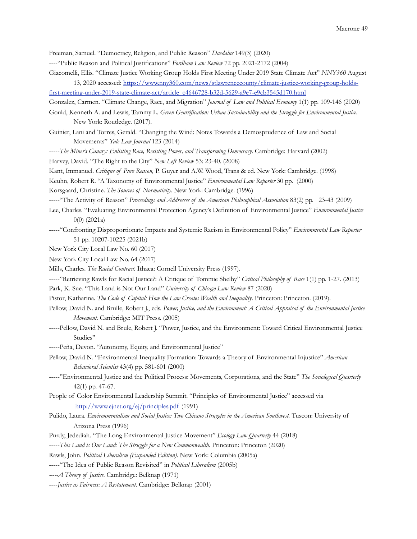Freeman, Samuel. "Democracy, Religion, and Public Reason" *Daedalus* 149(3) (2020)

- ----"Public Reason and Political Justifications" *Fordham Law Review* 72 pp. 2021-2172 (2004)
- Giacomelli, Ellis. "Climate Justice Working Group Holds First Meeting Under 2019 State Climate Act" *NNY360* August 13, 2020 accessed: [https://www.nny360.com/news/stlawrencecounty/climate-justice-working-group-holds-](https://www.nny360.com/news/stlawrencecounty/climate-justice-working-group-holds-first-meeting-under-2019-state-climate-act/article_c4646728-b32d-5629-a9e7-e9cb3545d170.html)
- [first-meeting-under-2019-state-climate-act/article\\_c4646728-b32d-5629-a9e7-e9cb3545d170.html](https://www.nny360.com/news/stlawrencecounty/climate-justice-working-group-holds-first-meeting-under-2019-state-climate-act/article_c4646728-b32d-5629-a9e7-e9cb3545d170.html)
- Gonzalez, Carmen. "Climate Change, Race, and Migration" *Journal of Law and Political Economy* 1(1) pp. 109-146 (2020)
- Gould, Kenneth A. and Lewis, Tammy L. *Green Gentrification: Urban Sustainability and the Struggle for Environmental Justice.*  New York: Routledge. (2017).
- Guinier, Lani and Torres, Gerald. "Changing the Wind: Notes Towards a Demosprudence of Law and Social Movements" *Yale Law Journal* 123 (2014)
- -----*The Miner's Canary: Enlisting Race, Resisting Power, and Transforming Democracy*. Cambridge: Harvard (2002)
- Harvey, David. "The Right to the City" *New Left Review* 53: 23-40. (2008)
- Kant, Immanuel. *Critique of Pure Reason,* P. Guyer and A.W. Wood, Trans & ed. New York: Cambridge. (1998)
- Keuhn, Robert R. "A Taxonomy of Environmental Justice" *Environmental Law Reporter* 30 pp. (2000)
- Korsgaard, Christine. *The Sources of Normativity.* New York: Cambridge. (1996)
- -----"The Activity of Reason" *Proceedings and Addresses of the American Philosophical Association* 83(2) pp. 23-43 (2009)
- Lee, Charles. "Evaluating Environmental Protection Agency's Definition of Environmental Justice" *Environmental Justice*  0(0) (2021a)
- -----"Confronting Disproportionate Impacts and Systemic Racism in Environmental Policy" *Environmental Law Reporter* 51 pp. 10207-10225 (2021b)
- New York City Local Law No. 60 (2017)
- New York City Local Law No. 64 (2017)
- Mills, Charles. *The Racial Contract.* Ithaca: Cornell University Press (1997).
- -----"Retrieving Rawls for Racial Justice?: A Critique of Tommie Shelby" *Critical Philosophy of Race* 1(1) pp. 1-27. (2013)
- Park, K. Sue. "This Land is Not Our Land" *University of Chicago Law Review* 87 (2020)
- Pistor, Katharina. *The Code of Capital: How the Law Creates Wealth and Inequality*. Princeton: Princeton. (2019).
- Pellow, David N. and Brulle, Robert J., eds. *Power, Justice, and the Environment: A Critical Appraisal of the Environmental Justice Movement.* Cambridge: MIT Press. (2005)
- -----Pellow, David N. and Brule, Robert J. "Power, Justice, and the Environment: Toward Critical Environmental Justice Studies"
- -----Peña, Devon. "Autonomy, Equity, and Environmental Justice"
- Pellow, David N. "Environmental Inequality Formation: Towards a Theory of Environmental Injustice" *American Behavioral Scientist* 43(4) pp. 581-601 (2000)
- -----"Environmental Justice and the Political Process: Movements, Corporations, and the State" *The Sociological Quarterly*  42(1) pp. 47-67.
- People of Color Environmental Leadership Summit. "Principles of Environmental Justice" accessed via <http://www.ejnet.org/ej/principles.pdf>(1991)
- Pulido, Laura. *Environmentalism and Social Justice: Two Chicano Struggles in the American Southwest*. Tuscon: University of Arizona Press (1996)
- Purdy, Jedediah. "The Long Environmental Justice Movement" *Ecology Law Quarterly* 44 (2018)
- -----*This Land is Our Land: The Struggle for a New Commonwealth.* Princeton: Princeton (2020)
- Rawls, John. *Political Liberalism (Expanded Edition).* New York: Columbia (2005a)
- -----"The Idea of Public Reason Revisited" in *Political Liberalism* (2005b)
- *-----A Theory of Justice*. Cambridge: Belknap (1971)
- ----*Justice as Fairness: A Restatement.* Cambridge: Belknap (2001)